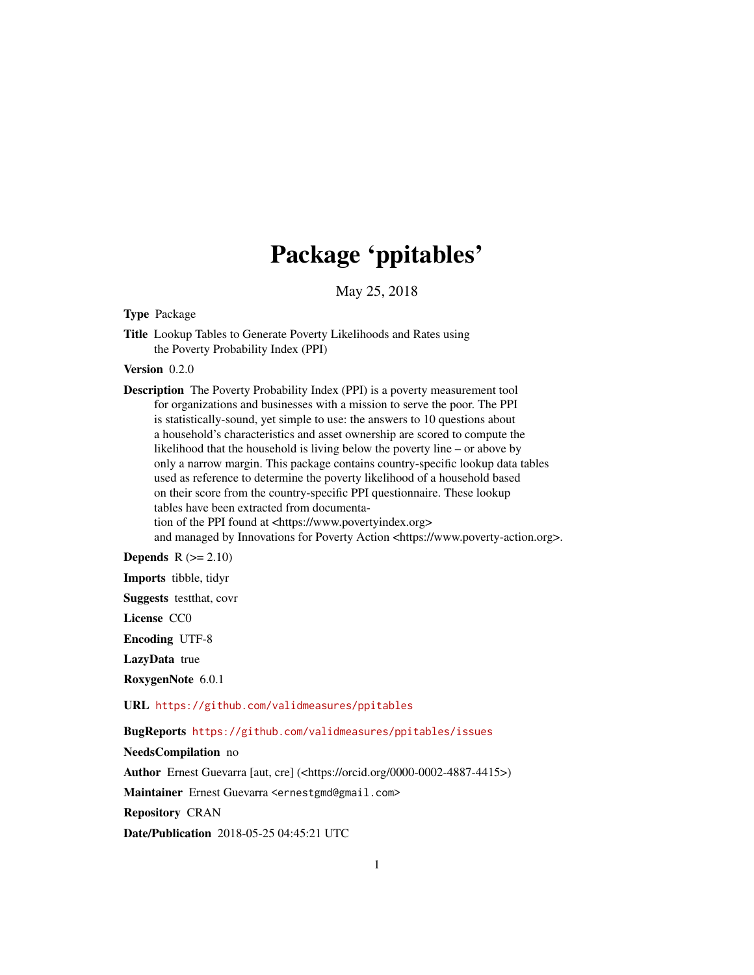# Package 'ppitables'

May 25, 2018

Type Package

Title Lookup Tables to Generate Poverty Likelihoods and Rates using the Poverty Probability Index (PPI)

Version 0.2.0

Description The Poverty Probability Index (PPI) is a poverty measurement tool for organizations and businesses with a mission to serve the poor. The PPI is statistically-sound, yet simple to use: the answers to 10 questions about a household's characteristics and asset ownership are scored to compute the likelihood that the household is living below the poverty line – or above by only a narrow margin. This package contains country-specific lookup data tables used as reference to determine the poverty likelihood of a household based on their score from the country-specific PPI questionnaire. These lookup tables have been extracted from documentation of the PPI found at <https://www.povertyindex.org> and managed by Innovations for Poverty Action <https://www.poverty-action.org>.

**Depends**  $R$  ( $>= 2.10$ )

Imports tibble, tidyr

Suggests testthat, covr

License CC0

Encoding UTF-8

LazyData true

RoxygenNote 6.0.1

URL <https://github.com/validmeasures/ppitables>

BugReports <https://github.com/validmeasures/ppitables/issues>

NeedsCompilation no

Author Ernest Guevarra [aut, cre] (<https://orcid.org/0000-0002-4887-4415>)

Maintainer Ernest Guevarra <ernestgmd@gmail.com>

Repository CRAN

Date/Publication 2018-05-25 04:45:21 UTC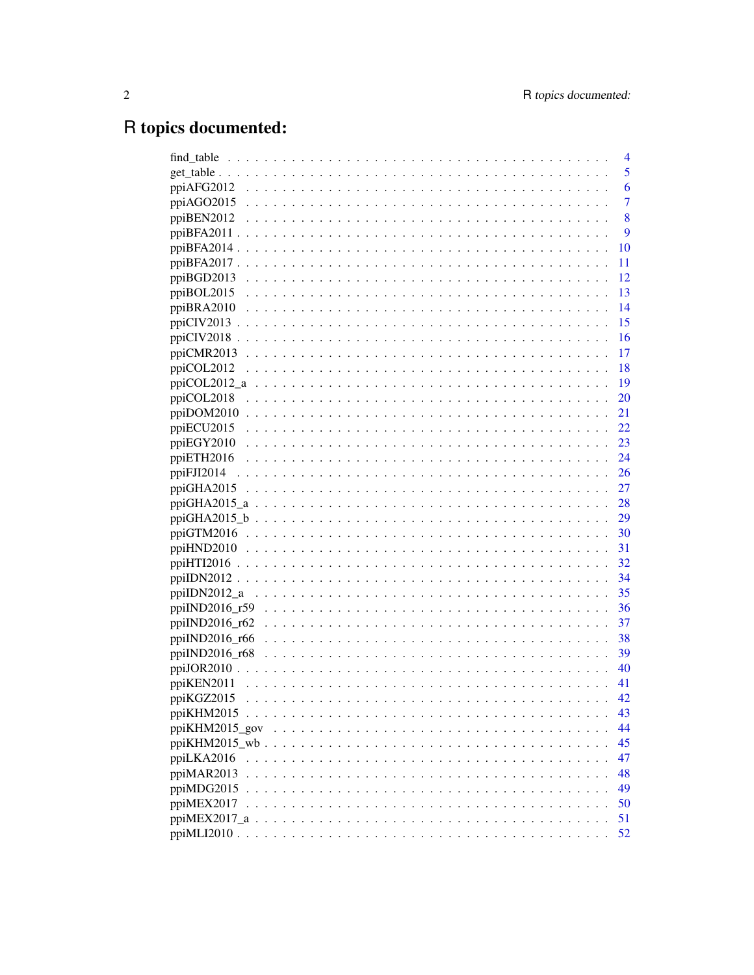# R topics documented:

| find_table                                                                                                                                                                | $\overline{4}$ |
|---------------------------------------------------------------------------------------------------------------------------------------------------------------------------|----------------|
| get table                                                                                                                                                                 | 5              |
| ppiAFG2012                                                                                                                                                                | 6              |
| ppiAGO2015                                                                                                                                                                | 7              |
| ppiBEN2012                                                                                                                                                                | 8              |
| ppiBFA2011                                                                                                                                                                | 9              |
| ppiBFA2014                                                                                                                                                                | 10             |
| ppiBFA2017                                                                                                                                                                | 11             |
| ppiBGD2013                                                                                                                                                                | 12             |
| ppiBOL2015                                                                                                                                                                | 13             |
| ppiBRA2010                                                                                                                                                                | 14             |
| $ppi$ CIV2013                                                                                                                                                             | 15             |
| ppiCIV2018                                                                                                                                                                | 16             |
| ppiCMR2013                                                                                                                                                                | 17             |
| ppiCOL2012                                                                                                                                                                | 18             |
| ppiCOL2012_a                                                                                                                                                              | 19             |
| ppiCOL2018                                                                                                                                                                | 20             |
| ppiDOM2010<br>21                                                                                                                                                          |                |
| ppiECU2015                                                                                                                                                                | 22             |
| ppiEGY2010<br>$\begin{array}{cccccccccccccc} \bullet & \bullet & \bullet & \bullet & \bullet & \bullet & \bullet & \bullet & \bullet & \bullet & \bullet \end{array}$     | 23             |
| ppiETH2016                                                                                                                                                                | 24             |
| ppiFJI2014                                                                                                                                                                | 26             |
| ppiGHA2015<br>.                                                                                                                                                           | 27             |
| ppiGHA2015_a<br>$\sim$ $\sim$ $\sim$ $\sim$                                                                                                                               | 28             |
| ppiGHA2015 $\&b$                                                                                                                                                          | 29             |
| $ppiGTM2016$                                                                                                                                                              | 30             |
| 31<br>$ppiHND2010$                                                                                                                                                        |                |
| 32<br>ppiHTI2016 $\ldots$                                                                                                                                                 |                |
| 34<br>ppiIDN2012                                                                                                                                                          |                |
| ppiIDN2012_a                                                                                                                                                              | 35             |
| ppiIND2016_r59                                                                                                                                                            | 36             |
| $ppiIND2016_r62$                                                                                                                                                          | 37             |
| ppiIND2016 r66                                                                                                                                                            | 38             |
| ppiIND2016_r68<br>$\begin{array}{cccccccccccccc} \bullet & \bullet & \bullet & \bullet & \bullet & \bullet & \bullet & \bullet & \bullet & \bullet & \bullet \end{array}$ | 39             |
| ppiJOR2010 $\ldots$                                                                                                                                                       | 40             |
| ppiKEN2011                                                                                                                                                                | 41             |
| ppiKGZ2015                                                                                                                                                                | 42             |
| ppiKHM2015                                                                                                                                                                | 43             |
|                                                                                                                                                                           | 44             |
|                                                                                                                                                                           | 45             |
| ppiLKA2016                                                                                                                                                                | 47             |
| ppiMAR2013                                                                                                                                                                | 48             |
| ppiMDG2015                                                                                                                                                                | 49             |
| ppiMEX2017                                                                                                                                                                | 50             |
| $ppiMEX2017_a \ldots \ldots \ldots \ldots \ldots \ldots \ldots \ldots \ldots \ldots \ldots \ldots$                                                                        | 51             |
|                                                                                                                                                                           | 52             |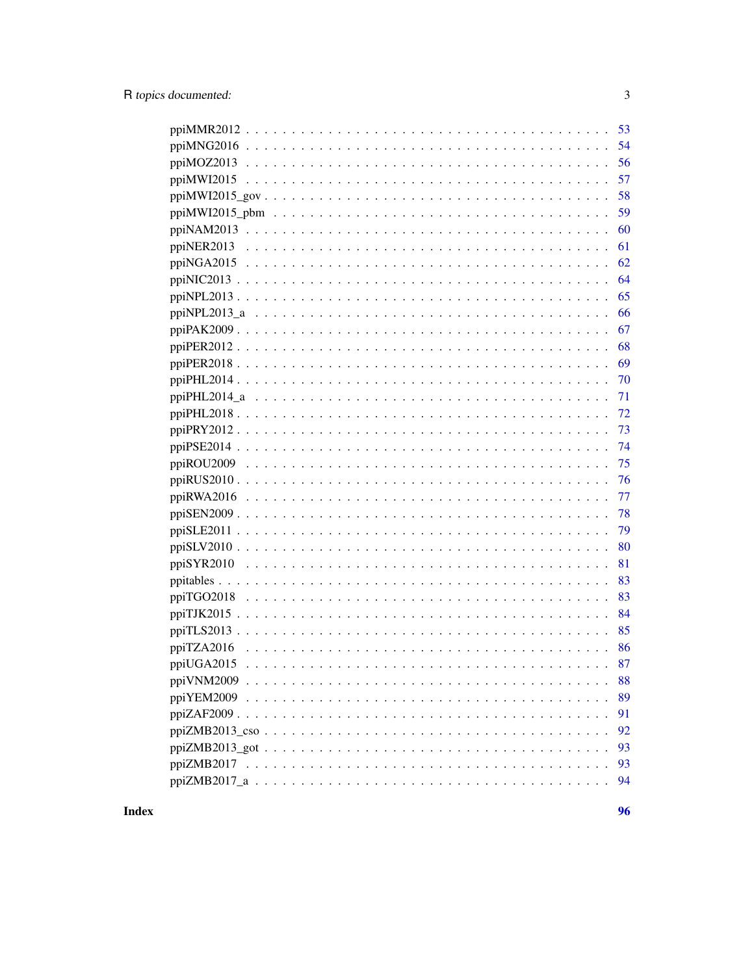| 57               |
|------------------|
| 58               |
| 59               |
| 60               |
| 61               |
| 62               |
| 64               |
| 65               |
| 66               |
| 67               |
| 68               |
| 69               |
| 70               |
| 71               |
| 72               |
| 73               |
|                  |
| 75               |
| 76               |
| - 77             |
|                  |
| 79               |
| 80               |
| 81               |
| 83               |
| 83               |
| 84               |
| 85               |
| 86<br>ppiTZA2016 |
| 87               |
| 88               |
| 89               |
| 91               |
| 92               |
| 93               |
| 93               |
| 94               |
|                  |

**Index** 

96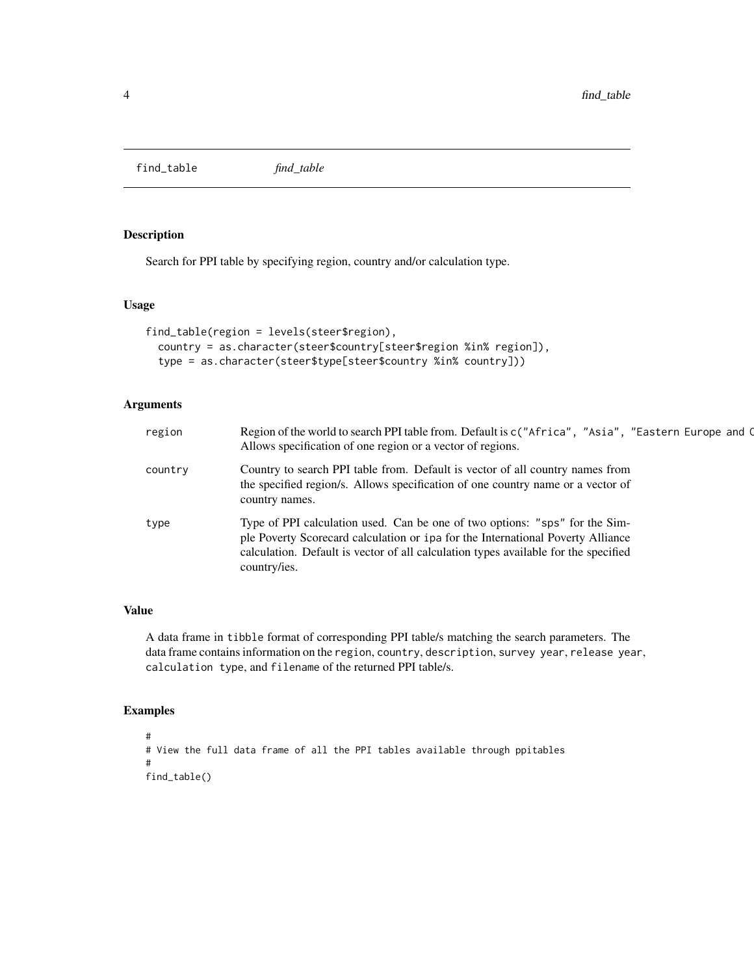<span id="page-3-0"></span>find\_table *find\_table*

# Description

Search for PPI table by specifying region, country and/or calculation type.

# Usage

```
find_table(region = levels(steer$region),
  country = as.character(steer$country[steer$region %in% region]),
  type = as.character(steer$type[steer$country %in% country]))
```
# Arguments

| region  | Region of the world to search PPI table from. Default is c("Africa", "Asia", "Eastern Europe and C<br>Allows specification of one region or a vector of regions.                                                                                                      |
|---------|-----------------------------------------------------------------------------------------------------------------------------------------------------------------------------------------------------------------------------------------------------------------------|
| country | Country to search PPI table from. Default is vector of all country names from<br>the specified region/s. Allows specification of one country name or a vector of<br>country names.                                                                                    |
| type    | Type of PPI calculation used. Can be one of two options: "sps" for the Sim-<br>ple Poverty Scorecard calculation or ipa for the International Poverty Alliance<br>calculation. Default is vector of all calculation types available for the specified<br>country/ies. |

# Value

A data frame in tibble format of corresponding PPI table/s matching the search parameters. The data frame contains information on the region, country, description, survey year, release year, calculation type, and filename of the returned PPI table/s.

```
#
# View the full data frame of all the PPI tables available through ppitables
#
find_table()
```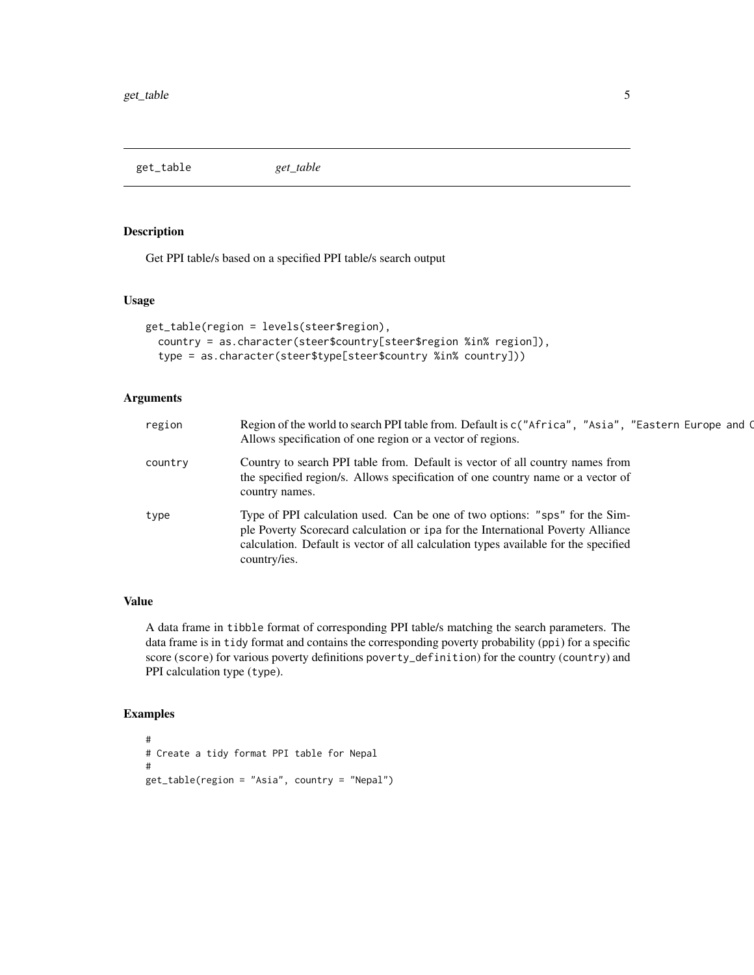<span id="page-4-0"></span>get\_table *get\_table*

# Description

Get PPI table/s based on a specified PPI table/s search output

# Usage

```
get_table(region = levels(steer$region),
  country = as.character(steer$country[steer$region %in% region]),
  type = as.character(steer$type[steer$country %in% country]))
```
# Arguments

| region  | Region of the world to search PPI table from. Default is c("Africa", "Asia", "Eastern Europe and C<br>Allows specification of one region or a vector of regions.                                                                                                      |  |
|---------|-----------------------------------------------------------------------------------------------------------------------------------------------------------------------------------------------------------------------------------------------------------------------|--|
| country | Country to search PPI table from. Default is vector of all country names from<br>the specified region/s. Allows specification of one country name or a vector of<br>country names.                                                                                    |  |
| type    | Type of PPI calculation used. Can be one of two options: "sps" for the Sim-<br>ple Poverty Scorecard calculation or ipa for the International Poverty Alliance<br>calculation. Default is vector of all calculation types available for the specified<br>country/ies. |  |

# Value

A data frame in tibble format of corresponding PPI table/s matching the search parameters. The data frame is in tidy format and contains the corresponding poverty probability (ppi) for a specific score (score) for various poverty definitions poverty\_definition) for the country (country) and PPI calculation type (type).

```
#
# Create a tidy format PPI table for Nepal
#
get_table(region = "Asia", country = "Nepal")
```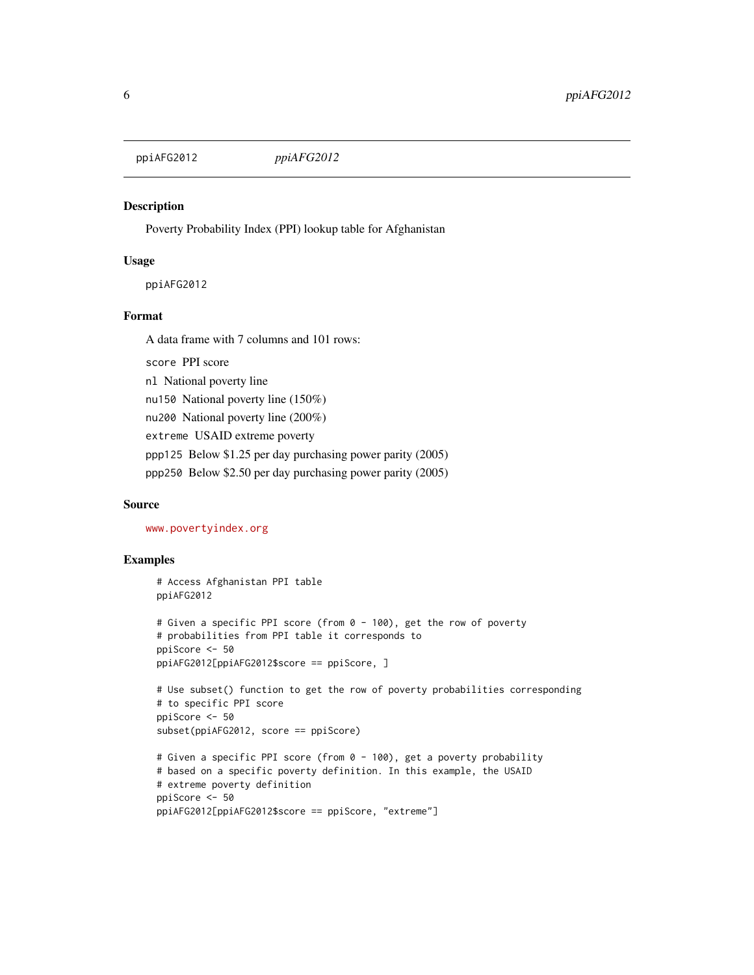<span id="page-5-0"></span>ppiAFG2012 *ppiAFG2012*

#### Description

Poverty Probability Index (PPI) lookup table for Afghanistan

#### Usage

ppiAFG2012

#### Format

A data frame with 7 columns and 101 rows:

score PPI score nl National poverty line

nu150 National poverty line (150%)

nu200 National poverty line (200%)

extreme USAID extreme poverty

ppp125 Below \$1.25 per day purchasing power parity (2005)

ppp250 Below \$2.50 per day purchasing power parity (2005)

#### Source

<www.povertyindex.org>

```
# Access Afghanistan PPI table
ppiAFG2012
# Given a specific PPI score (from 0 - 100), get the row of poverty
# probabilities from PPI table it corresponds to
ppiScore <- 50
ppiAFG2012[ppiAFG2012$score == ppiScore, ]
# Use subset() function to get the row of poverty probabilities corresponding
# to specific PPI score
ppiScore <- 50
subset(ppiAFG2012, score == ppiScore)
# Given a specific PPI score (from 0 - 100), get a poverty probability
# based on a specific poverty definition. In this example, the USAID
# extreme poverty definition
ppiScore <- 50
ppiAFG2012[ppiAFG2012$score == ppiScore, "extreme"]
```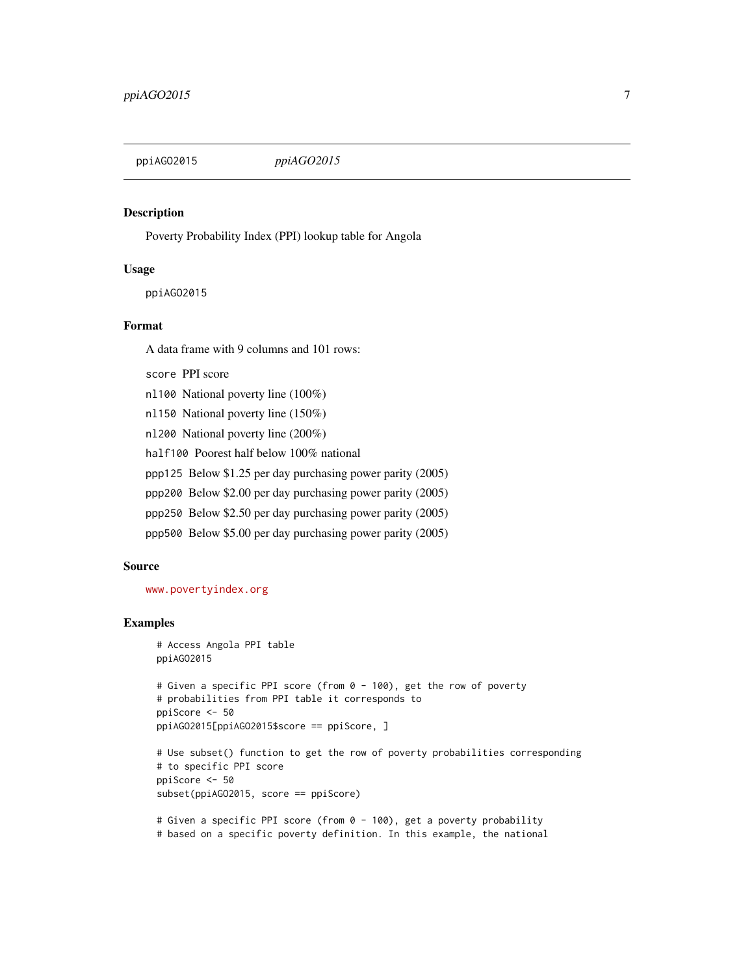<span id="page-6-0"></span>

#### Description

Poverty Probability Index (PPI) lookup table for Angola

#### Usage

ppiAGO2015

#### Format

A data frame with 9 columns and 101 rows:

score PPI score

nl100 National poverty line (100%)

nl150 National poverty line (150%)

nl200 National poverty line (200%)

half100 Poorest half below 100% national

ppp125 Below \$1.25 per day purchasing power parity (2005)

ppp200 Below \$2.00 per day purchasing power parity (2005)

ppp250 Below \$2.50 per day purchasing power parity (2005)

ppp500 Below \$5.00 per day purchasing power parity (2005)

#### Source

<www.povertyindex.org>

# Examples

```
# Access Angola PPI table
ppiAGO2015
# Given a specific PPI score (from 0 - 100), get the row of poverty
# probabilities from PPI table it corresponds to
ppiScore <- 50
ppiAGO2015[ppiAGO2015$score == ppiScore, ]
# Use subset() function to get the row of poverty probabilities corresponding
# to specific PPI score
ppiScore <- 50
subset(ppiAGO2015, score == ppiScore)
# Given a specific PPI score (from 0 - 100), get a poverty probability
```
# based on a specific poverty definition. In this example, the national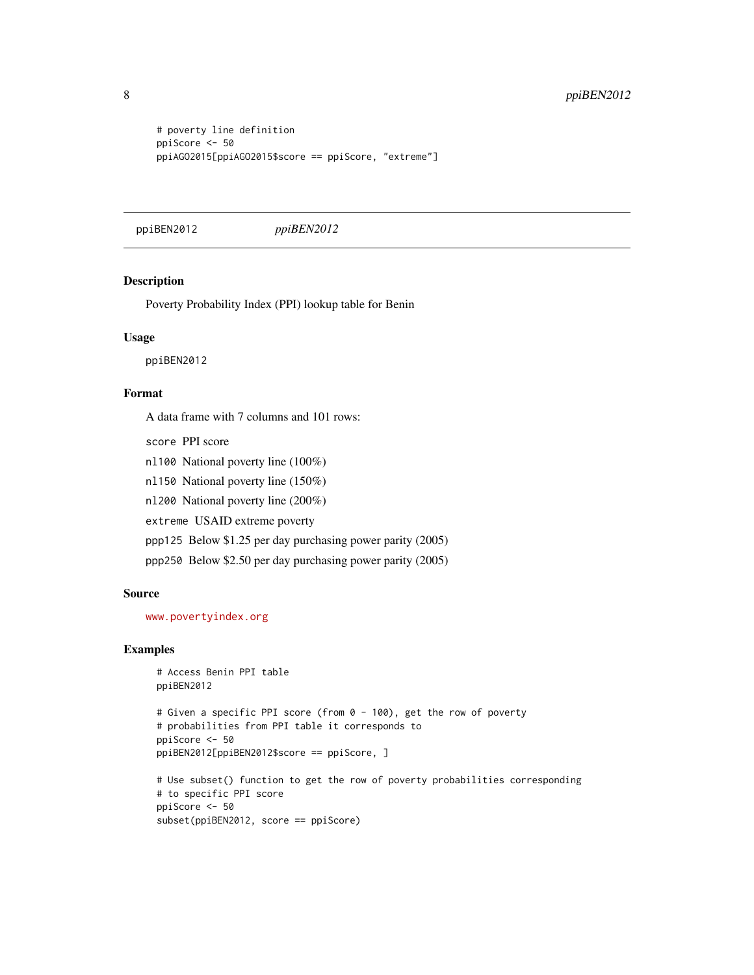```
# poverty line definition
ppiScore <- 50
ppiAGO2015[ppiAGO2015$score == ppiScore, "extreme"]
```
ppiBEN2012 *ppiBEN2012*

# Description

Poverty Probability Index (PPI) lookup table for Benin

#### Usage

ppiBEN2012

# Format

A data frame with 7 columns and 101 rows:

score PPI score

nl100 National poverty line (100%)

nl150 National poverty line (150%)

nl200 National poverty line (200%)

extreme USAID extreme poverty

ppp125 Below \$1.25 per day purchasing power parity (2005)

ppp250 Below \$2.50 per day purchasing power parity (2005)

#### Source

<www.povertyindex.org>

#### Examples

```
# Access Benin PPI table
ppiBEN2012
# Given a specific PPI score (from 0 - 100), get the row of poverty
# probabilities from PPI table it corresponds to
ppiScore <- 50
ppiBEN2012[ppiBEN2012$score == ppiScore, ]
# Use subset() function to get the row of poverty probabilities corresponding
# to specific PPI score
ppiScore <- 50
```
subset(ppiBEN2012, score == ppiScore)

<span id="page-7-0"></span>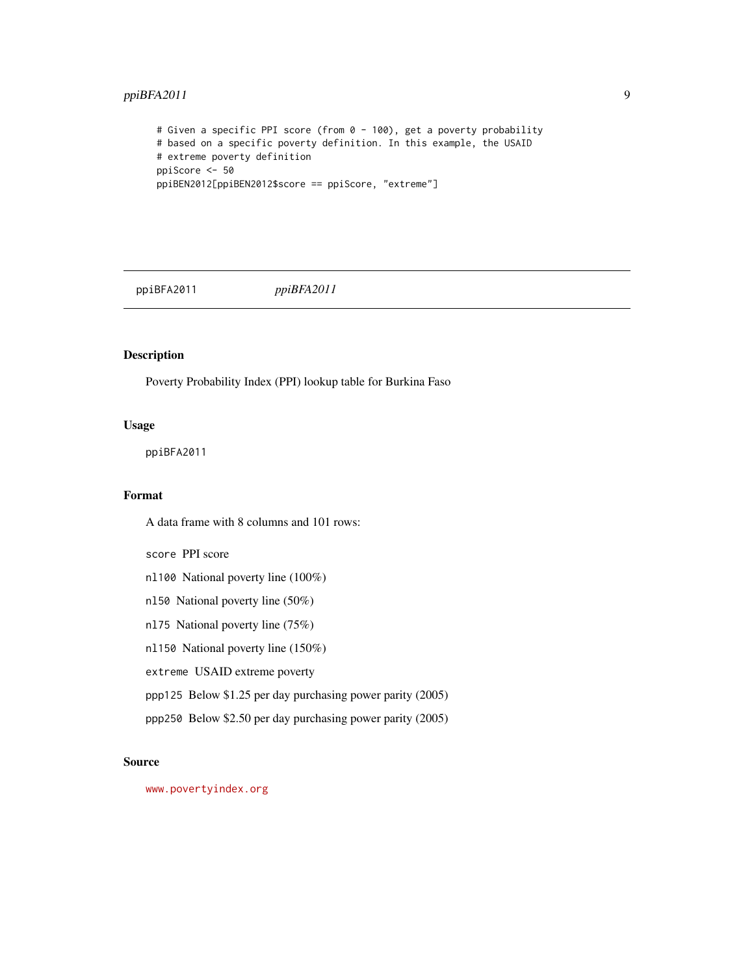# <span id="page-8-0"></span>ppiBFA2011 9

```
# Given a specific PPI score (from 0 - 100), get a poverty probability
# based on a specific poverty definition. In this example, the USAID
# extreme poverty definition
ppiScore <- 50
ppiBEN2012[ppiBEN2012$score == ppiScore, "extreme"]
```
ppiBFA2011 *ppiBFA2011*

# Description

Poverty Probability Index (PPI) lookup table for Burkina Faso

# Usage

ppiBFA2011

# Format

A data frame with 8 columns and 101 rows:

score PPI score

nl100 National poverty line (100%)

nl50 National poverty line (50%)

nl75 National poverty line (75%)

nl150 National poverty line (150%)

extreme USAID extreme poverty

ppp125 Below \$1.25 per day purchasing power parity (2005)

ppp250 Below \$2.50 per day purchasing power parity (2005)

# Source

<www.povertyindex.org>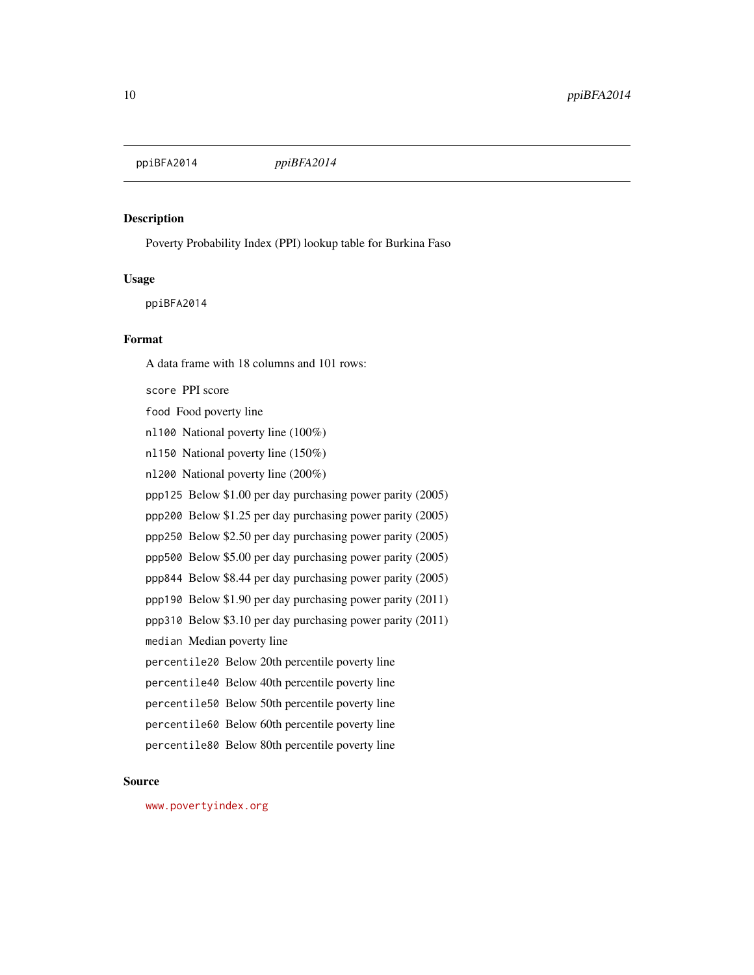<span id="page-9-0"></span>ppiBFA2014 *ppiBFA2014*

# Description

Poverty Probability Index (PPI) lookup table for Burkina Faso

#### Usage

ppiBFA2014

# Format

A data frame with 18 columns and 101 rows:

score PPI score food Food poverty line nl100 National poverty line (100%) nl150 National poverty line (150%) nl200 National poverty line (200%) ppp125 Below \$1.00 per day purchasing power parity (2005) ppp200 Below \$1.25 per day purchasing power parity (2005) ppp250 Below \$2.50 per day purchasing power parity (2005) ppp500 Below \$5.00 per day purchasing power parity (2005) ppp844 Below \$8.44 per day purchasing power parity (2005) ppp190 Below \$1.90 per day purchasing power parity (2011) ppp310 Below \$3.10 per day purchasing power parity (2011) median Median poverty line percentile20 Below 20th percentile poverty line percentile40 Below 40th percentile poverty line percentile50 Below 50th percentile poverty line percentile60 Below 60th percentile poverty line percentile80 Below 80th percentile poverty line

# Source

<www.povertyindex.org>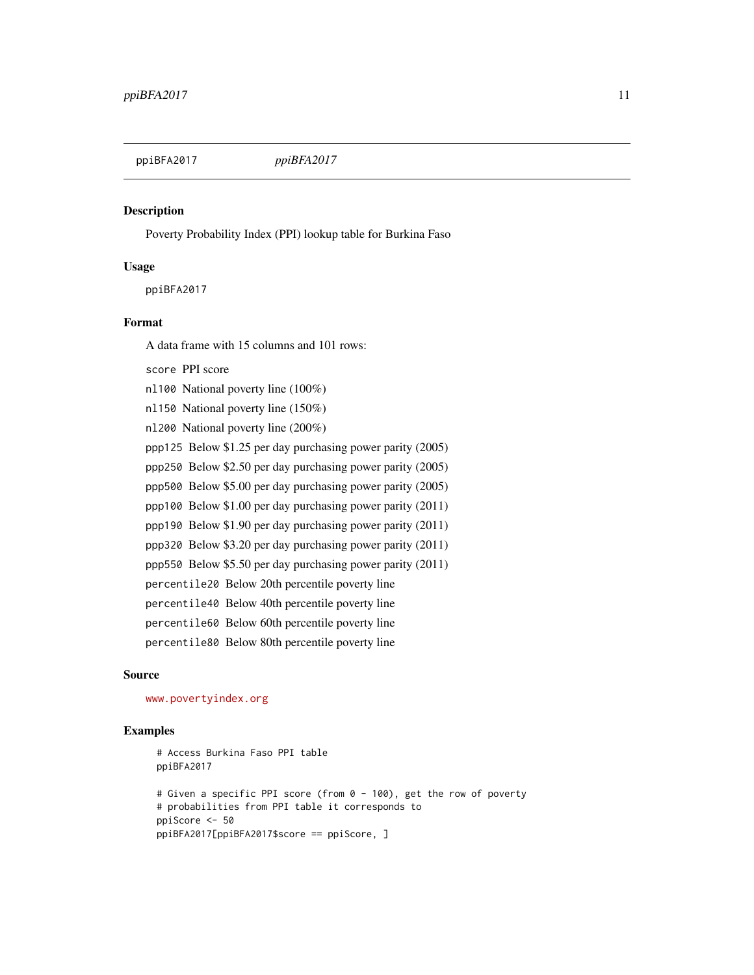<span id="page-10-0"></span>

# **Description**

Poverty Probability Index (PPI) lookup table for Burkina Faso

#### Usage

ppiBFA2017

#### Format

A data frame with 15 columns and 101 rows:

score PPI score nl100 National poverty line (100%) nl150 National poverty line (150%) nl200 National poverty line (200%) ppp125 Below \$1.25 per day purchasing power parity (2005) ppp250 Below \$2.50 per day purchasing power parity (2005) ppp500 Below \$5.00 per day purchasing power parity (2005) ppp100 Below \$1.00 per day purchasing power parity (2011) ppp190 Below \$1.90 per day purchasing power parity (2011) ppp320 Below \$3.20 per day purchasing power parity (2011) ppp550 Below \$5.50 per day purchasing power parity (2011) percentile20 Below 20th percentile poverty line percentile40 Below 40th percentile poverty line percentile60 Below 60th percentile poverty line percentile80 Below 80th percentile poverty line

#### Source

<www.povertyindex.org>

```
# Access Burkina Faso PPI table
ppiBFA2017
# Given a specific PPI score (from 0 - 100), get the row of poverty
# probabilities from PPI table it corresponds to
ppiScore <- 50
ppiBFA2017[ppiBFA2017$score == ppiScore, ]
```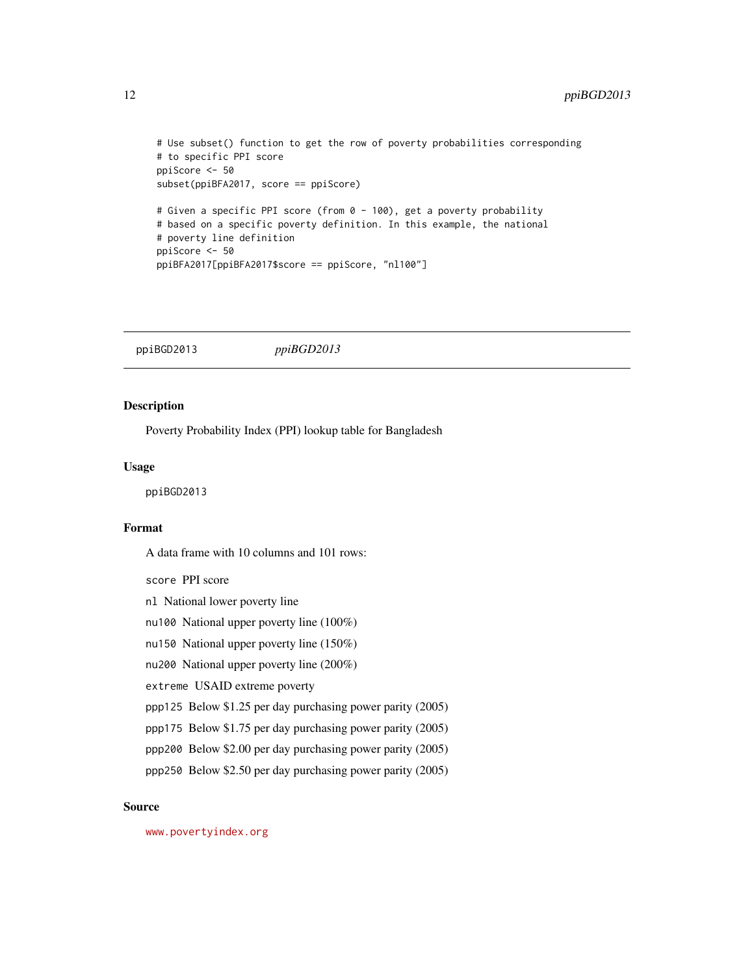```
# Use subset() function to get the row of poverty probabilities corresponding
# to specific PPI score
ppiScore <- 50
subset(ppiBFA2017, score == ppiScore)
# Given a specific PPI score (from 0 - 100), get a poverty probability
# based on a specific poverty definition. In this example, the national
# poverty line definition
ppiScore <- 50
ppiBFA2017[ppiBFA2017$score == ppiScore, "nl100"]
```
ppiBGD2013 *ppiBGD2013*

# Description

Poverty Probability Index (PPI) lookup table for Bangladesh

#### Usage

ppiBGD2013

# Format

A data frame with 10 columns and 101 rows:

score PPI score

- nl National lower poverty line
- nu100 National upper poverty line (100%)
- nu150 National upper poverty line (150%)
- nu200 National upper poverty line (200%)

extreme USAID extreme poverty

- ppp125 Below \$1.25 per day purchasing power parity (2005)
- ppp175 Below \$1.75 per day purchasing power parity (2005)
- ppp200 Below \$2.00 per day purchasing power parity (2005)
- ppp250 Below \$2.50 per day purchasing power parity (2005)

# Source

<www.povertyindex.org>

<span id="page-11-0"></span>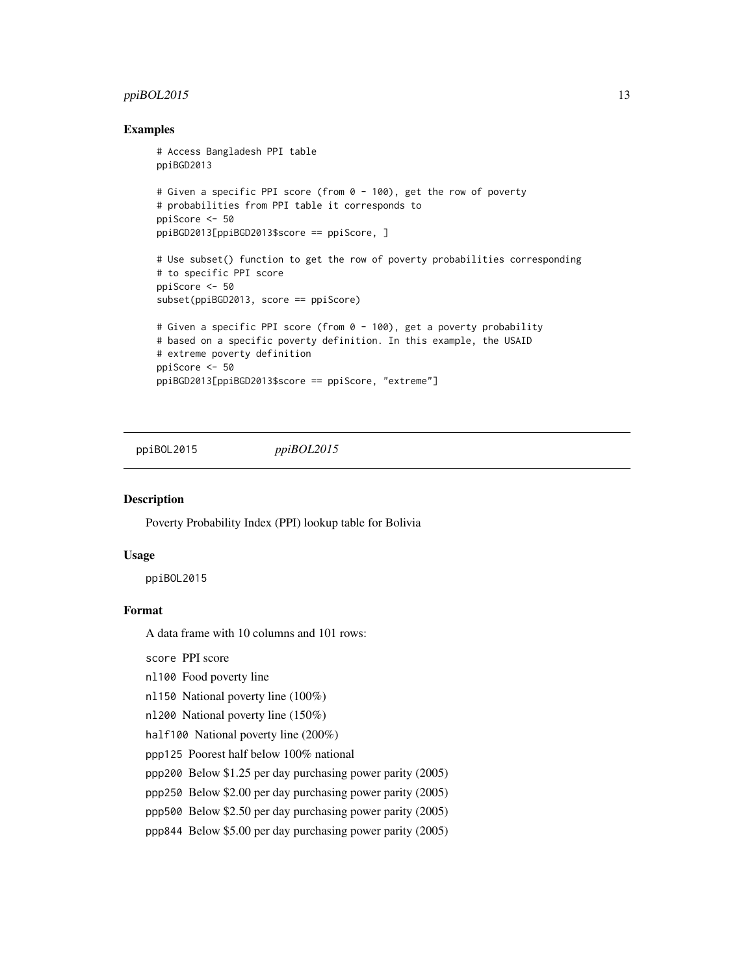# <span id="page-12-0"></span> $ppiBOL2015$  13

#### Examples

```
# Access Bangladesh PPI table
ppiBGD2013
# Given a specific PPI score (from 0 - 100), get the row of poverty
# probabilities from PPI table it corresponds to
ppiScore <- 50
ppiBGD2013[ppiBGD2013$score == ppiScore, ]
# Use subset() function to get the row of poverty probabilities corresponding
# to specific PPI score
ppiScore <- 50
subset(ppiBGD2013, score == ppiScore)
# Given a specific PPI score (from 0 - 100), get a poverty probability
# based on a specific poverty definition. In this example, the USAID
# extreme poverty definition
ppiScore <- 50
ppiBGD2013[ppiBGD2013$score == ppiScore, "extreme"]
```
ppiBOL2015 *ppiBOL2015*

#### **Description**

Poverty Probability Index (PPI) lookup table for Bolivia

#### Usage

ppiBOL2015

# Format

A data frame with 10 columns and 101 rows:

score PPI score

- nl100 Food poverty line
- nl150 National poverty line (100%)
- nl200 National poverty line (150%)
- half100 National poverty line (200%)
- ppp125 Poorest half below 100% national
- ppp200 Below \$1.25 per day purchasing power parity (2005)
- ppp250 Below \$2.00 per day purchasing power parity (2005)
- ppp500 Below \$2.50 per day purchasing power parity (2005)
- ppp844 Below \$5.00 per day purchasing power parity (2005)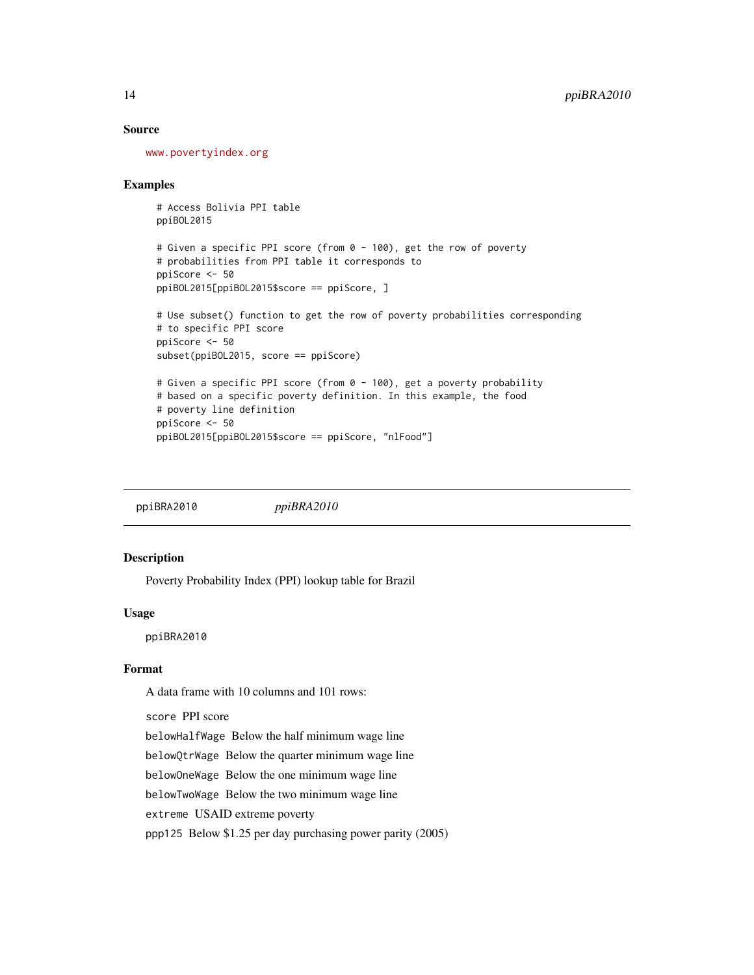#### <span id="page-13-0"></span>Source

<www.povertyindex.org>

#### Examples

# Access Bolivia PPI table ppiBOL2015

```
# Given a specific PPI score (from 0 - 100), get the row of poverty
# probabilities from PPI table it corresponds to
ppiScore <- 50
ppiBOL2015[ppiBOL2015$score == ppiScore, ]
```

```
# Use subset() function to get the row of poverty probabilities corresponding
# to specific PPI score
ppiScore <- 50
subset(ppiBOL2015, score == ppiScore)
# Given a specific PPI score (from 0 - 100), get a poverty probability
```

```
# based on a specific poverty definition. In this example, the food
# poverty line definition
ppiScore <- 50
ppiBOL2015[ppiBOL2015$score == ppiScore, "nlFood"]
```
ppiBRA2010 *ppiBRA2010*

# Description

Poverty Probability Index (PPI) lookup table for Brazil

#### Usage

ppiBRA2010

# Format

A data frame with 10 columns and 101 rows:

score PPI score

belowHalfWage Below the half minimum wage line

belowQtrWage Below the quarter minimum wage line

belowOneWage Below the one minimum wage line

belowTwoWage Below the two minimum wage line

extreme USAID extreme poverty

ppp125 Below \$1.25 per day purchasing power parity (2005)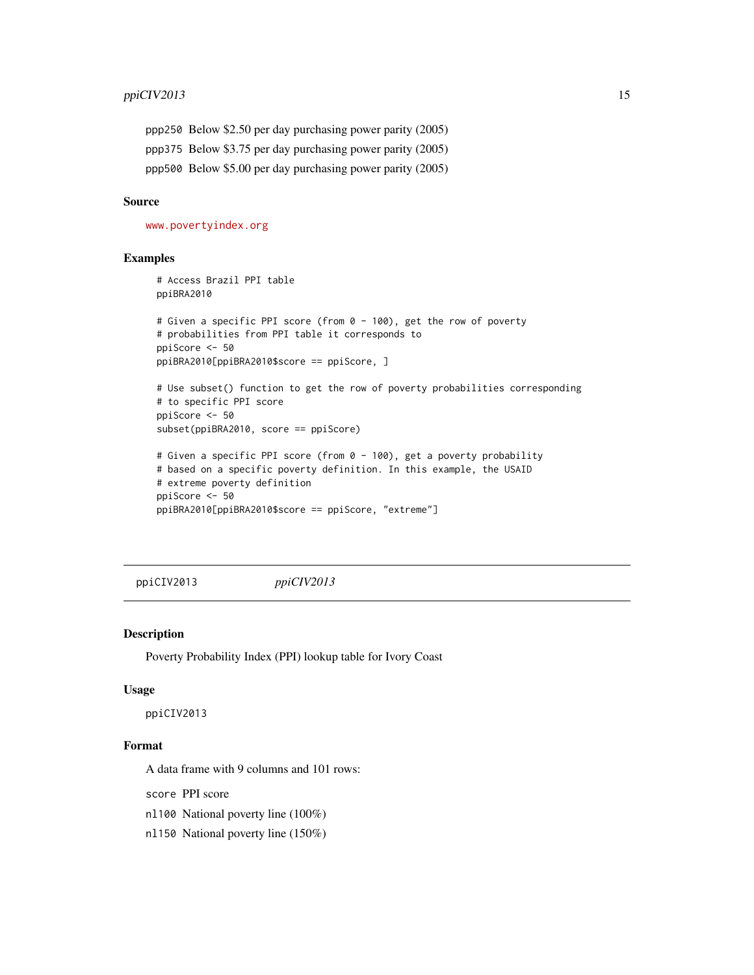<span id="page-14-0"></span>ppp250 Below \$2.50 per day purchasing power parity (2005) ppp375 Below \$3.75 per day purchasing power parity (2005) ppp500 Below \$5.00 per day purchasing power parity (2005)

# Source

<www.povertyindex.org>

# Examples

```
# Access Brazil PPI table
ppiBRA2010
# Given a specific PPI score (from 0 - 100), get the row of poverty
# probabilities from PPI table it corresponds to
ppiScore <- 50
ppiBRA2010[ppiBRA2010$score == ppiScore, ]
# Use subset() function to get the row of poverty probabilities corresponding
# to specific PPI score
ppiScore <- 50
subset(ppiBRA2010, score == ppiScore)
# Given a specific PPI score (from 0 - 100), get a poverty probability
# based on a specific poverty definition. In this example, the USAID
# extreme poverty definition
ppiScore <- 50
ppiBRA2010[ppiBRA2010$score == ppiScore, "extreme"]
```
ppiCIV2013 *ppiCIV2013*

#### Description

Poverty Probability Index (PPI) lookup table for Ivory Coast

#### Usage

ppiCIV2013

# Format

A data frame with 9 columns and 101 rows:

score PPI score

nl100 National poverty line (100%)

nl150 National poverty line (150%)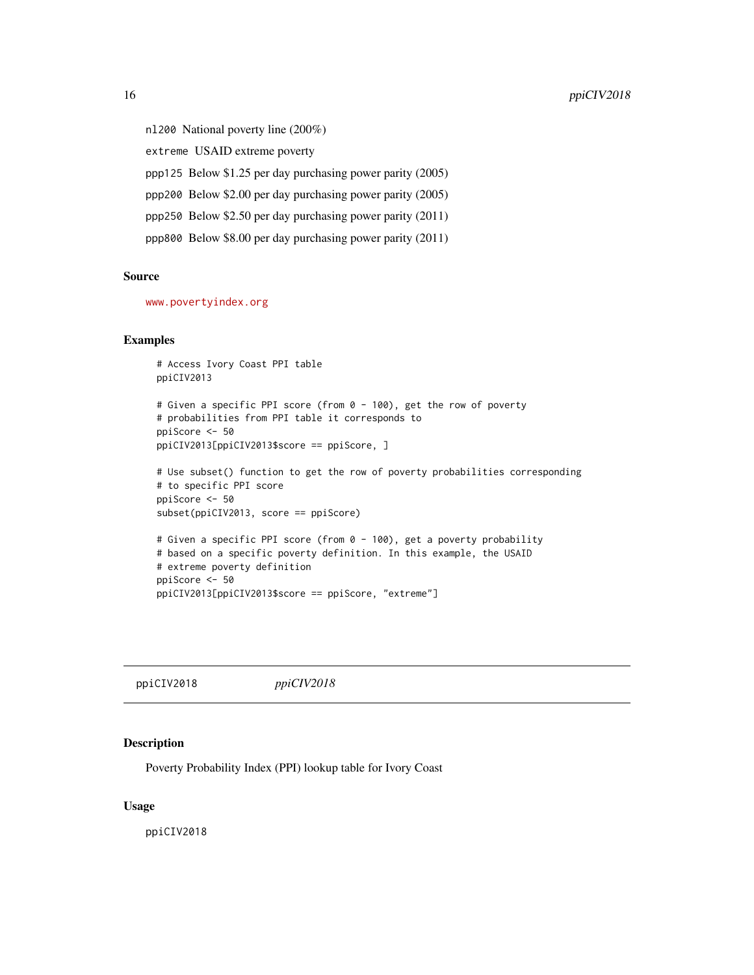<span id="page-15-0"></span>nl200 National poverty line (200%) extreme USAID extreme poverty ppp125 Below \$1.25 per day purchasing power parity (2005) ppp200 Below \$2.00 per day purchasing power parity (2005) ppp250 Below \$2.50 per day purchasing power parity (2011) ppp800 Below \$8.00 per day purchasing power parity (2011)

#### Source

<www.povertyindex.org>

#### Examples

```
# Access Ivory Coast PPI table
ppiCIV2013
# Given a specific PPI score (from 0 - 100), get the row of poverty
# probabilities from PPI table it corresponds to
ppiScore <- 50
ppiCIV2013[ppiCIV2013$score == ppiScore, ]
# Use subset() function to get the row of poverty probabilities corresponding
# to specific PPI score
ppiScore <- 50
subset(ppiCIV2013, score == ppiScore)
# Given a specific PPI score (from 0 - 100), get a poverty probability
# based on a specific poverty definition. In this example, the USAID
# extreme poverty definition
ppiScore <- 50
ppiCIV2013[ppiCIV2013$score == ppiScore, "extreme"]
```
ppiCIV2018 *ppiCIV2018*

#### Description

Poverty Probability Index (PPI) lookup table for Ivory Coast

#### Usage

ppiCIV2018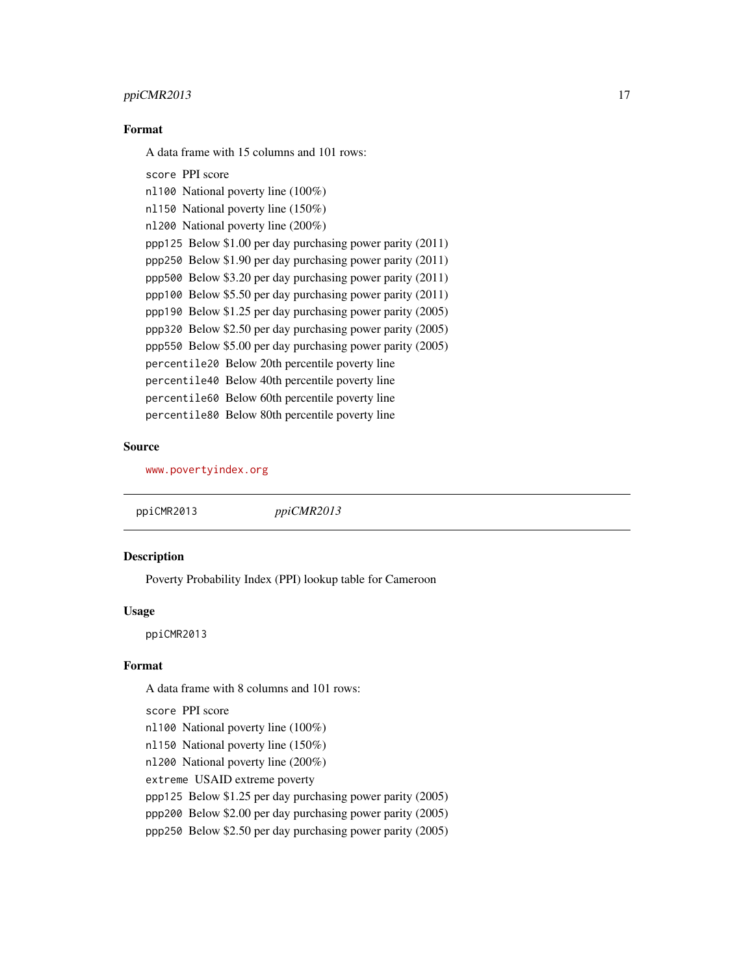# <span id="page-16-0"></span>ppiCMR2013 17

# Format

A data frame with 15 columns and 101 rows:

score PPI score nl100 National poverty line (100%) nl150 National poverty line (150%) nl200 National poverty line (200%) ppp125 Below \$1.00 per day purchasing power parity (2011) ppp250 Below \$1.90 per day purchasing power parity (2011) ppp500 Below \$3.20 per day purchasing power parity (2011) ppp100 Below \$5.50 per day purchasing power parity (2011) ppp190 Below \$1.25 per day purchasing power parity (2005) ppp320 Below \$2.50 per day purchasing power parity (2005) ppp550 Below \$5.00 per day purchasing power parity (2005) percentile20 Below 20th percentile poverty line percentile40 Below 40th percentile poverty line percentile60 Below 60th percentile poverty line percentile80 Below 80th percentile poverty line

# Source

<www.povertyindex.org>

ppiCMR2013 *ppiCMR2013*

# **Description**

Poverty Probability Index (PPI) lookup table for Cameroon

#### Usage

ppiCMR2013

#### Format

A data frame with 8 columns and 101 rows:

score PPI score

- nl100 National poverty line (100%)
- nl150 National poverty line (150%)

nl200 National poverty line (200%)

extreme USAID extreme poverty

ppp125 Below \$1.25 per day purchasing power parity (2005)

ppp200 Below \$2.00 per day purchasing power parity (2005)

ppp250 Below \$2.50 per day purchasing power parity (2005)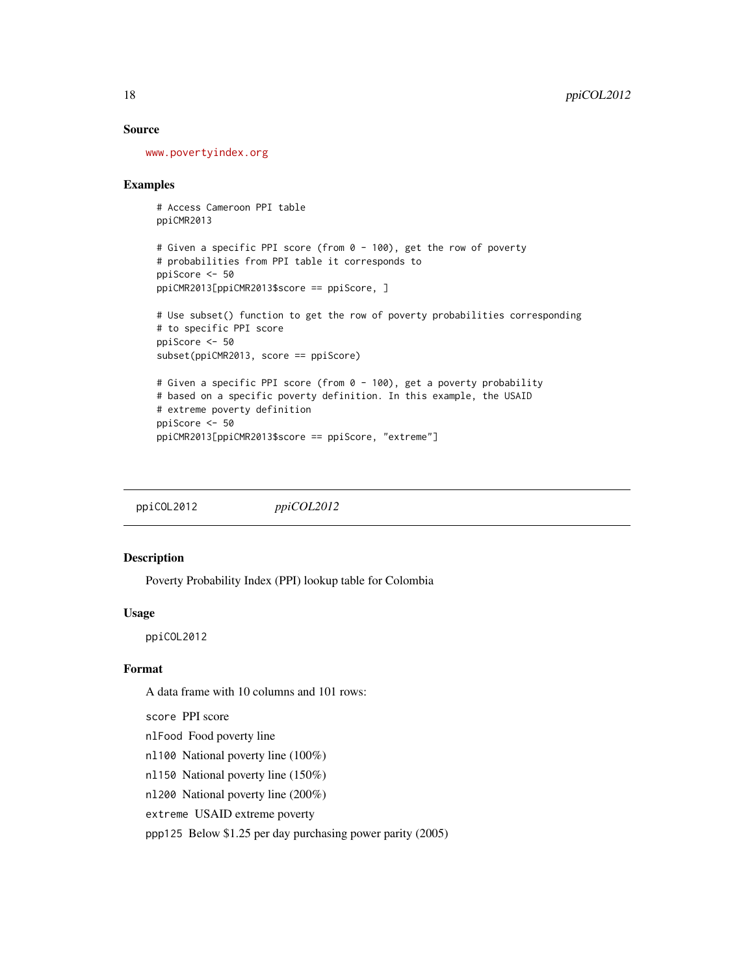### Source

<www.povertyindex.org>

#### Examples

```
# Access Cameroon PPI table
ppiCMR2013
```

```
# Given a specific PPI score (from 0 - 100), get the row of poverty
# probabilities from PPI table it corresponds to
ppiScore <- 50
ppiCMR2013[ppiCMR2013$score == ppiScore, ]
```

```
# Use subset() function to get the row of poverty probabilities corresponding
# to specific PPI score
ppiScore <- 50
subset(ppiCMR2013, score == ppiScore)
# Given a specific PPI score (from 0 - 100), get a poverty probability
# based on a specific poverty definition. In this example, the USAID
# extreme poverty definition
```

```
ppiScore <- 50
ppiCMR2013[ppiCMR2013$score == ppiScore, "extreme"]
```
ppiCOL2012 *ppiCOL2012*

#### Description

Poverty Probability Index (PPI) lookup table for Colombia

#### Usage

ppiCOL2012

# Format

A data frame with 10 columns and 101 rows:

score PPI score

nlFood Food poverty line

nl100 National poverty line (100%)

nl150 National poverty line (150%)

nl200 National poverty line (200%)

extreme USAID extreme poverty

ppp125 Below \$1.25 per day purchasing power parity (2005)

<span id="page-17-0"></span>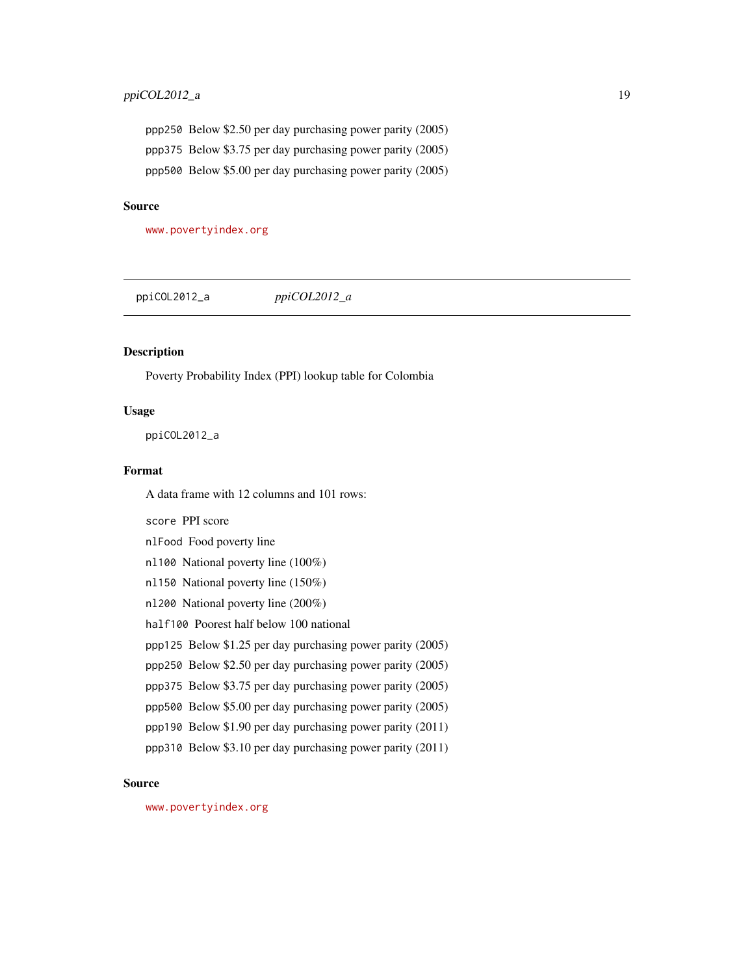<span id="page-18-0"></span>ppp250 Below \$2.50 per day purchasing power parity (2005) ppp375 Below \$3.75 per day purchasing power parity (2005) ppp500 Below \$5.00 per day purchasing power parity (2005)

# Source

<www.povertyindex.org>

ppiCOL2012\_a *ppiCOL2012\_a*

# Description

Poverty Probability Index (PPI) lookup table for Colombia

#### Usage

ppiCOL2012\_a

#### Format

A data frame with 12 columns and 101 rows:

score PPI score nlFood Food poverty line nl100 National poverty line (100%) nl150 National poverty line (150%) nl200 National poverty line (200%) half100 Poorest half below 100 national ppp125 Below \$1.25 per day purchasing power parity (2005) ppp250 Below \$2.50 per day purchasing power parity (2005) ppp375 Below \$3.75 per day purchasing power parity (2005) ppp500 Below \$5.00 per day purchasing power parity (2005) ppp190 Below \$1.90 per day purchasing power parity (2011) ppp310 Below \$3.10 per day purchasing power parity (2011)

#### Source

<www.povertyindex.org>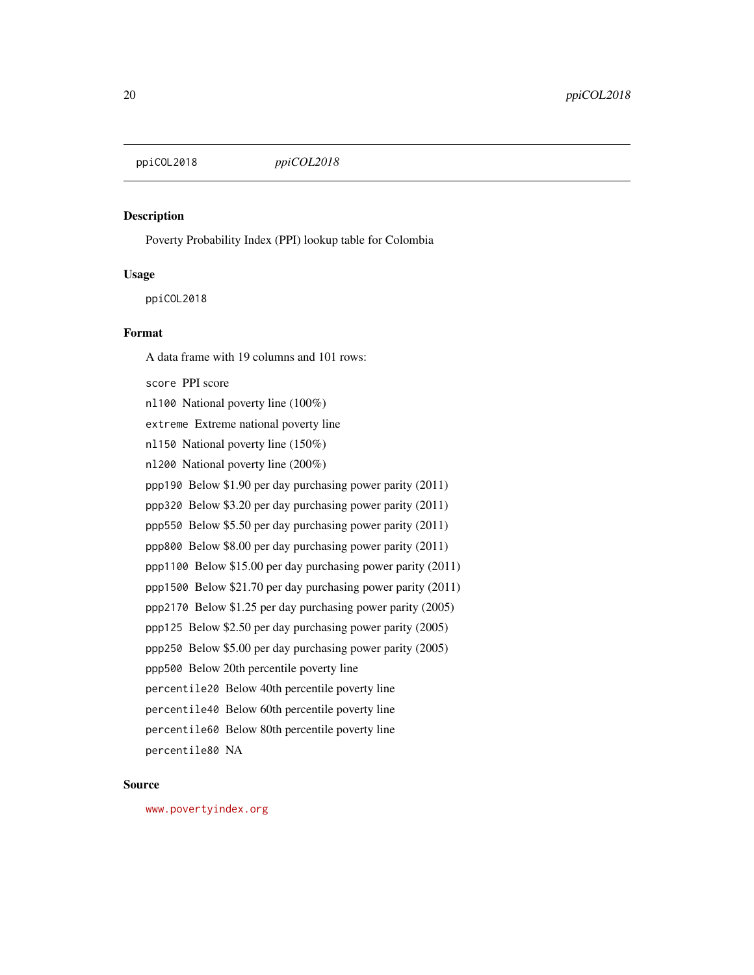<span id="page-19-0"></span>

# Description

Poverty Probability Index (PPI) lookup table for Colombia

#### Usage

ppiCOL2018

# Format

A data frame with 19 columns and 101 rows: score PPI score nl100 National poverty line (100%) extreme Extreme national poverty line nl150 National poverty line (150%) nl200 National poverty line (200%) ppp190 Below \$1.90 per day purchasing power parity (2011) ppp320 Below \$3.20 per day purchasing power parity (2011) ppp550 Below \$5.50 per day purchasing power parity (2011) ppp800 Below \$8.00 per day purchasing power parity (2011) ppp1100 Below \$15.00 per day purchasing power parity (2011) ppp1500 Below \$21.70 per day purchasing power parity (2011) ppp2170 Below \$1.25 per day purchasing power parity (2005) ppp125 Below \$2.50 per day purchasing power parity (2005) ppp250 Below \$5.00 per day purchasing power parity (2005) ppp500 Below 20th percentile poverty line percentile20 Below 40th percentile poverty line percentile40 Below 60th percentile poverty line percentile60 Below 80th percentile poverty line percentile80 NA

# Source

<www.povertyindex.org>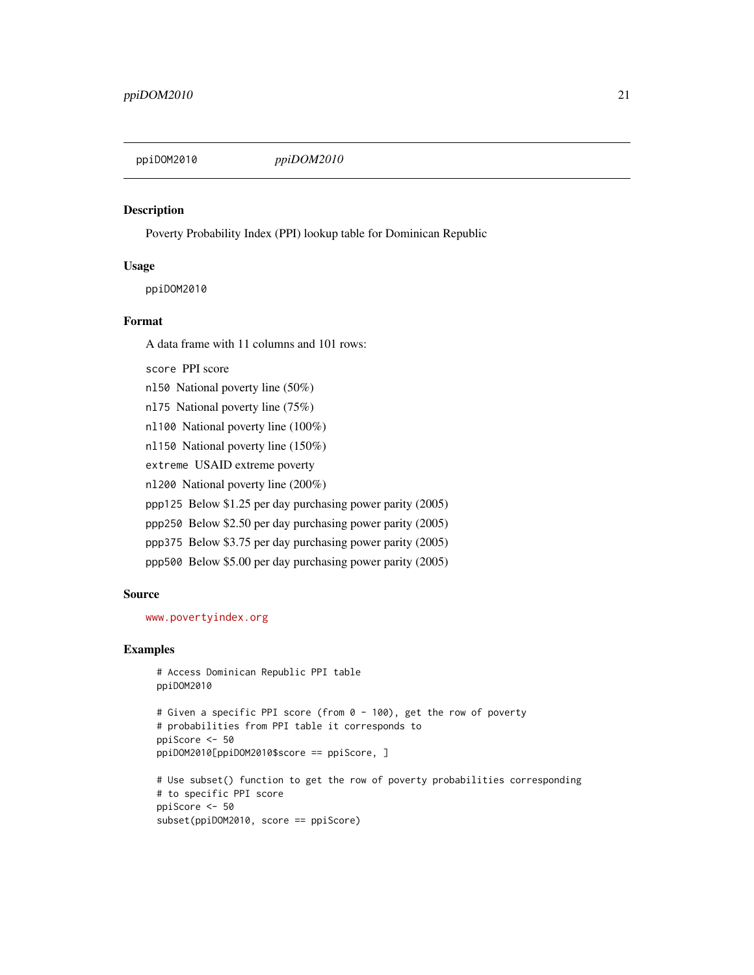<span id="page-20-0"></span>

#### Description

Poverty Probability Index (PPI) lookup table for Dominican Republic

#### Usage

ppiDOM2010

# Format

A data frame with 11 columns and 101 rows:

```
score PPI score
```
nl50 National poverty line (50%)

- nl75 National poverty line (75%)
- nl100 National poverty line (100%)
- nl150 National poverty line (150%)
- extreme USAID extreme poverty

nl200 National poverty line (200%)

ppp125 Below \$1.25 per day purchasing power parity (2005)

- ppp250 Below \$2.50 per day purchasing power parity (2005)
- ppp375 Below \$3.75 per day purchasing power parity (2005)
- ppp500 Below \$5.00 per day purchasing power parity (2005)

#### Source

<www.povertyindex.org>

```
# Access Dominican Republic PPI table
ppiDOM2010
```

```
# Given a specific PPI score (from 0 - 100), get the row of poverty
# probabilities from PPI table it corresponds to
ppiScore <- 50
ppiDOM2010[ppiDOM2010$score == ppiScore, ]
```

```
# Use subset() function to get the row of poverty probabilities corresponding
# to specific PPI score
ppiScore <- 50
subset(ppiDOM2010, score == ppiScore)
```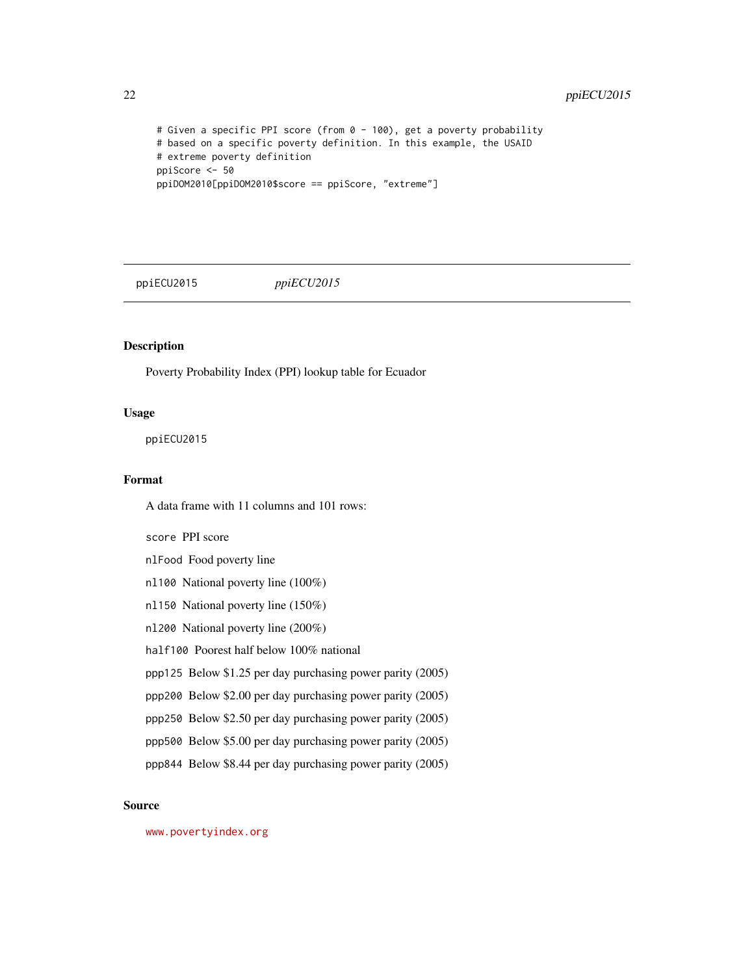```
# Given a specific PPI score (from 0 - 100), get a poverty probability
# based on a specific poverty definition. In this example, the USAID
# extreme poverty definition
ppiScore <- 50
ppiDOM2010[ppiDOM2010$score == ppiScore, "extreme"]
```
ppiECU2015 *ppiECU2015*

# Description

Poverty Probability Index (PPI) lookup table for Ecuador

# Usage

ppiECU2015

# Format

A data frame with 11 columns and 101 rows:

score PPI score

nlFood Food poverty line

- nl100 National poverty line (100%)
- nl150 National poverty line (150%)
- nl200 National poverty line (200%)
- half100 Poorest half below 100% national
- ppp125 Below \$1.25 per day purchasing power parity (2005)
- ppp200 Below \$2.00 per day purchasing power parity (2005)
- ppp250 Below \$2.50 per day purchasing power parity (2005)
- ppp500 Below \$5.00 per day purchasing power parity (2005)
- ppp844 Below \$8.44 per day purchasing power parity (2005)

#### Source

<www.povertyindex.org>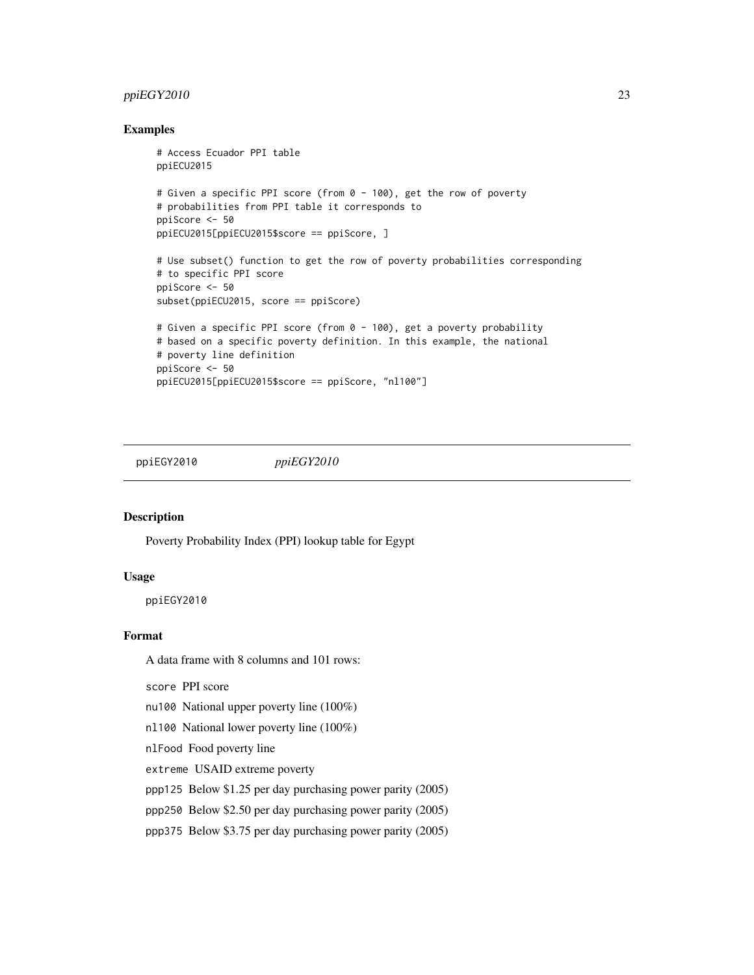# <span id="page-22-0"></span>ppiEGY2010 23

# Examples

```
# Access Ecuador PPI table
ppiECU2015
# Given a specific PPI score (from 0 - 100), get the row of poverty
# probabilities from PPI table it corresponds to
ppiScore <- 50
ppiECU2015[ppiECU2015$score == ppiScore, ]
# Use subset() function to get the row of poverty probabilities corresponding
# to specific PPI score
ppiScore <- 50
subset(ppiECU2015, score == ppiScore)
# Given a specific PPI score (from 0 - 100), get a poverty probability
# based on a specific poverty definition. In this example, the national
# poverty line definition
ppiScore <- 50
ppiECU2015[ppiECU2015$score == ppiScore, "nl100"]
```
ppiEGY2010 *ppiEGY2010*

#### Description

Poverty Probability Index (PPI) lookup table for Egypt

#### Usage

ppiEGY2010

# Format

A data frame with 8 columns and 101 rows:

score PPI score

nu100 National upper poverty line (100%)

nl100 National lower poverty line (100%)

nlFood Food poverty line

extreme USAID extreme poverty

ppp125 Below \$1.25 per day purchasing power parity (2005)

ppp250 Below \$2.50 per day purchasing power parity (2005)

ppp375 Below \$3.75 per day purchasing power parity (2005)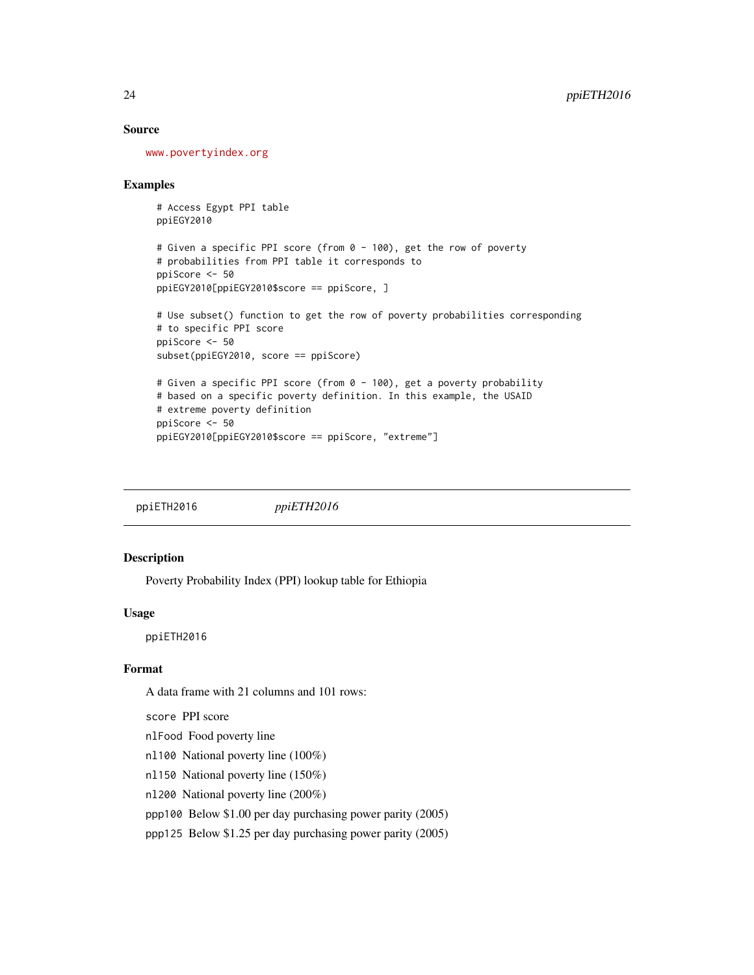#### <span id="page-23-0"></span>Source

<www.povertyindex.org>

#### Examples

```
# Access Egypt PPI table
ppiEGY2010
```

```
# Given a specific PPI score (from 0 - 100), get the row of poverty
# probabilities from PPI table it corresponds to
ppiScore <- 50
ppiEGY2010[ppiEGY2010$score == ppiScore, ]
```

```
# Use subset() function to get the row of poverty probabilities corresponding
# to specific PPI score
ppiScore <- 50
subset(ppiEGY2010, score == ppiScore)
# Given a specific PPI score (from 0 - 100), get a poverty probability
# based on a specific poverty definition. In this example, the USAID
```

```
# extreme poverty definition
ppiScore <- 50
ppiEGY2010[ppiEGY2010$score == ppiScore, "extreme"]
```
ppiETH2016 *ppiETH2016*

# Description

Poverty Probability Index (PPI) lookup table for Ethiopia

#### Usage

ppiETH2016

# Format

A data frame with 21 columns and 101 rows:

score PPI score

nlFood Food poverty line

- nl100 National poverty line (100%)
- nl150 National poverty line (150%)
- nl200 National poverty line (200%)
- ppp100 Below \$1.00 per day purchasing power parity (2005)

ppp125 Below \$1.25 per day purchasing power parity (2005)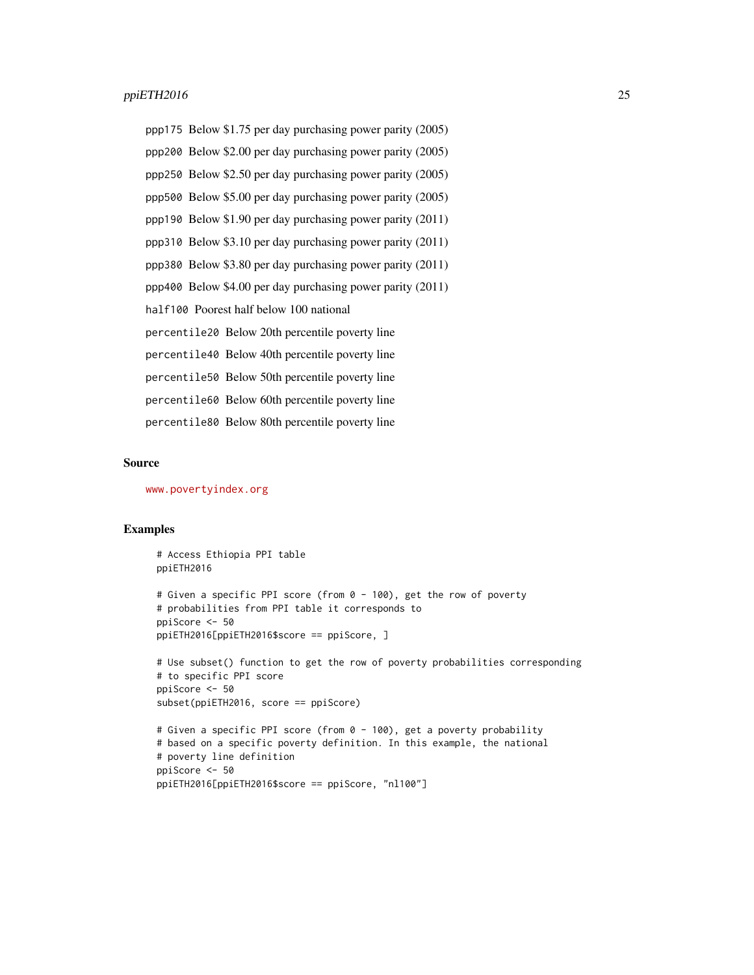ppp175 Below \$1.75 per day purchasing power parity (2005) ppp200 Below \$2.00 per day purchasing power parity (2005) ppp250 Below \$2.50 per day purchasing power parity (2005) ppp500 Below \$5.00 per day purchasing power parity (2005) ppp190 Below \$1.90 per day purchasing power parity (2011) ppp310 Below \$3.10 per day purchasing power parity (2011) ppp380 Below \$3.80 per day purchasing power parity (2011) ppp400 Below \$4.00 per day purchasing power parity (2011) half100 Poorest half below 100 national percentile20 Below 20th percentile poverty line percentile40 Below 40th percentile poverty line percentile50 Below 50th percentile poverty line percentile60 Below 60th percentile poverty line percentile80 Below 80th percentile poverty line

#### Source

<www.povertyindex.org>

ppiScore <- 50

#### Examples

# Access Ethiopia PPI table ppiETH2016 # Given a specific PPI score (from 0 - 100), get the row of poverty # probabilities from PPI table it corresponds to

```
ppiETH2016[ppiETH2016$score == ppiScore, ]
# Use subset() function to get the row of poverty probabilities corresponding
# to specific PPI score
ppiScore <- 50
subset(ppiETH2016, score == ppiScore)
```

```
# Given a specific PPI score (from 0 - 100), get a poverty probability
# based on a specific poverty definition. In this example, the national
# poverty line definition
ppiScore <- 50
ppiETH2016[ppiETH2016$score == ppiScore, "nl100"]
```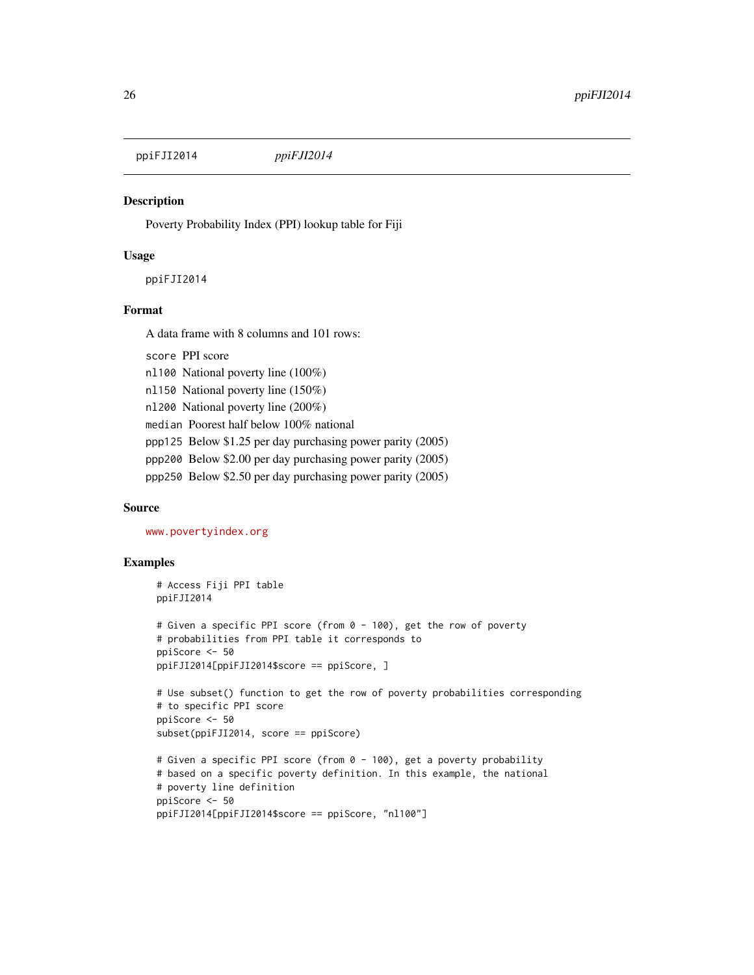<span id="page-25-0"></span>ppiFJI2014 *ppiFJI2014*

#### **Description**

Poverty Probability Index (PPI) lookup table for Fiji

#### Usage

ppiFJI2014

# Format

A data frame with 8 columns and 101 rows:

score PPI score nl100 National poverty line (100%) nl150 National poverty line (150%) nl200 National poverty line (200%)

median Poorest half below 100% national

ppp125 Below \$1.25 per day purchasing power parity (2005)

ppp200 Below \$2.00 per day purchasing power parity (2005)

ppp250 Below \$2.50 per day purchasing power parity (2005)

# Source

<www.povertyindex.org>

```
# Access Fiji PPI table
ppiFJI2014
# Given a specific PPI score (from 0 - 100), get the row of poverty
# probabilities from PPI table it corresponds to
ppiScore <- 50
ppiFJI2014[ppiFJI2014$score == ppiScore, ]
# Use subset() function to get the row of poverty probabilities corresponding
# to specific PPI score
ppiScore <- 50
subset(ppiFJI2014, score == ppiScore)
# Given a specific PPI score (from 0 - 100), get a poverty probability
# based on a specific poverty definition. In this example, the national
# poverty line definition
ppiScore <- 50
ppiFJI2014[ppiFJI2014$score == ppiScore, "nl100"]
```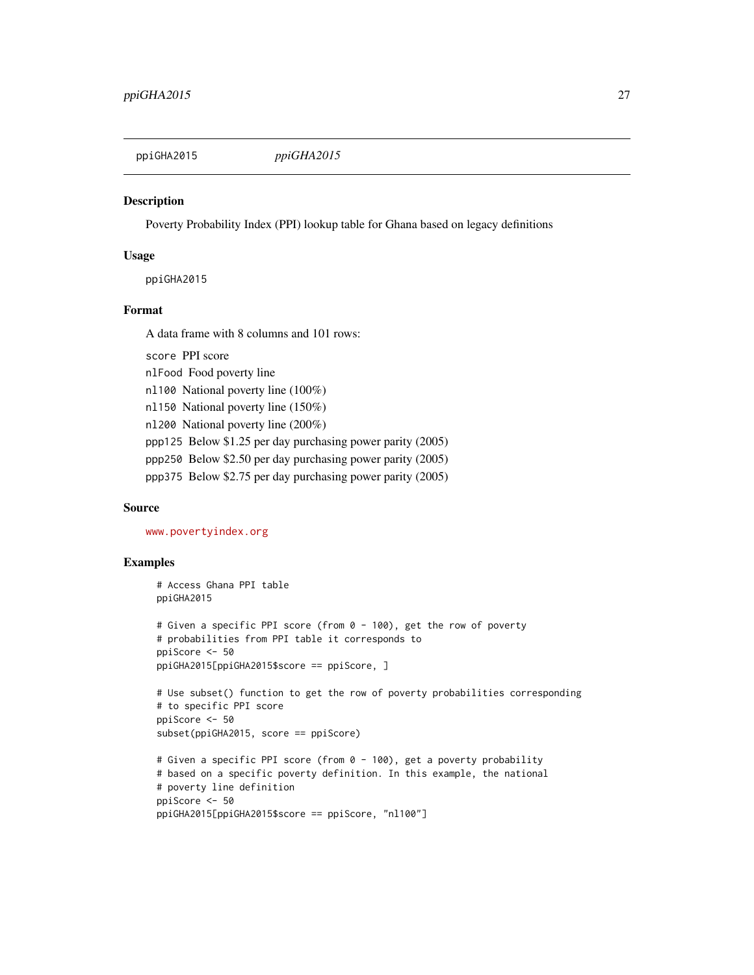<span id="page-26-0"></span>

#### **Description**

Poverty Probability Index (PPI) lookup table for Ghana based on legacy definitions

#### Usage

ppiGHA2015

# Format

A data frame with 8 columns and 101 rows:

score PPI score nlFood Food poverty line nl100 National poverty line (100%) nl150 National poverty line (150%) nl200 National poverty line (200%) ppp125 Below \$1.25 per day purchasing power parity (2005) ppp250 Below \$2.50 per day purchasing power parity (2005) ppp375 Below \$2.75 per day purchasing power parity (2005)

# Source

<www.povertyindex.org>

```
# Access Ghana PPI table
ppiGHA2015
# Given a specific PPI score (from 0 - 100), get the row of poverty
# probabilities from PPI table it corresponds to
ppiScore <- 50
ppiGHA2015[ppiGHA2015$score == ppiScore, ]
# Use subset() function to get the row of poverty probabilities corresponding
# to specific PPI score
ppiScore <- 50
subset(ppiGHA2015, score == ppiScore)
# Given a specific PPI score (from 0 - 100), get a poverty probability
# based on a specific poverty definition. In this example, the national
# poverty line definition
ppiScore <- 50
ppiGHA2015[ppiGHA2015$score == ppiScore, "nl100"]
```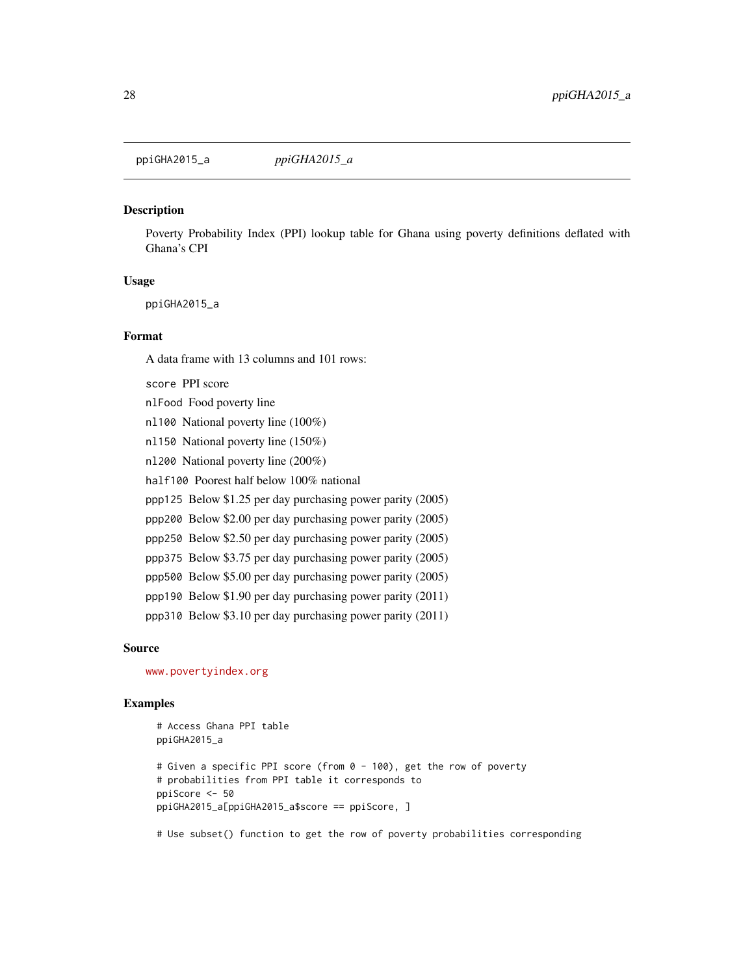<span id="page-27-0"></span>ppiGHA2015\_a *ppiGHA2015\_a*

# Description

Poverty Probability Index (PPI) lookup table for Ghana using poverty definitions deflated with Ghana's CPI

#### Usage

ppiGHA2015\_a

#### Format

A data frame with 13 columns and 101 rows:

score PPI score

nlFood Food poverty line nl100 National poverty line (100%) nl150 National poverty line (150%) nl200 National poverty line (200%) half100 Poorest half below 100% national ppp125 Below \$1.25 per day purchasing power parity (2005) ppp200 Below \$2.00 per day purchasing power parity (2005) ppp250 Below \$2.50 per day purchasing power parity (2005) ppp375 Below \$3.75 per day purchasing power parity (2005) ppp500 Below \$5.00 per day purchasing power parity (2005) ppp190 Below \$1.90 per day purchasing power parity (2011) ppp310 Below \$3.10 per day purchasing power parity (2011)

#### Source

<www.povertyindex.org>

# Examples

```
# Access Ghana PPI table
ppiGHA2015_a
# Given a specific PPI score (from 0 - 100), get the row of poverty
# probabilities from PPI table it corresponds to
ppiScore <- 50
ppiGHA2015_a[ppiGHA2015_a$score == ppiScore, ]
```
# Use subset() function to get the row of poverty probabilities corresponding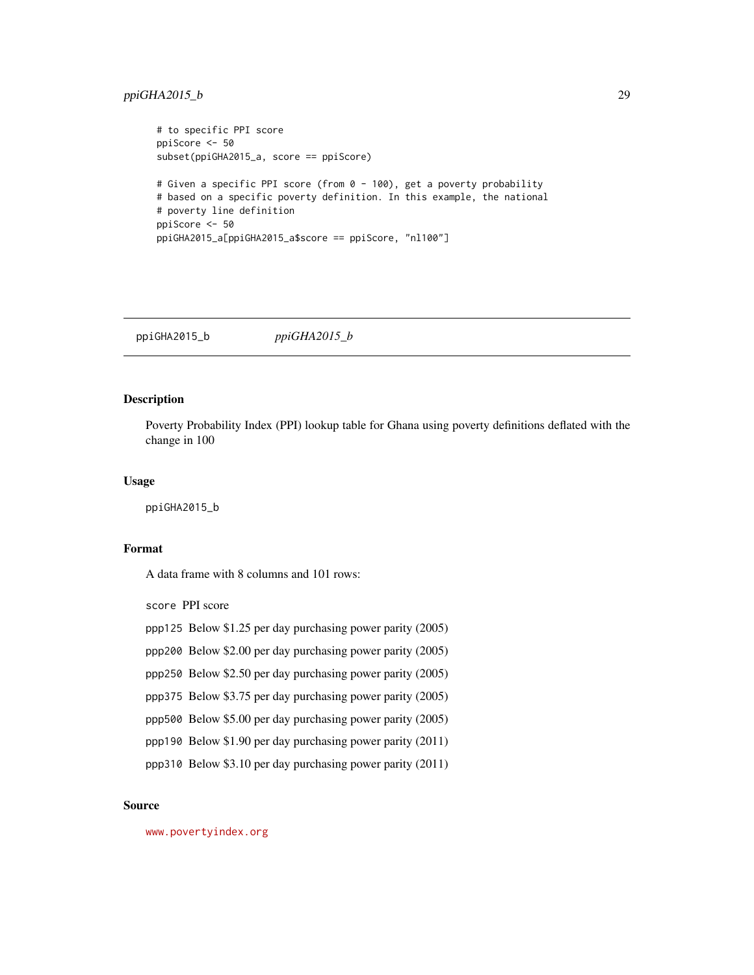# <span id="page-28-0"></span>ppiGHA2015\_b 29

```
# to specific PPI score
ppiScore <- 50
subset(ppiGHA2015_a, score == ppiScore)
# Given a specific PPI score (from 0 - 100), get a poverty probability
# based on a specific poverty definition. In this example, the national
# poverty line definition
ppiScore <- 50
ppiGHA2015_a[ppiGHA2015_a$score == ppiScore, "nl100"]
```
ppiGHA2015\_b *ppiGHA2015\_b*

# Description

Poverty Probability Index (PPI) lookup table for Ghana using poverty definitions deflated with the change in 100

# Usage

ppiGHA2015\_b

# Format

A data frame with 8 columns and 101 rows:

score PPI score

- ppp125 Below \$1.25 per day purchasing power parity (2005)
- ppp200 Below \$2.00 per day purchasing power parity (2005)
- ppp250 Below \$2.50 per day purchasing power parity (2005)
- ppp375 Below \$3.75 per day purchasing power parity (2005)
- ppp500 Below \$5.00 per day purchasing power parity (2005)
- ppp190 Below \$1.90 per day purchasing power parity (2011)
- ppp310 Below \$3.10 per day purchasing power parity (2011)

#### Source

<www.povertyindex.org>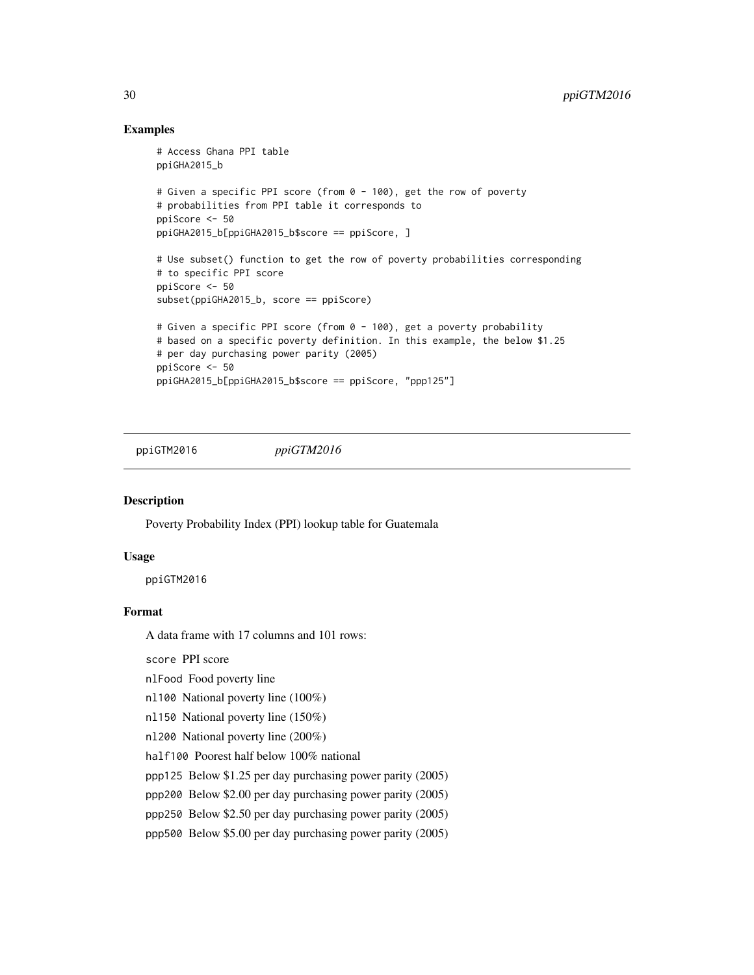# Examples

```
# Access Ghana PPI table
ppiGHA2015_b
# Given a specific PPI score (from 0 - 100), get the row of poverty
# probabilities from PPI table it corresponds to
ppiScore <- 50
ppiGHA2015_b[ppiGHA2015_b$score == ppiScore, ]
# Use subset() function to get the row of poverty probabilities corresponding
# to specific PPI score
ppiScore <- 50
subset(ppiGHA2015_b, score == ppiScore)
# Given a specific PPI score (from 0 - 100), get a poverty probability
# based on a specific poverty definition. In this example, the below $1.25
# per day purchasing power parity (2005)
ppiScore <- 50
ppiGHA2015_b[ppiGHA2015_b$score == ppiScore, "ppp125"]
```
ppiGTM2016 *ppiGTM2016*

# Description

Poverty Probability Index (PPI) lookup table for Guatemala

# Usage

ppiGTM2016

# Format

A data frame with 17 columns and 101 rows:

score PPI score

nlFood Food poverty line

nl100 National poverty line (100%)

```
nl150 National poverty line (150%)
```
nl200 National poverty line (200%)

half100 Poorest half below 100% national

ppp125 Below \$1.25 per day purchasing power parity (2005)

ppp200 Below \$2.00 per day purchasing power parity (2005)

ppp250 Below \$2.50 per day purchasing power parity (2005)

ppp500 Below \$5.00 per day purchasing power parity (2005)

<span id="page-29-0"></span>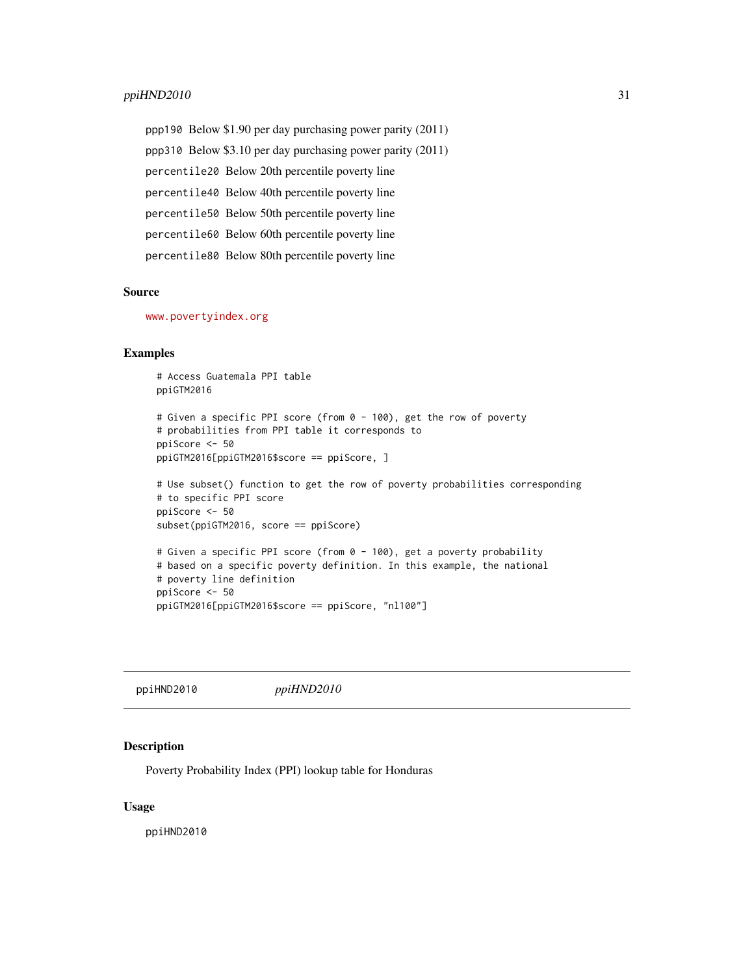#### <span id="page-30-0"></span> $p$ piHND2010 31

ppp190 Below \$1.90 per day purchasing power parity (2011) ppp310 Below \$3.10 per day purchasing power parity (2011) percentile20 Below 20th percentile poverty line percentile40 Below 40th percentile poverty line percentile50 Below 50th percentile poverty line percentile60 Below 60th percentile poverty line percentile80 Below 80th percentile poverty line

#### Source

<www.povertyindex.org>

# Examples

```
# Access Guatemala PPI table
ppiGTM2016
# Given a specific PPI score (from 0 - 100), get the row of poverty
# probabilities from PPI table it corresponds to
ppiScore <- 50
ppiGTM2016[ppiGTM2016$score == ppiScore, ]
# Use subset() function to get the row of poverty probabilities corresponding
# to specific PPI score
ppiScore <- 50
subset(ppiGTM2016, score == ppiScore)
# Given a specific PPI score (from 0 - 100), get a poverty probability
# based on a specific poverty definition. In this example, the national
# poverty line definition
ppiScore <- 50
ppiGTM2016[ppiGTM2016$score == ppiScore, "nl100"]
```
ppiHND2010 *ppiHND2010*

#### Description

Poverty Probability Index (PPI) lookup table for Honduras

#### Usage

ppiHND2010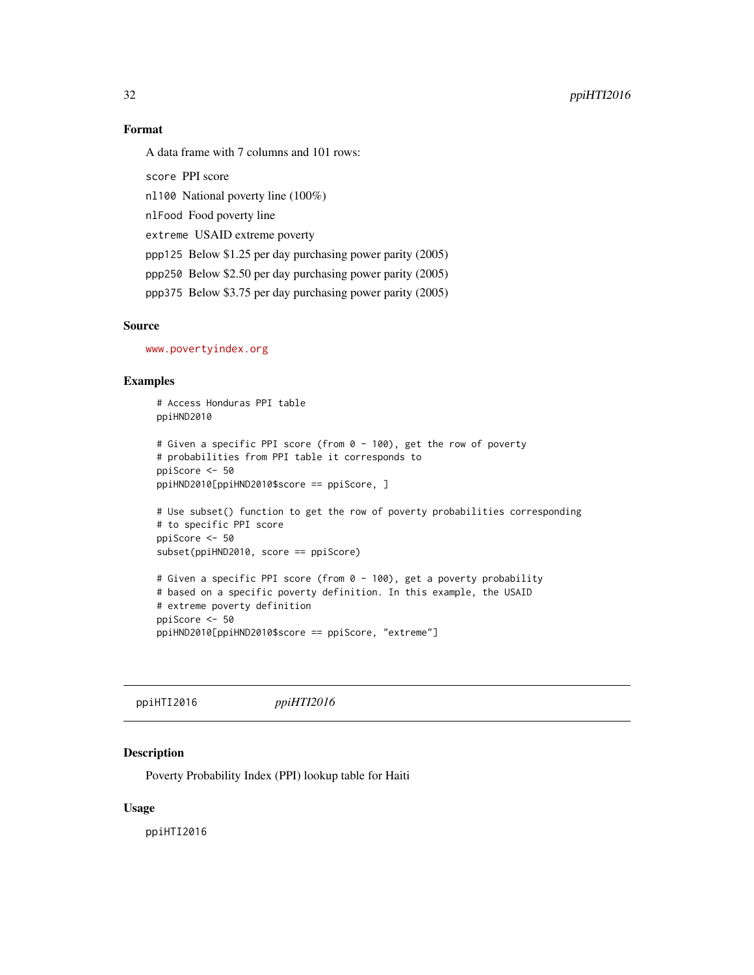<span id="page-31-0"></span>32 ppiHTI2016

# Format

A data frame with 7 columns and 101 rows:

score PPI score

nl100 National poverty line (100%)

nlFood Food poverty line

extreme USAID extreme poverty

ppp125 Below \$1.25 per day purchasing power parity (2005)

ppp250 Below \$2.50 per day purchasing power parity (2005)

ppp375 Below \$3.75 per day purchasing power parity (2005)

# Source

<www.povertyindex.org>

# Examples

```
# Access Honduras PPI table
ppiHND2010
# Given a specific PPI score (from 0 - 100), get the row of poverty
# probabilities from PPI table it corresponds to
ppiScore <- 50
ppiHND2010[ppiHND2010$score == ppiScore, ]
# Use subset() function to get the row of poverty probabilities corresponding
# to specific PPI score
ppiScore <- 50
subset(ppiHND2010, score == ppiScore)
# Given a specific PPI score (from 0 - 100), get a poverty probability
# based on a specific poverty definition. In this example, the USAID
# extreme poverty definition
ppiScore <- 50
ppiHND2010[ppiHND2010$score == ppiScore, "extreme"]
```
ppiHTI2016 *ppiHTI2016*

# **Description**

Poverty Probability Index (PPI) lookup table for Haiti

#### Usage

ppiHTI2016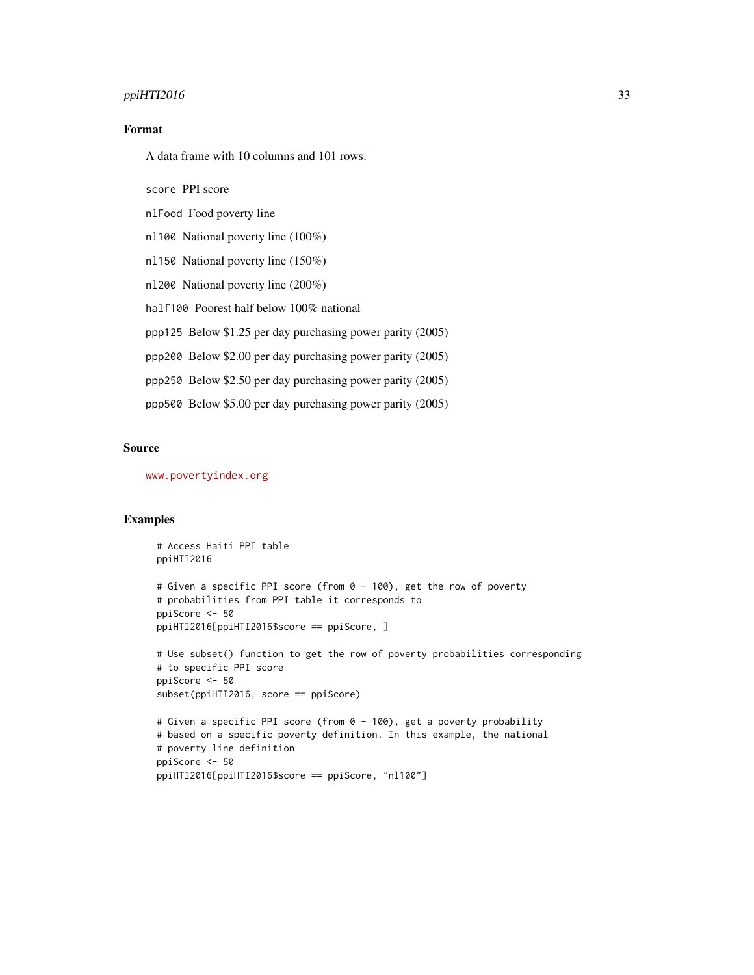# $ppiHTI2016$  33

# Format

A data frame with 10 columns and 101 rows:

score PPI score

nlFood Food poverty line

nl100 National poverty line (100%)

nl150 National poverty line (150%)

nl200 National poverty line (200%)

half100 Poorest half below 100% national

ppp125 Below \$1.25 per day purchasing power parity (2005)

ppp200 Below \$2.00 per day purchasing power parity (2005)

ppp250 Below \$2.50 per day purchasing power parity (2005)

ppp500 Below \$5.00 per day purchasing power parity (2005)

ppiHTI2016[ppiHTI2016\$score == ppiScore, "nl100"]

#### Source

<www.povertyindex.org>

ppiScore <- 50

```
# Access Haiti PPI table
ppiHTI2016
# Given a specific PPI score (from 0 - 100), get the row of poverty
# probabilities from PPI table it corresponds to
ppiScore <- 50
ppiHTI2016[ppiHTI2016$score == ppiScore, ]
# Use subset() function to get the row of poverty probabilities corresponding
# to specific PPI score
ppiScore <- 50
subset(ppiHTI2016, score == ppiScore)
# Given a specific PPI score (from 0 - 100), get a poverty probability
# based on a specific poverty definition. In this example, the national
# poverty line definition
```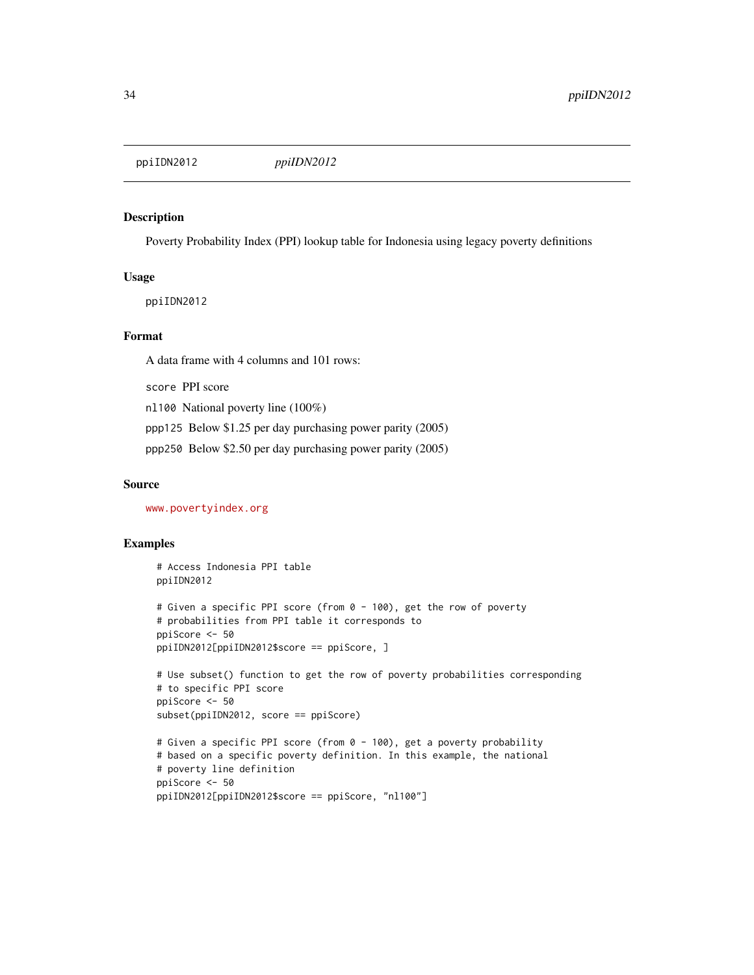<span id="page-33-0"></span>ppiIDN2012 *ppiIDN2012*

# Description

Poverty Probability Index (PPI) lookup table for Indonesia using legacy poverty definitions

# Usage

ppiIDN2012

# Format

A data frame with 4 columns and 101 rows:

score PPI score

nl100 National poverty line (100%)

ppp125 Below \$1.25 per day purchasing power parity (2005)

ppp250 Below \$2.50 per day purchasing power parity (2005)

ppiIDN2012[ppiIDN2012\$score == ppiScore, "nl100"]

#### Source

<www.povertyindex.org>

```
# Access Indonesia PPI table
ppiIDN2012
# Given a specific PPI score (from 0 - 100), get the row of poverty
# probabilities from PPI table it corresponds to
ppiScore <- 50
ppiIDN2012[ppiIDN2012$score == ppiScore, ]
# Use subset() function to get the row of poverty probabilities corresponding
# to specific PPI score
ppiScore <- 50
subset(ppiIDN2012, score == ppiScore)
# Given a specific PPI score (from 0 - 100), get a poverty probability
# based on a specific poverty definition. In this example, the national
# poverty line definition
ppiScore <- 50
```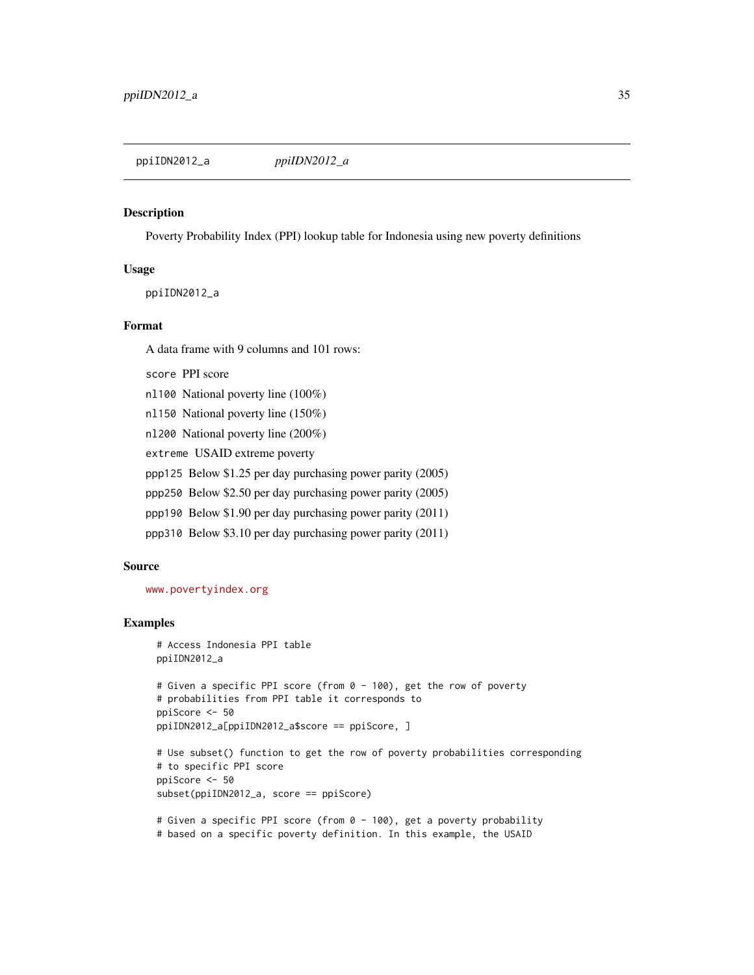#### <span id="page-34-0"></span>Description

Poverty Probability Index (PPI) lookup table for Indonesia using new poverty definitions

#### Usage

ppiIDN2012\_a

#### Format

A data frame with 9 columns and 101 rows:

score PPI score

nl100 National poverty line (100%)

nl150 National poverty line (150%)

nl200 National poverty line (200%)

extreme USAID extreme poverty

ppp125 Below \$1.25 per day purchasing power parity (2005)

ppp250 Below \$2.50 per day purchasing power parity (2005)

ppp190 Below \$1.90 per day purchasing power parity (2011)

ppp310 Below \$3.10 per day purchasing power parity (2011)

#### Source

<www.povertyindex.org>

# Examples

```
# Access Indonesia PPI table
ppiIDN2012_a
# Given a specific PPI score (from 0 - 100), get the row of poverty
# probabilities from PPI table it corresponds to
ppiScore <- 50
ppiIDN2012_a[ppiIDN2012_a$score == ppiScore, ]
# Use subset() function to get the row of poverty probabilities corresponding
# to specific PPI score
ppiScore <- 50
subset(ppiIDN2012_a, score == ppiScore)
# Given a specific PPI score (from 0 - 100), get a poverty probability
```
# based on a specific poverty definition. In this example, the USAID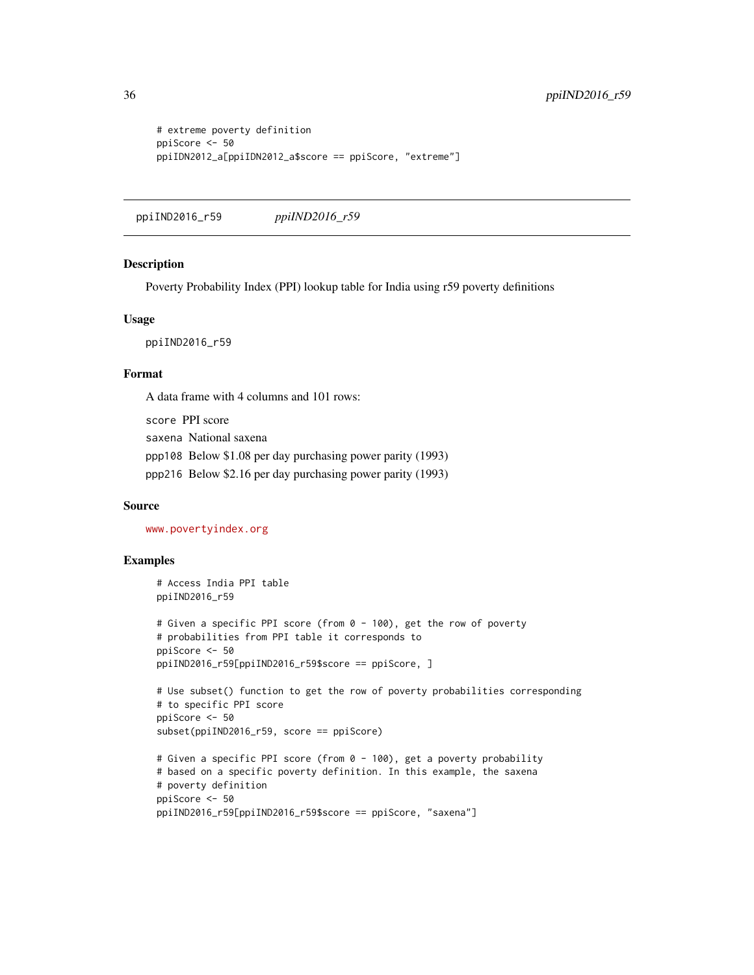```
# extreme poverty definition
ppiScore <- 50
ppiIDN2012_a[ppiIDN2012_a$score == ppiScore, "extreme"]
```
ppiIND2016\_r59 *ppiIND2016\_r59*

# Description

Poverty Probability Index (PPI) lookup table for India using r59 poverty definitions

# Usage

ppiIND2016\_r59

# Format

A data frame with 4 columns and 101 rows:

score PPI score saxena National saxena ppp108 Below \$1.08 per day purchasing power parity (1993) ppp216 Below \$2.16 per day purchasing power parity (1993)

#### Source

<www.povertyindex.org>

```
# Access India PPI table
ppiIND2016_r59
# Given a specific PPI score (from 0 - 100), get the row of poverty
# probabilities from PPI table it corresponds to
ppiScore <- 50
ppiIND2016_r59[ppiIND2016_r59$score == ppiScore, ]
# Use subset() function to get the row of poverty probabilities corresponding
# to specific PPI score
ppiScore <- 50
subset(ppiIND2016_r59, score == ppiScore)
# Given a specific PPI score (from 0 - 100), get a poverty probability
# based on a specific poverty definition. In this example, the saxena
# poverty definition
ppiScore <- 50
ppiIND2016_r59[ppiIND2016_r59$score == ppiScore, "saxena"]
```
<span id="page-35-0"></span>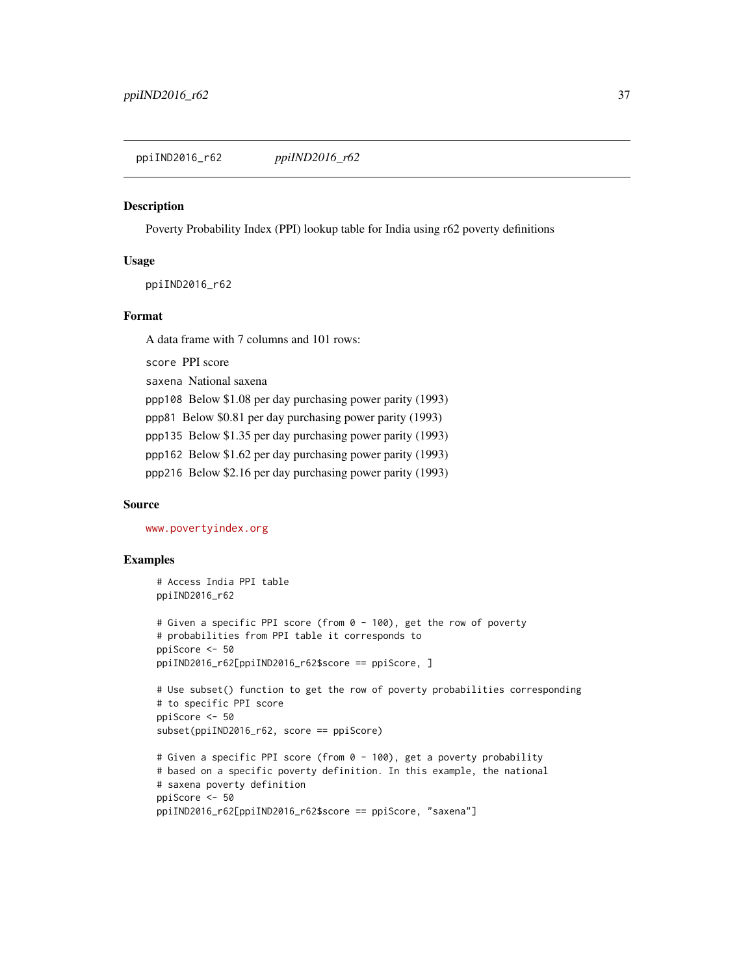ppiIND2016\_r62 *ppiIND2016\_r62*

#### Description

Poverty Probability Index (PPI) lookup table for India using r62 poverty definitions

## Usage

ppiIND2016\_r62

# Format

A data frame with 7 columns and 101 rows:

score PPI score

saxena National saxena

ppp108 Below \$1.08 per day purchasing power parity (1993)

ppp81 Below \$0.81 per day purchasing power parity (1993)

ppp135 Below \$1.35 per day purchasing power parity (1993)

ppp162 Below \$1.62 per day purchasing power parity (1993)

ppp216 Below \$2.16 per day purchasing power parity (1993)

## Source

<www.povertyindex.org>

```
# Access India PPI table
ppiIND2016_r62
# Given a specific PPI score (from 0 - 100), get the row of poverty
# probabilities from PPI table it corresponds to
ppiScore <- 50
ppiIND2016_r62[ppiIND2016_r62$score == ppiScore, ]
# Use subset() function to get the row of poverty probabilities corresponding
# to specific PPI score
ppiScore <- 50
subset(ppiIND2016_r62, score == ppiScore)
# Given a specific PPI score (from 0 - 100), get a poverty probability
# based on a specific poverty definition. In this example, the national
# saxena poverty definition
ppiScore <- 50
ppiIND2016_r62[ppiIND2016_r62$score == ppiScore, "saxena"]
```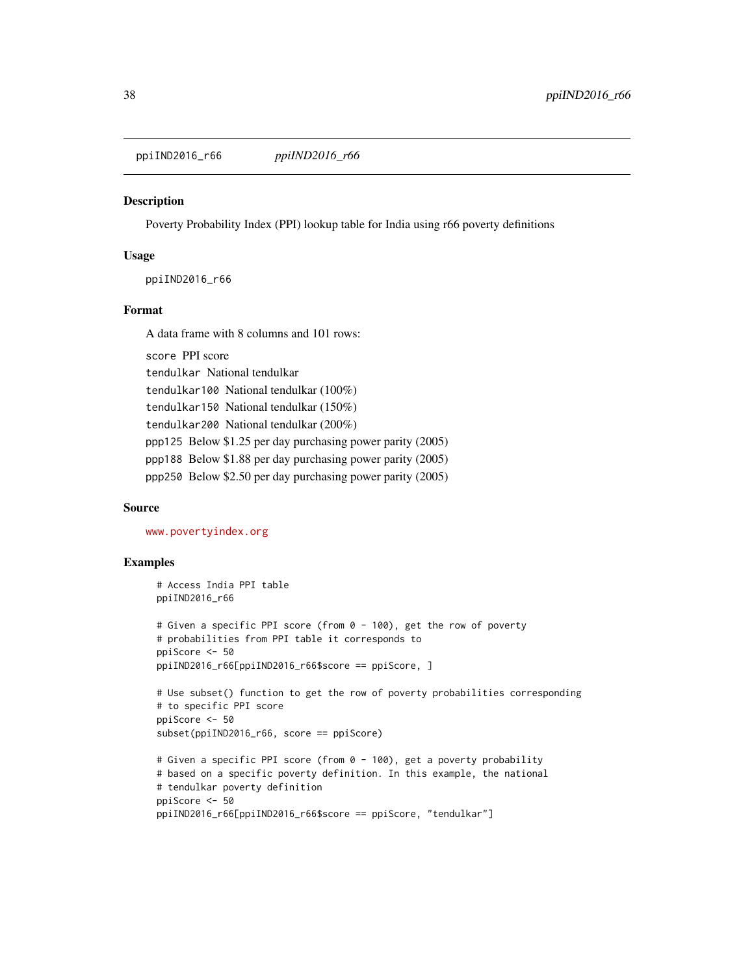ppiIND2016\_r66 *ppiIND2016\_r66*

## **Description**

Poverty Probability Index (PPI) lookup table for India using r66 poverty definitions

## Usage

ppiIND2016\_r66

#### Format

A data frame with 8 columns and 101 rows:

score PPI score tendulkar National tendulkar tendulkar100 National tendulkar (100%) tendulkar150 National tendulkar (150%) tendulkar200 National tendulkar (200%) ppp125 Below \$1.25 per day purchasing power parity (2005) ppp188 Below \$1.88 per day purchasing power parity (2005) ppp250 Below \$2.50 per day purchasing power parity (2005)

# Source

<www.povertyindex.org>

```
# Access India PPI table
ppiIND2016_r66
# Given a specific PPI score (from 0 - 100), get the row of poverty
# probabilities from PPI table it corresponds to
ppiScore <- 50
ppiIND2016_r66[ppiIND2016_r66$score == ppiScore, ]
# Use subset() function to get the row of poverty probabilities corresponding
# to specific PPI score
ppiScore <- 50
subset(ppiIND2016_r66, score == ppiScore)
# Given a specific PPI score (from 0 - 100), get a poverty probability
# based on a specific poverty definition. In this example, the national
# tendulkar poverty definition
ppiScore <- 50
ppiIND2016_r66[ppiIND2016_r66$score == ppiScore, "tendulkar"]
```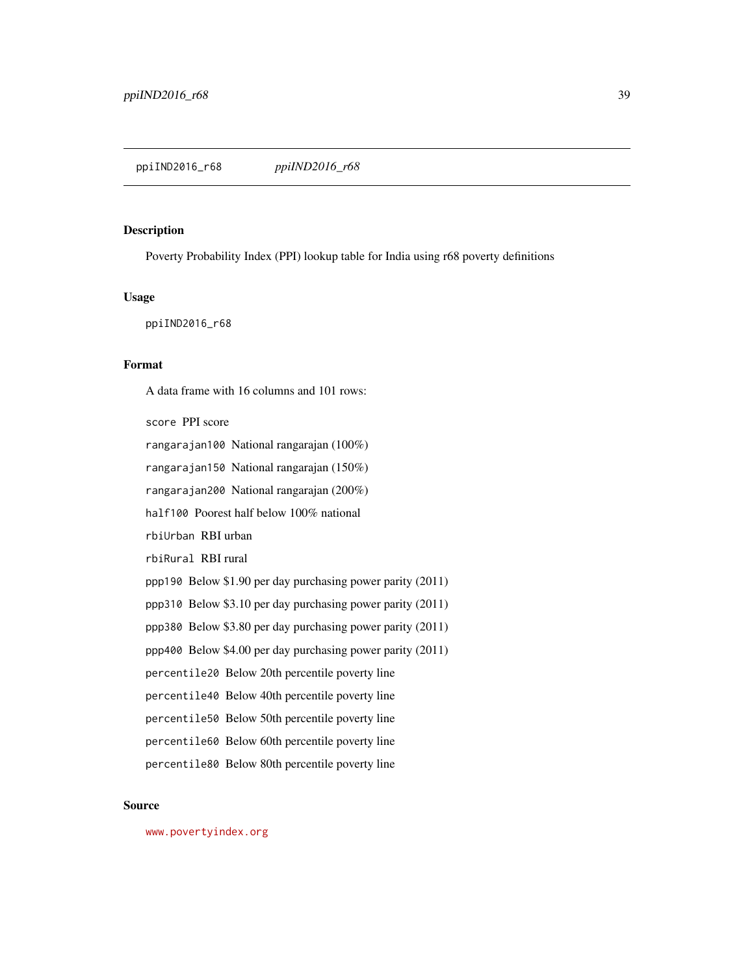## ppiIND2016\_r68 *ppiIND2016\_r68*

# Description

Poverty Probability Index (PPI) lookup table for India using r68 poverty definitions

# Usage

ppiIND2016\_r68

# Format

A data frame with 16 columns and 101 rows:

score PPI score

rangarajan100 National rangarajan (100%)

rangarajan150 National rangarajan (150%)

rangarajan200 National rangarajan (200%)

half100 Poorest half below 100% national

rbiUrban RBI urban

rbiRural RBI rural

ppp190 Below \$1.90 per day purchasing power parity (2011)

ppp310 Below \$3.10 per day purchasing power parity (2011)

ppp380 Below \$3.80 per day purchasing power parity (2011)

ppp400 Below \$4.00 per day purchasing power parity (2011)

percentile20 Below 20th percentile poverty line

percentile40 Below 40th percentile poverty line

percentile50 Below 50th percentile poverty line

percentile60 Below 60th percentile poverty line

percentile80 Below 80th percentile poverty line

#### Source

<www.povertyindex.org>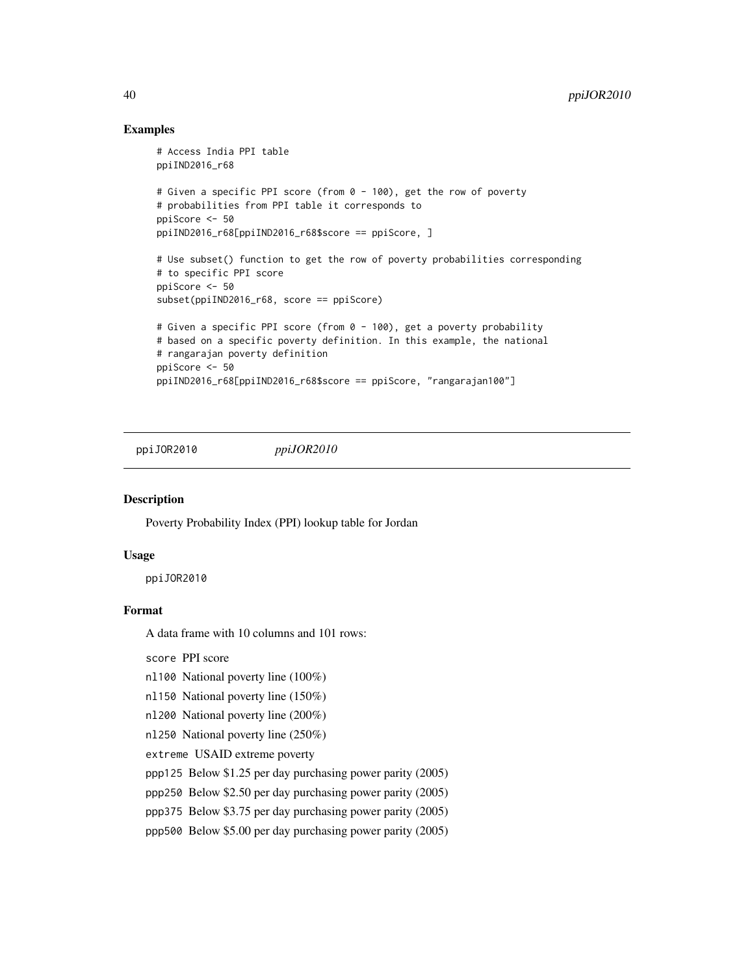# Examples

```
# Access India PPI table
ppiIND2016_r68
# Given a specific PPI score (from 0 - 100), get the row of poverty
# probabilities from PPI table it corresponds to
ppiScore <- 50
ppiIND2016_r68[ppiIND2016_r68$score == ppiScore, ]
# Use subset() function to get the row of poverty probabilities corresponding
# to specific PPI score
ppiScore <- 50
subset(ppiIND2016_r68, score == ppiScore)
# Given a specific PPI score (from 0 - 100), get a poverty probability
# based on a specific poverty definition. In this example, the national
# rangarajan poverty definition
ppiScore <- 50
ppiIND2016_r68[ppiIND2016_r68$score == ppiScore, "rangarajan100"]
```
ppiJOR2010 *ppiJOR2010*

## **Description**

Poverty Probability Index (PPI) lookup table for Jordan

## Usage

ppiJOR2010

## Format

A data frame with 10 columns and 101 rows:

score PPI score

- nl100 National poverty line (100%)
- nl150 National poverty line (150%)
- nl200 National poverty line (200%)
- nl250 National poverty line (250%)
- extreme USAID extreme poverty
- ppp125 Below \$1.25 per day purchasing power parity (2005)
- ppp250 Below \$2.50 per day purchasing power parity (2005)
- ppp375 Below \$3.75 per day purchasing power parity (2005)
- ppp500 Below \$5.00 per day purchasing power parity (2005)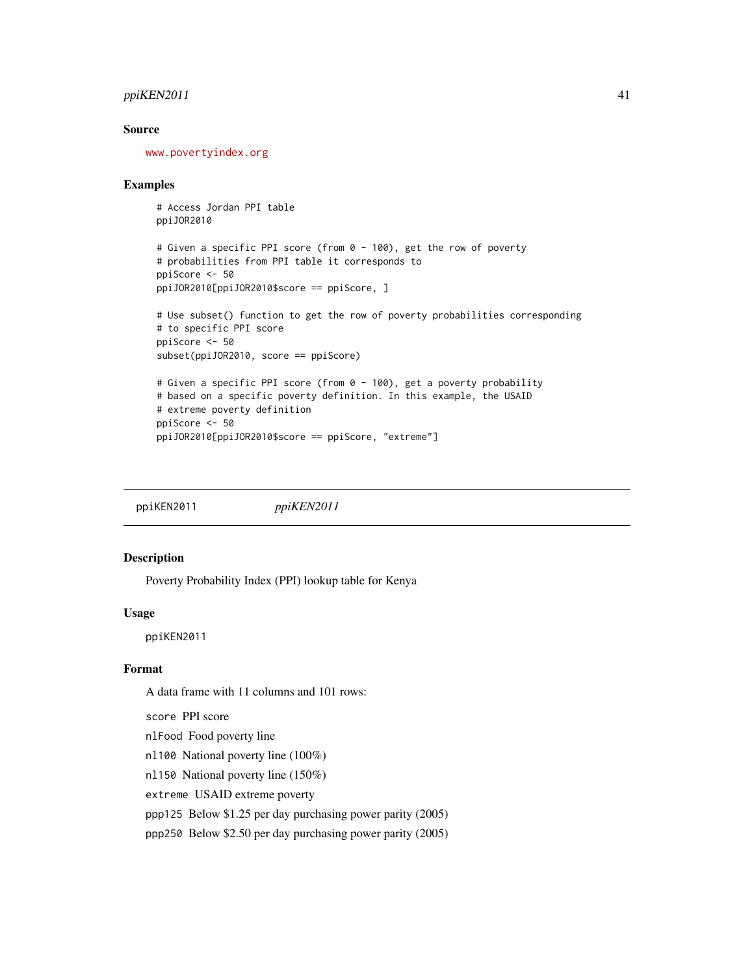# ppiKEN2011 41

# Source

<www.povertyindex.org>

#### Examples

```
# Access Jordan PPI table
ppiJOR2010
```

```
# Given a specific PPI score (from 0 - 100), get the row of poverty
# probabilities from PPI table it corresponds to
ppiScore <- 50
ppiJOR2010[ppiJOR2010$score == ppiScore, ]
```

```
# Use subset() function to get the row of poverty probabilities corresponding
# to specific PPI score
ppiScore <- 50
subset(ppiJOR2010, score == ppiScore)
# Given a specific PPI score (from 0 - 100), get a poverty probability
# based on a specific poverty definition. In this example, the USAID
# extreme poverty definition
ppiScore <- 50
```

```
ppiJOR2010[ppiJOR2010$score == ppiScore, "extreme"]
```
ppiKEN2011 *ppiKEN2011*

## Description

Poverty Probability Index (PPI) lookup table for Kenya

#### Usage

ppiKEN2011

## Format

A data frame with 11 columns and 101 rows:

score PPI score

nlFood Food poverty line

nl100 National poverty line (100%)

nl150 National poverty line (150%)

extreme USAID extreme poverty

ppp125 Below \$1.25 per day purchasing power parity (2005)

ppp250 Below \$2.50 per day purchasing power parity (2005)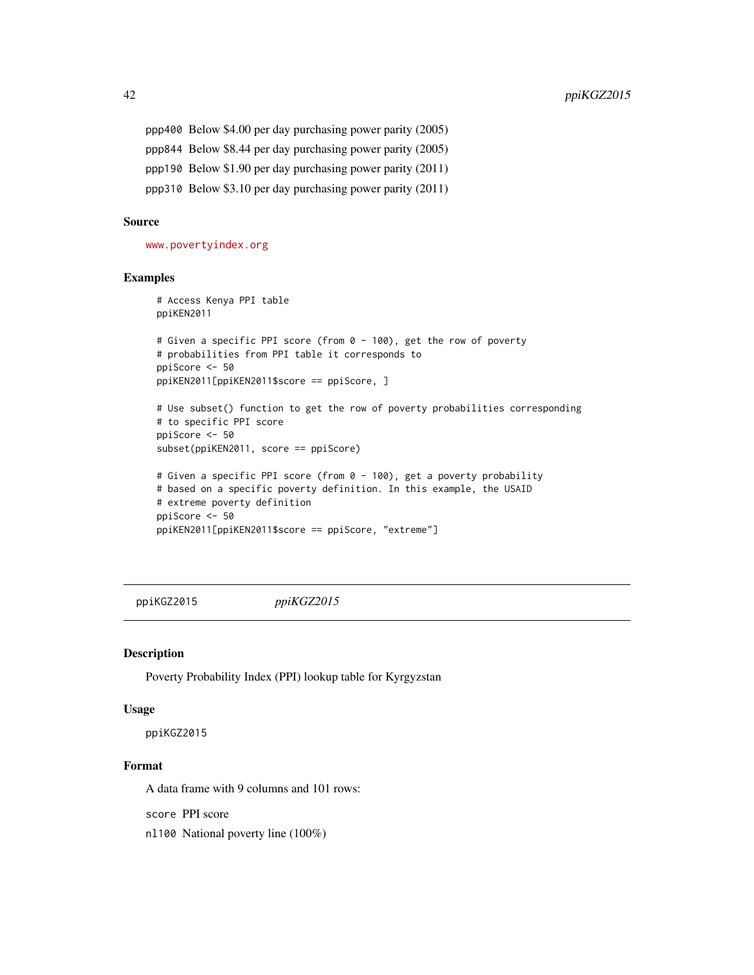ppp400 Below \$4.00 per day purchasing power parity (2005) ppp844 Below \$8.44 per day purchasing power parity (2005) ppp190 Below \$1.90 per day purchasing power parity (2011) ppp310 Below \$3.10 per day purchasing power parity (2011)

## Source

<www.povertyindex.org>

# Examples

```
# Access Kenya PPI table
ppiKEN2011
# Given a specific PPI score (from 0 - 100), get the row of poverty
# probabilities from PPI table it corresponds to
ppiScore <- 50
ppiKEN2011[ppiKEN2011$score == ppiScore, ]
# Use subset() function to get the row of poverty probabilities corresponding
# to specific PPI score
ppiScore <- 50
subset(ppiKEN2011, score == ppiScore)
# Given a specific PPI score (from 0 - 100), get a poverty probability
# based on a specific poverty definition. In this example, the USAID
# extreme poverty definition
ppiScore <- 50
ppiKEN2011[ppiKEN2011$score == ppiScore, "extreme"]
```
ppiKGZ2015 *ppiKGZ2015*

#### Description

Poverty Probability Index (PPI) lookup table for Kyrgyzstan

# Usage

ppiKGZ2015

# Format

A data frame with 9 columns and 101 rows:

score PPI score

nl100 National poverty line (100%)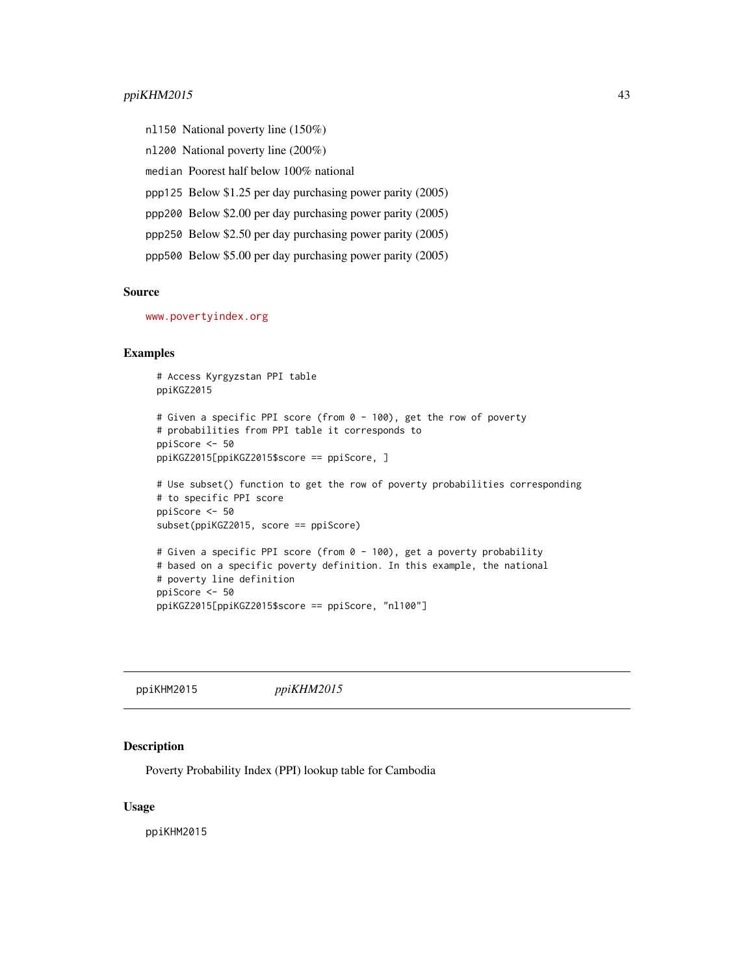nl150 National poverty line (150%) nl200 National poverty line (200%) median Poorest half below 100% national ppp125 Below \$1.25 per day purchasing power parity (2005) ppp200 Below \$2.00 per day purchasing power parity (2005) ppp250 Below \$2.50 per day purchasing power parity (2005) ppp500 Below \$5.00 per day purchasing power parity (2005)

# Source

<www.povertyindex.org>

## Examples

```
# Access Kyrgyzstan PPI table
ppiKGZ2015
# Given a specific PPI score (from 0 - 100), get the row of poverty
# probabilities from PPI table it corresponds to
ppiScore <- 50
ppiKGZ2015[ppiKGZ2015$score == ppiScore, ]
# Use subset() function to get the row of poverty probabilities corresponding
# to specific PPI score
ppiScore <- 50
subset(ppiKGZ2015, score == ppiScore)
# Given a specific PPI score (from 0 - 100), get a poverty probability
# based on a specific poverty definition. In this example, the national
# poverty line definition
ppiScore <- 50
ppiKGZ2015[ppiKGZ2015$score == ppiScore, "nl100"]
```
ppiKHM2015 *ppiKHM2015*

#### Description

Poverty Probability Index (PPI) lookup table for Cambodia

#### Usage

ppiKHM2015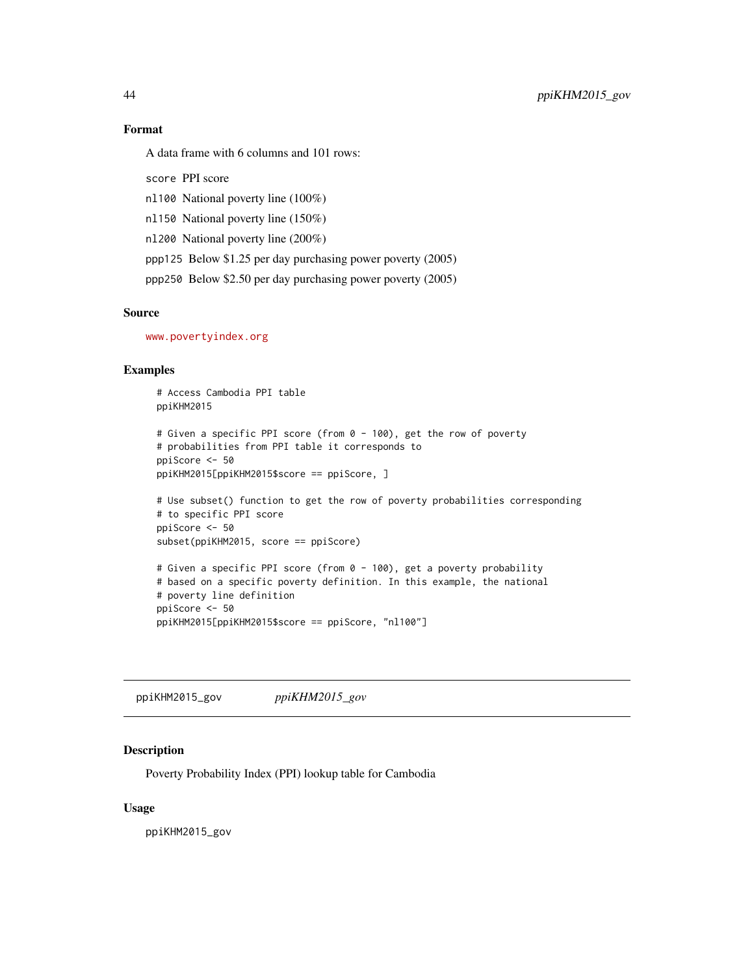# Format

A data frame with 6 columns and 101 rows:

score PPI score

nl100 National poverty line (100%)

nl150 National poverty line (150%)

nl200 National poverty line (200%)

ppp125 Below \$1.25 per day purchasing power poverty (2005)

ppp250 Below \$2.50 per day purchasing power poverty (2005)

# Source

<www.povertyindex.org>

# Examples

# Access Cambodia PPI table ppiKHM2015

```
# Given a specific PPI score (from 0 - 100), get the row of poverty
# probabilities from PPI table it corresponds to
ppiScore <- 50
ppiKHM2015[ppiKHM2015$score == ppiScore, ]
```

```
# Use subset() function to get the row of poverty probabilities corresponding
# to specific PPI score
ppiScore <- 50
subset(ppiKHM2015, score == ppiScore)
```

```
# Given a specific PPI score (from 0 - 100), get a poverty probability
# based on a specific poverty definition. In this example, the national
# poverty line definition
ppiScore <- 50
ppiKHM2015[ppiKHM2015$score == ppiScore, "nl100"]
```
ppiKHM2015\_gov *ppiKHM2015\_gov*

# Description

Poverty Probability Index (PPI) lookup table for Cambodia

## Usage

ppiKHM2015\_gov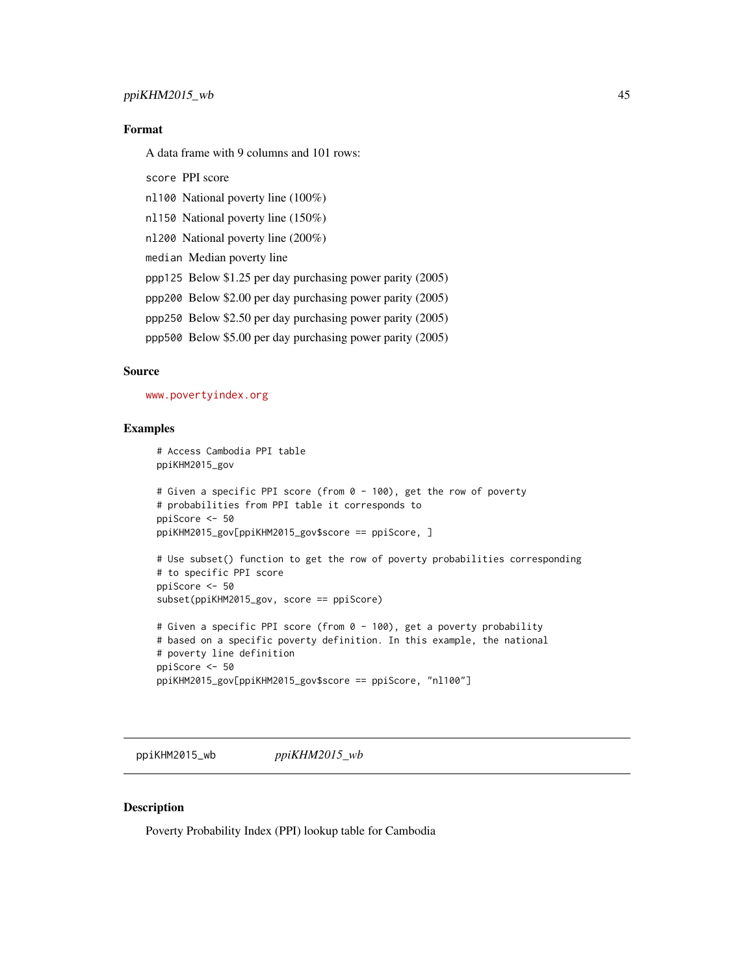# ppiKHM2015\_wb 45

# Format

A data frame with 9 columns and 101 rows:

- score PPI score
- nl100 National poverty line (100%)
- nl150 National poverty line (150%)
- nl200 National poverty line (200%)
- median Median poverty line
- ppp125 Below \$1.25 per day purchasing power parity (2005)
- ppp200 Below \$2.00 per day purchasing power parity (2005)
- ppp250 Below \$2.50 per day purchasing power parity (2005)
- ppp500 Below \$5.00 per day purchasing power parity (2005)

# Source

<www.povertyindex.org>

## Examples

```
# Access Cambodia PPI table
ppiKHM2015_gov
# Given a specific PPI score (from 0 - 100), get the row of poverty
# probabilities from PPI table it corresponds to
ppiScore <- 50
ppiKHM2015_gov[ppiKHM2015_gov$score == ppiScore, ]
# Use subset() function to get the row of poverty probabilities corresponding
```

```
# to specific PPI score
ppiScore <- 50
subset(ppiKHM2015_gov, score == ppiScore)
# Given a specific PPI score (from 0 - 100), get a poverty probability
```

```
# based on a specific poverty definition. In this example, the national
# poverty line definition
ppiScore <- 50
ppiKHM2015_gov[ppiKHM2015_gov$score == ppiScore, "nl100"]
```
ppiKHM2015\_wb *ppiKHM2015\_wb*

# Description

Poverty Probability Index (PPI) lookup table for Cambodia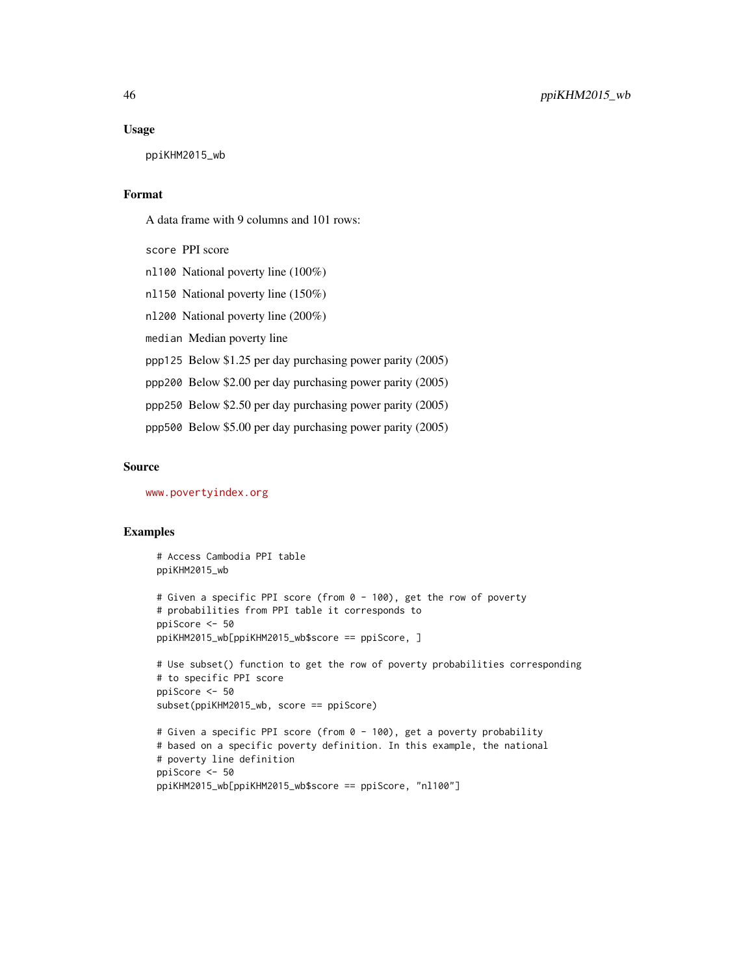#### Usage

ppiKHM2015\_wb

#### Format

A data frame with 9 columns and 101 rows:

score PPI score

nl100 National poverty line (100%)

nl150 National poverty line (150%)

nl200 National poverty line (200%)

median Median poverty line

ppp125 Below \$1.25 per day purchasing power parity (2005)

ppp200 Below \$2.00 per day purchasing power parity (2005)

ppp250 Below \$2.50 per day purchasing power parity (2005)

ppp500 Below \$5.00 per day purchasing power parity (2005)

#### Source

<www.povertyindex.org>

## Examples

# Access Cambodia PPI table ppiKHM2015\_wb # Given a specific PPI score (from 0 - 100), get the row of poverty # probabilities from PPI table it corresponds to ppiScore <- 50 ppiKHM2015\_wb[ppiKHM2015\_wb\$score == ppiScore, ] # Use subset() function to get the row of poverty probabilities corresponding # to specific PPI score ppiScore <- 50 subset(ppiKHM2015\_wb, score == ppiScore) # Given a specific PPI score (from 0 - 100), get a poverty probability # based on a specific poverty definition. In this example, the national # poverty line definition ppiScore <- 50

```
ppiKHM2015_wb[ppiKHM2015_wb$score == ppiScore, "nl100"]
```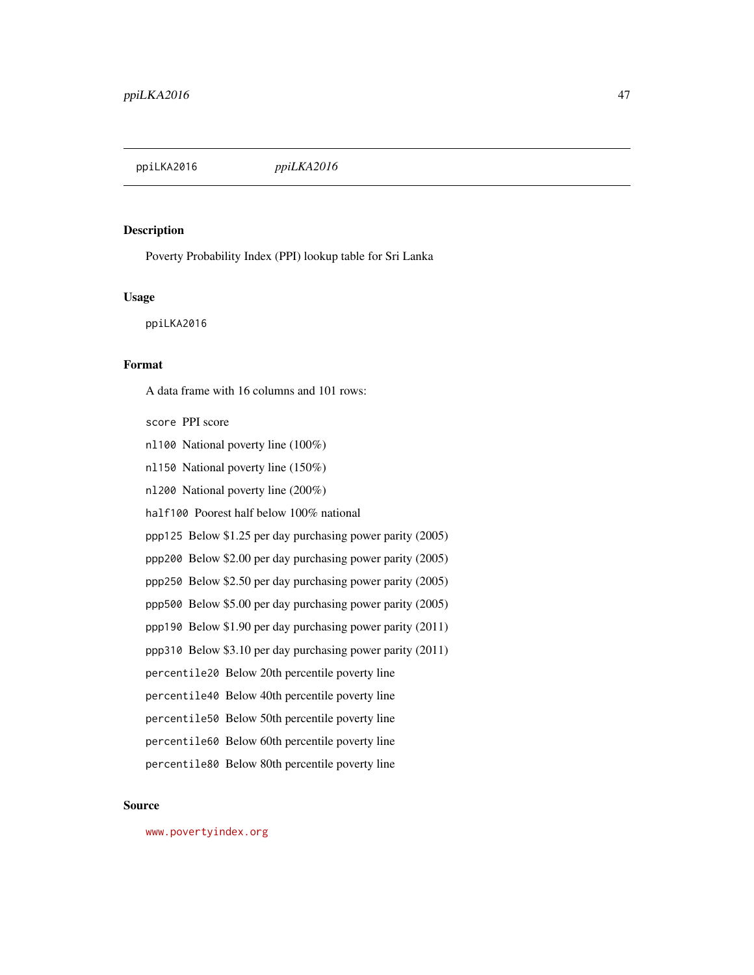ppiLKA2016 *ppiLKA2016*

## Description

Poverty Probability Index (PPI) lookup table for Sri Lanka

# Usage

ppiLKA2016

# Format

A data frame with 16 columns and 101 rows:

score PPI score

- nl100 National poverty line (100%)
- nl150 National poverty line (150%)
- nl200 National poverty line (200%)
- half100 Poorest half below 100% national
- ppp125 Below \$1.25 per day purchasing power parity (2005)
- ppp200 Below \$2.00 per day purchasing power parity (2005)
- ppp250 Below \$2.50 per day purchasing power parity (2005)
- ppp500 Below \$5.00 per day purchasing power parity (2005)
- ppp190 Below \$1.90 per day purchasing power parity (2011)
- ppp310 Below \$3.10 per day purchasing power parity (2011)
- percentile20 Below 20th percentile poverty line
- percentile40 Below 40th percentile poverty line
- percentile50 Below 50th percentile poverty line
- percentile60 Below 60th percentile poverty line
- percentile80 Below 80th percentile poverty line

#### Source

<www.povertyindex.org>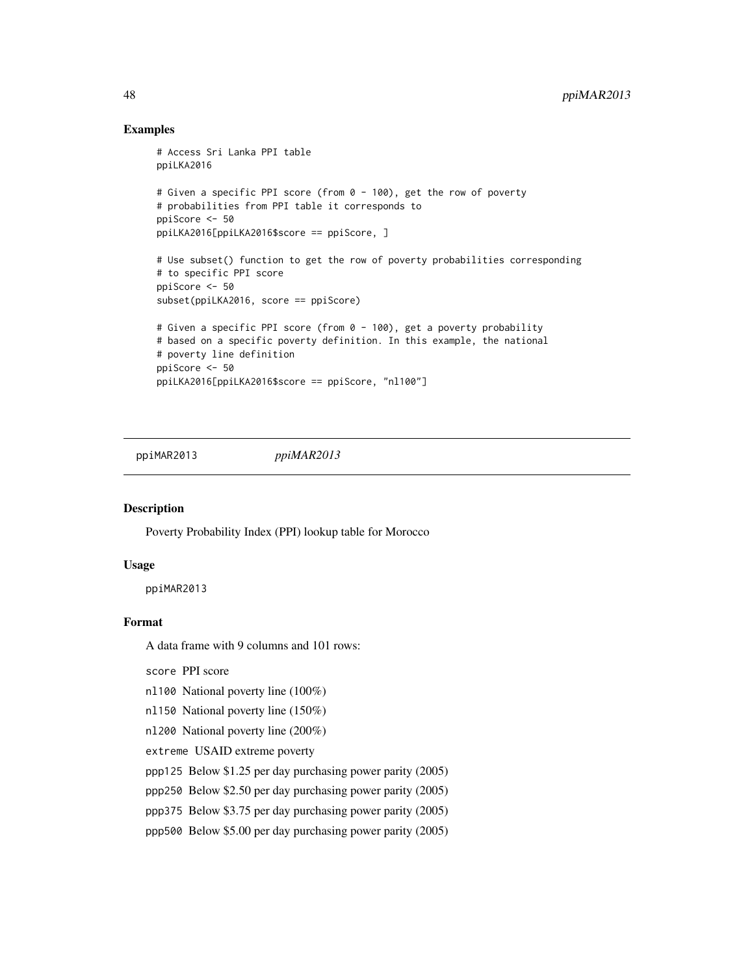# Examples

```
# Access Sri Lanka PPI table
ppiLKA2016
# Given a specific PPI score (from 0 - 100), get the row of poverty
# probabilities from PPI table it corresponds to
ppiScore <- 50
ppiLKA2016[ppiLKA2016$score == ppiScore, ]
# Use subset() function to get the row of poverty probabilities corresponding
# to specific PPI score
ppiScore <- 50
subset(ppiLKA2016, score == ppiScore)
# Given a specific PPI score (from 0 - 100), get a poverty probability
# based on a specific poverty definition. In this example, the national
# poverty line definition
ppiScore <- 50
ppiLKA2016[ppiLKA2016$score == ppiScore, "nl100"]
```
ppiMAR2013 *ppiMAR2013*

# Description

Poverty Probability Index (PPI) lookup table for Morocco

## Usage

ppiMAR2013

# Format

A data frame with 9 columns and 101 rows:

score PPI score

- nl100 National poverty line (100%)
- nl150 National poverty line (150%)
- nl200 National poverty line (200%)
- extreme USAID extreme poverty
- ppp125 Below \$1.25 per day purchasing power parity (2005)
- ppp250 Below \$2.50 per day purchasing power parity (2005)
- ppp375 Below \$3.75 per day purchasing power parity (2005)
- ppp500 Below \$5.00 per day purchasing power parity (2005)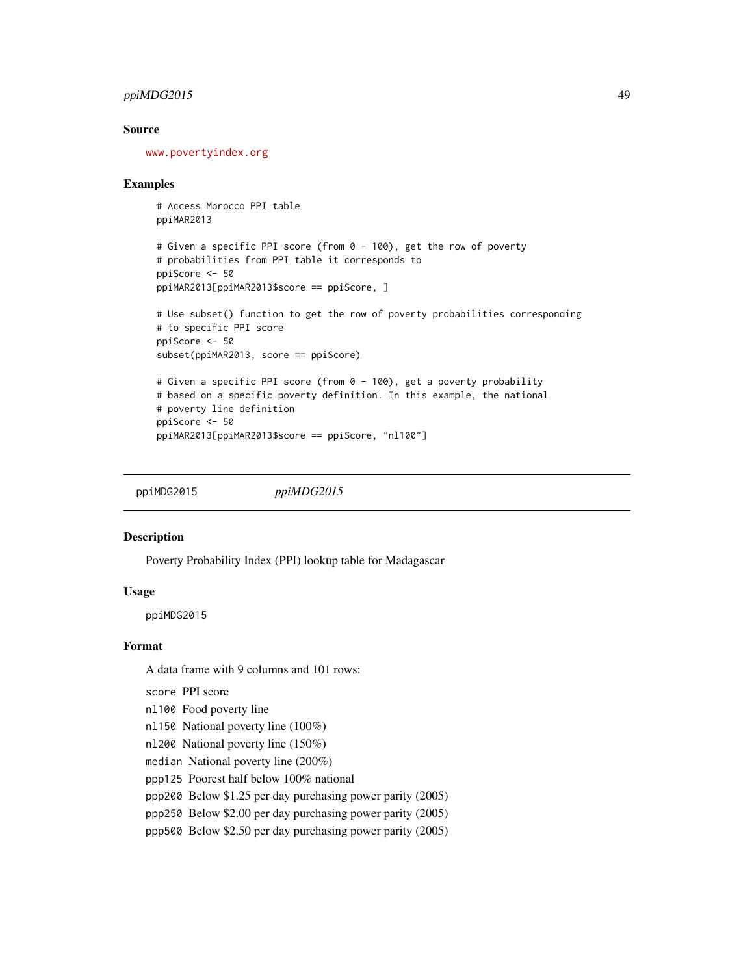# $ppiMDG2015$  49

# Source

<www.povertyindex.org>

## Examples

```
# Access Morocco PPI table
ppiMAR2013
# Given a specific PPI score (from 0 - 100), get the row of poverty
# probabilities from PPI table it corresponds to
ppiScore <- 50
```

```
ppiMAR2013[ppiMAR2013$score == ppiScore, ]
# Use subset() function to get the row of poverty probabilities corresponding
# to specific PPI score
```

```
ppiScore <- 50
subset(ppiMAR2013, score == ppiScore)
```

```
# Given a specific PPI score (from 0 - 100), get a poverty probability
# based on a specific poverty definition. In this example, the national
# poverty line definition
ppiScore <- 50
ppiMAR2013[ppiMAR2013$score == ppiScore, "nl100"]
```
ppiMDG2015 *ppiMDG2015*

## Description

Poverty Probability Index (PPI) lookup table for Madagascar

## Usage

ppiMDG2015

#### Format

A data frame with 9 columns and 101 rows:

score PPI score

- nl100 Food poverty line
- nl150 National poverty line (100%)
- nl200 National poverty line (150%)
- median National poverty line (200%)
- ppp125 Poorest half below 100% national
- ppp200 Below \$1.25 per day purchasing power parity (2005)
- ppp250 Below \$2.00 per day purchasing power parity (2005)
- ppp500 Below \$2.50 per day purchasing power parity (2005)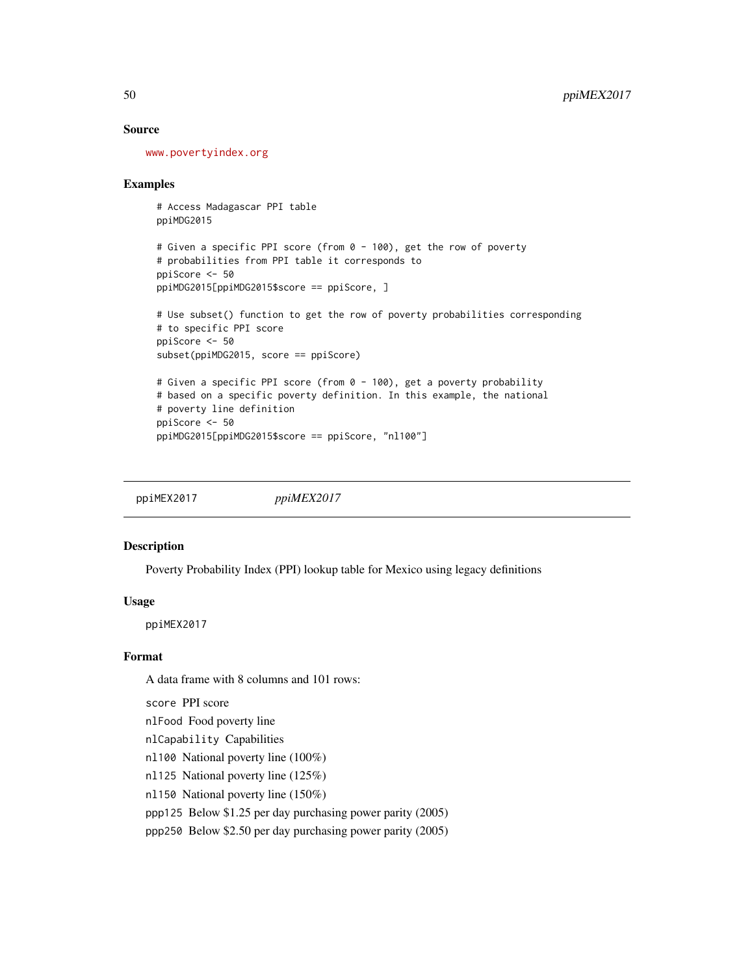## Source

<www.povertyindex.org>

## Examples

```
# Access Madagascar PPI table
ppiMDG2015
# Given a specific PPI score (from 0 - 100), get the row of poverty
# probabilities from PPI table it corresponds to
ppiScore <- 50
ppiMDG2015[ppiMDG2015$score == ppiScore, ]
# Use subset() function to get the row of poverty probabilities corresponding
# to specific PPI score
ppiScore <- 50
subset(ppiMDG2015, score == ppiScore)
# Given a specific PPI score (from 0 - 100), get a poverty probability
# based on a specific poverty definition. In this example, the national
# poverty line definition
ppiScore <- 50
ppiMDG2015[ppiMDG2015$score == ppiScore, "nl100"]
```
ppiMEX2017 *ppiMEX2017*

## Description

Poverty Probability Index (PPI) lookup table for Mexico using legacy definitions

# Usage

ppiMEX2017

# Format

A data frame with 8 columns and 101 rows:

score PPI score

nlFood Food poverty line

nlCapability Capabilities

nl100 National poverty line (100%)

nl125 National poverty line (125%)

nl150 National poverty line (150%)

ppp125 Below \$1.25 per day purchasing power parity (2005)

ppp250 Below \$2.50 per day purchasing power parity (2005)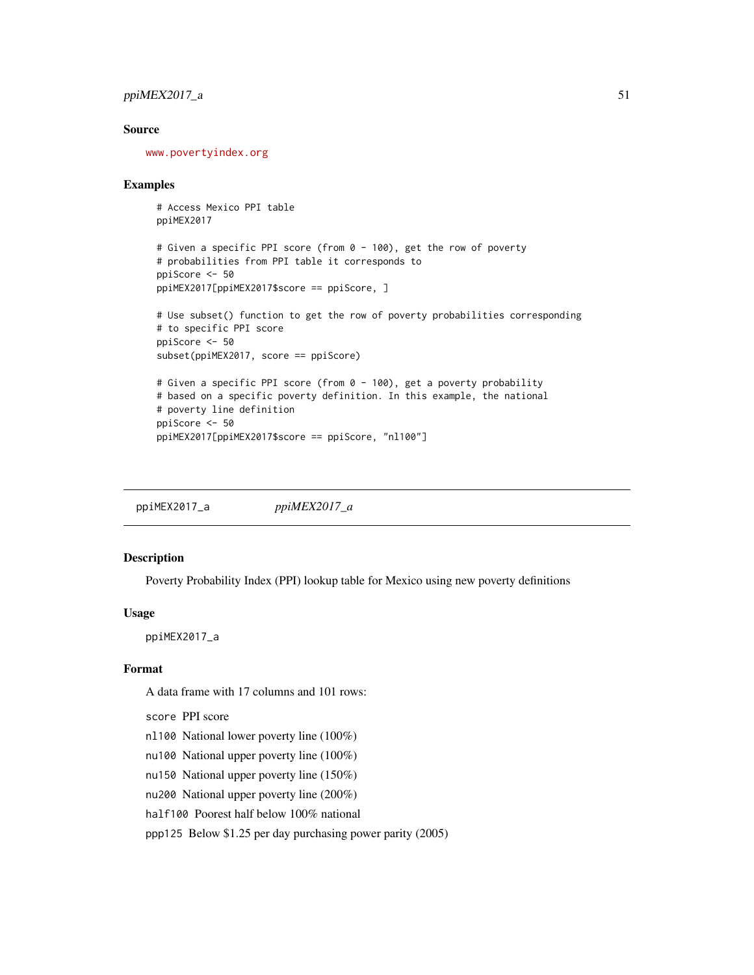# $ppiMEX2017_a$  51

# Source

<www.povertyindex.org>

#### Examples

```
# Access Mexico PPI table
ppiMEX2017
```

```
# Given a specific PPI score (from 0 - 100), get the row of poverty
# probabilities from PPI table it corresponds to
ppiScore <- 50
ppiMEX2017[ppiMEX2017$score == ppiScore, ]
```

```
# Use subset() function to get the row of poverty probabilities corresponding
# to specific PPI score
ppiScore <- 50
subset(ppiMEX2017, score == ppiScore)
# Given a specific PPI score (from 0 - 100), get a poverty probability
# based on a specific poverty definition. In this example, the national
```

```
# poverty line definition
ppiScore <- 50
ppiMEX2017[ppiMEX2017$score == ppiScore, "nl100"]
```
ppiMEX2017\_a *ppiMEX2017\_a*

## Description

Poverty Probability Index (PPI) lookup table for Mexico using new poverty definitions

#### Usage

ppiMEX2017\_a

# Format

A data frame with 17 columns and 101 rows:

score PPI score

- nl100 National lower poverty line (100%)
- nu100 National upper poverty line (100%)
- nu150 National upper poverty line (150%)
- nu200 National upper poverty line (200%)
- half100 Poorest half below 100% national

ppp125 Below \$1.25 per day purchasing power parity (2005)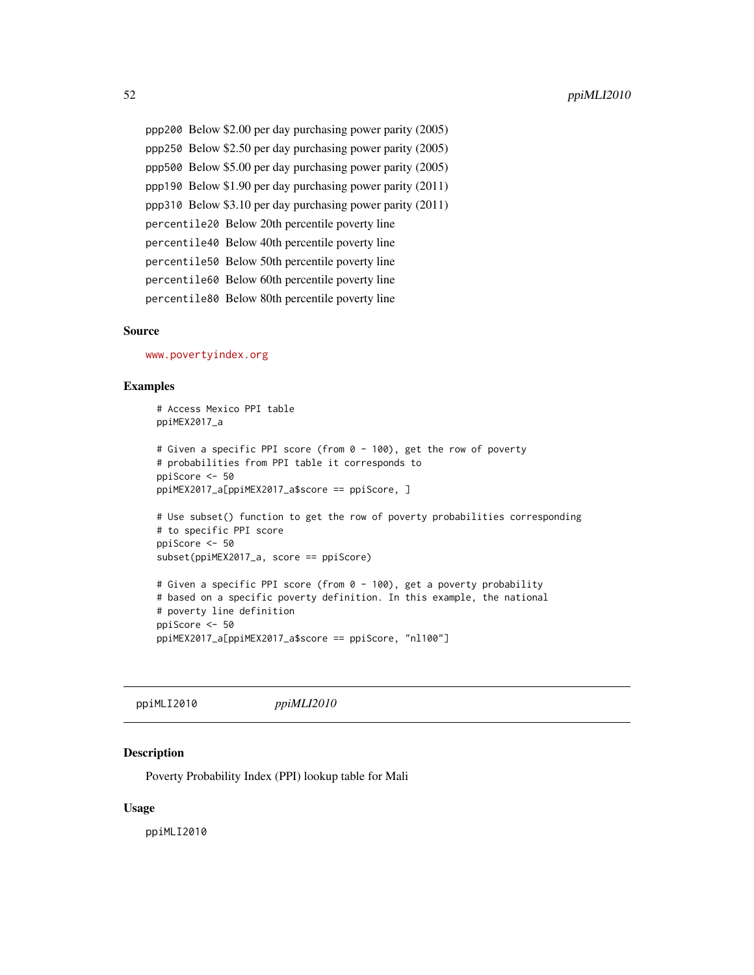ppp200 Below \$2.00 per day purchasing power parity (2005) ppp250 Below \$2.50 per day purchasing power parity (2005) ppp500 Below \$5.00 per day purchasing power parity (2005) ppp190 Below \$1.90 per day purchasing power parity (2011) ppp310 Below \$3.10 per day purchasing power parity (2011) percentile20 Below 20th percentile poverty line percentile40 Below 40th percentile poverty line percentile50 Below 50th percentile poverty line percentile60 Below 60th percentile poverty line percentile80 Below 80th percentile poverty line

## Source

<www.povertyindex.org>

## Examples

```
# Access Mexico PPI table
ppiMEX2017_a
# Given a specific PPI score (from 0 - 100), get the row of poverty
# probabilities from PPI table it corresponds to
ppiScore <- 50
ppiMEX2017_a[ppiMEX2017_a$score == ppiScore, ]
# Use subset() function to get the row of poverty probabilities corresponding
# to specific PPI score
ppiScore <- 50
subset(ppiMEX2017_a, score == ppiScore)
# Given a specific PPI score (from 0 - 100), get a poverty probability
# based on a specific poverty definition. In this example, the national
# poverty line definition
ppiScore <- 50
ppiMEX2017_a[ppiMEX2017_a$score == ppiScore, "nl100"]
```
ppiMLI2010 *ppiMLI2010*

# **Description**

Poverty Probability Index (PPI) lookup table for Mali

#### Usage

ppiMLI2010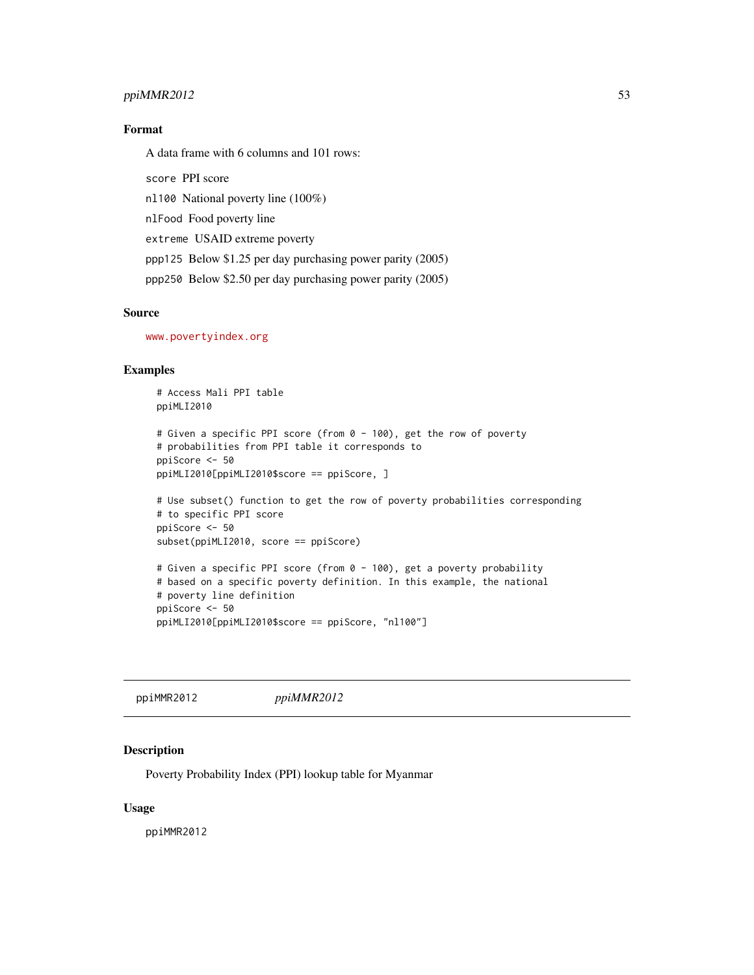# ppiMMR2012 53

# Format

A data frame with 6 columns and 101 rows:

score PPI score nl100 National poverty line (100%) nlFood Food poverty line extreme USAID extreme poverty ppp125 Below \$1.25 per day purchasing power parity (2005) ppp250 Below \$2.50 per day purchasing power parity (2005)

# Source

<www.povertyindex.org>

# Examples

# Access Mali PPI table ppiMLI2010

```
# Given a specific PPI score (from 0 - 100), get the row of poverty
# probabilities from PPI table it corresponds to
ppiScore <- 50
ppiMLI2010[ppiMLI2010$score == ppiScore, ]
```

```
# Use subset() function to get the row of poverty probabilities corresponding
# to specific PPI score
ppiScore <- 50
subset(ppiMLI2010, score == ppiScore)
```

```
# Given a specific PPI score (from 0 - 100), get a poverty probability
# based on a specific poverty definition. In this example, the national
# poverty line definition
ppiScore <- 50
ppiMLI2010[ppiMLI2010$score == ppiScore, "nl100"]
```
ppiMMR2012 *ppiMMR2012*

# Description

Poverty Probability Index (PPI) lookup table for Myanmar

## Usage

ppiMMR2012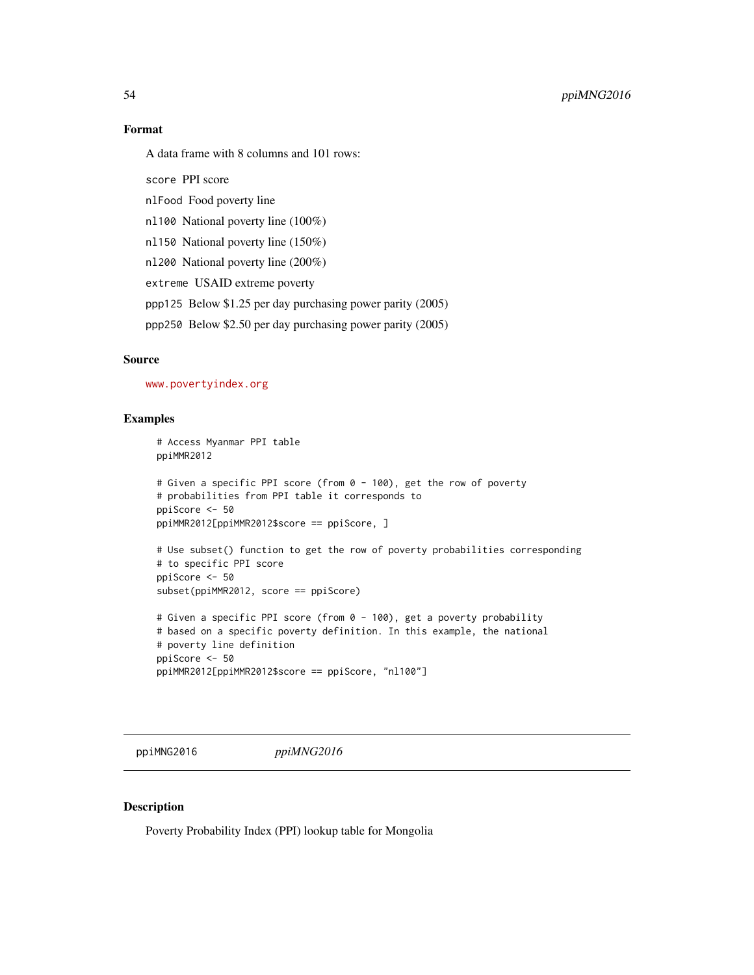## Format

A data frame with 8 columns and 101 rows:

score PPI score

nlFood Food poverty line

nl100 National poverty line (100%)

nl150 National poverty line (150%)

nl200 National poverty line (200%)

extreme USAID extreme poverty

ppp125 Below \$1.25 per day purchasing power parity (2005)

ppp250 Below \$2.50 per day purchasing power parity (2005)

## Source

<www.povertyindex.org>

# Examples

```
# Access Myanmar PPI table
ppiMMR2012
# Given a specific PPI score (from 0 - 100), get the row of poverty
# probabilities from PPI table it corresponds to
ppiScore <- 50
ppiMMR2012[ppiMMR2012$score == ppiScore, ]
# Use subset() function to get the row of poverty probabilities corresponding
# to specific PPI score
ppiScore <- 50
subset(ppiMMR2012, score == ppiScore)
# Given a specific PPI score (from 0 - 100), get a poverty probability
# based on a specific poverty definition. In this example, the national
```

```
# poverty line definition
ppiScore <- 50
ppiMMR2012[ppiMMR2012$score == ppiScore, "nl100"]
```
ppiMNG2016 *ppiMNG2016*

# Description

Poverty Probability Index (PPI) lookup table for Mongolia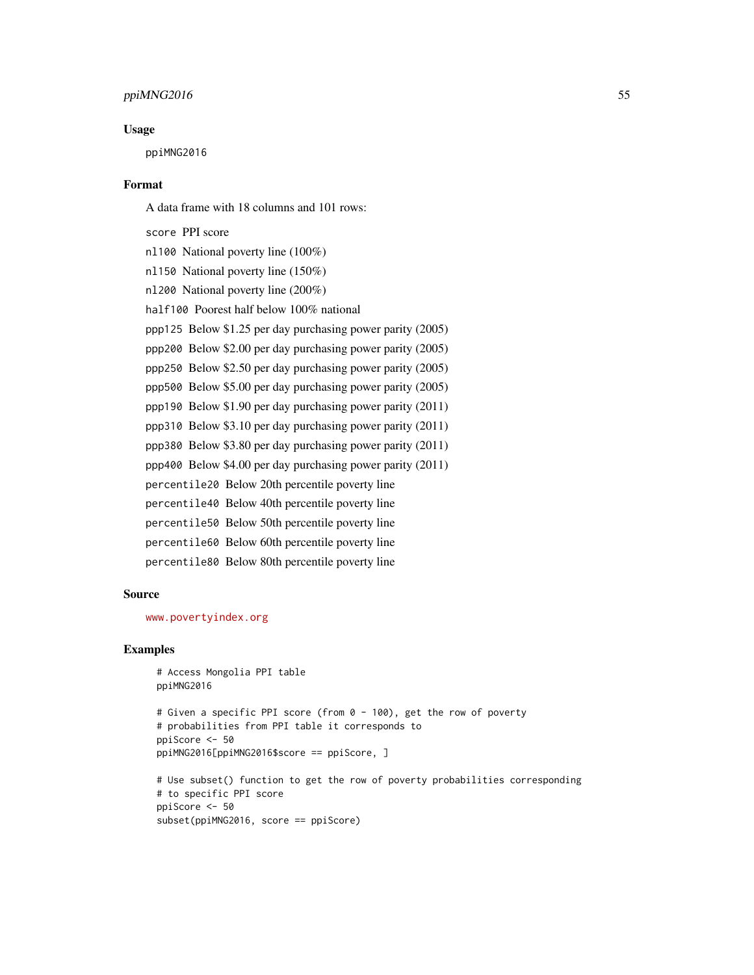# $ppiMNG2016$  55

#### Usage

ppiMNG2016

## Format

A data frame with 18 columns and 101 rows:

score PPI score nl100 National poverty line (100%) nl150 National poverty line (150%) nl200 National poverty line (200%) half100 Poorest half below 100% national ppp125 Below \$1.25 per day purchasing power parity (2005) ppp200 Below \$2.00 per day purchasing power parity (2005) ppp250 Below \$2.50 per day purchasing power parity (2005) ppp500 Below \$5.00 per day purchasing power parity (2005) ppp190 Below \$1.90 per day purchasing power parity (2011) ppp310 Below \$3.10 per day purchasing power parity (2011) ppp380 Below \$3.80 per day purchasing power parity (2011) ppp400 Below \$4.00 per day purchasing power parity (2011) percentile20 Below 20th percentile poverty line percentile40 Below 40th percentile poverty line percentile50 Below 50th percentile poverty line percentile60 Below 60th percentile poverty line percentile80 Below 80th percentile poverty line

## Source

<www.povertyindex.org>

```
# Access Mongolia PPI table
ppiMNG2016
# Given a specific PPI score (from 0 - 100), get the row of poverty
# probabilities from PPI table it corresponds to
ppiScore <- 50
ppiMNG2016[ppiMNG2016$score == ppiScore, ]
# Use subset() function to get the row of poverty probabilities corresponding
# to specific PPI score
ppiScore <- 50
```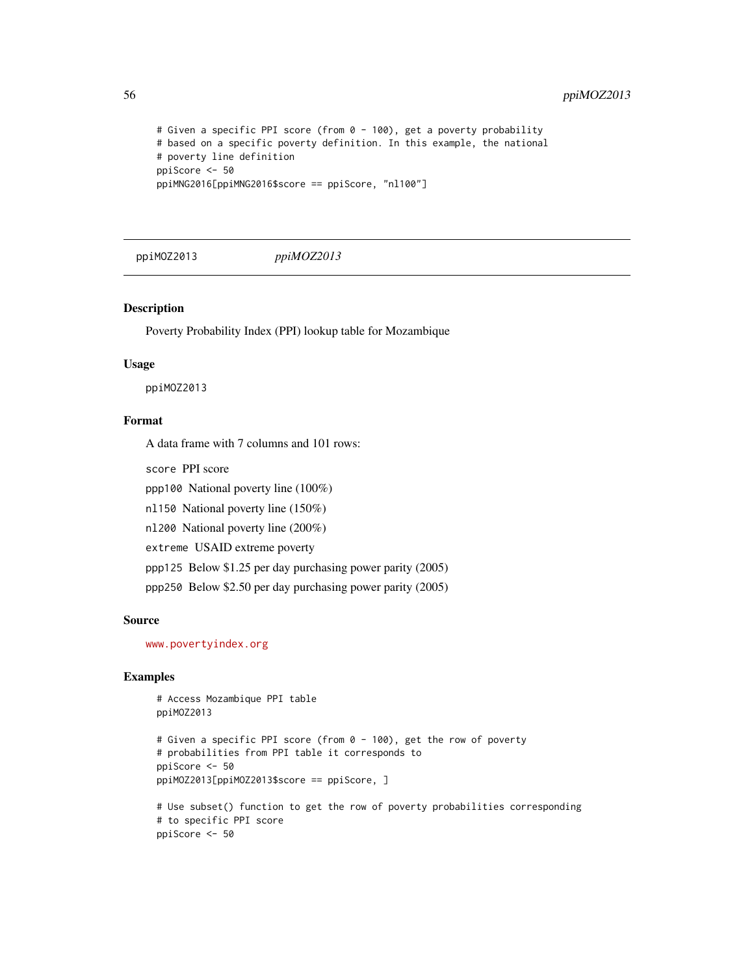```
# Given a specific PPI score (from 0 - 100), get a poverty probability
# based on a specific poverty definition. In this example, the national
# poverty line definition
ppiScore <- 50
ppiMNG2016[ppiMNG2016$score == ppiScore, "nl100"]
```
ppiMOZ2013 *ppiMOZ2013*

#### Description

Poverty Probability Index (PPI) lookup table for Mozambique

## Usage

ppiMOZ2013

# Format

A data frame with 7 columns and 101 rows:

score PPI score

ppp100 National poverty line (100%)

nl150 National poverty line (150%)

nl200 National poverty line (200%)

extreme USAID extreme poverty

ppp125 Below \$1.25 per day purchasing power parity (2005)

ppp250 Below \$2.50 per day purchasing power parity (2005)

#### Source

<www.povertyindex.org>

```
# Access Mozambique PPI table
ppiMOZ2013
# Given a specific PPI score (from 0 - 100), get the row of poverty
# probabilities from PPI table it corresponds to
ppiScore <- 50
ppiMOZ2013[ppiMOZ2013$score == ppiScore, ]
# Use subset() function to get the row of poverty probabilities corresponding
# to specific PPI score
ppiScore <- 50
```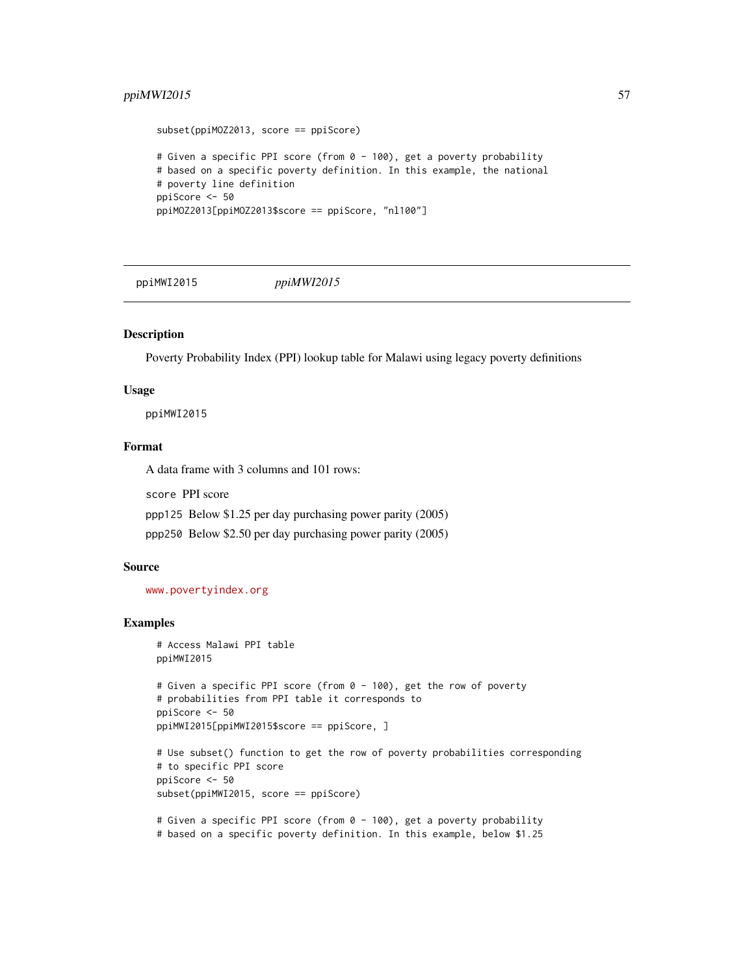# ppiMWI2015 57

```
subset(ppiMOZ2013, score == ppiScore)
# Given a specific PPI score (from 0 - 100), get a poverty probability
# based on a specific poverty definition. In this example, the national
# poverty line definition
ppiScore <- 50
ppiMOZ2013[ppiMOZ2013$score == ppiScore, "nl100"]
```
ppiMWI2015 *ppiMWI2015*

# Description

Poverty Probability Index (PPI) lookup table for Malawi using legacy poverty definitions

## Usage

ppiMWI2015

# Format

A data frame with 3 columns and 101 rows:

score PPI score

ppp125 Below \$1.25 per day purchasing power parity (2005)

ppp250 Below \$2.50 per day purchasing power parity (2005)

# Source

<www.povertyindex.org>

```
# Access Malawi PPI table
ppiMWI2015
# Given a specific PPI score (from 0 - 100), get the row of poverty
# probabilities from PPI table it corresponds to
ppiScore <- 50
ppiMWI2015[ppiMWI2015$score == ppiScore, ]
# Use subset() function to get the row of poverty probabilities corresponding
# to specific PPI score
ppiScore <- 50
subset(ppiMWI2015, score == ppiScore)
# Given a specific PPI score (from 0 - 100), get a poverty probability
# based on a specific poverty definition. In this example, below $1.25
```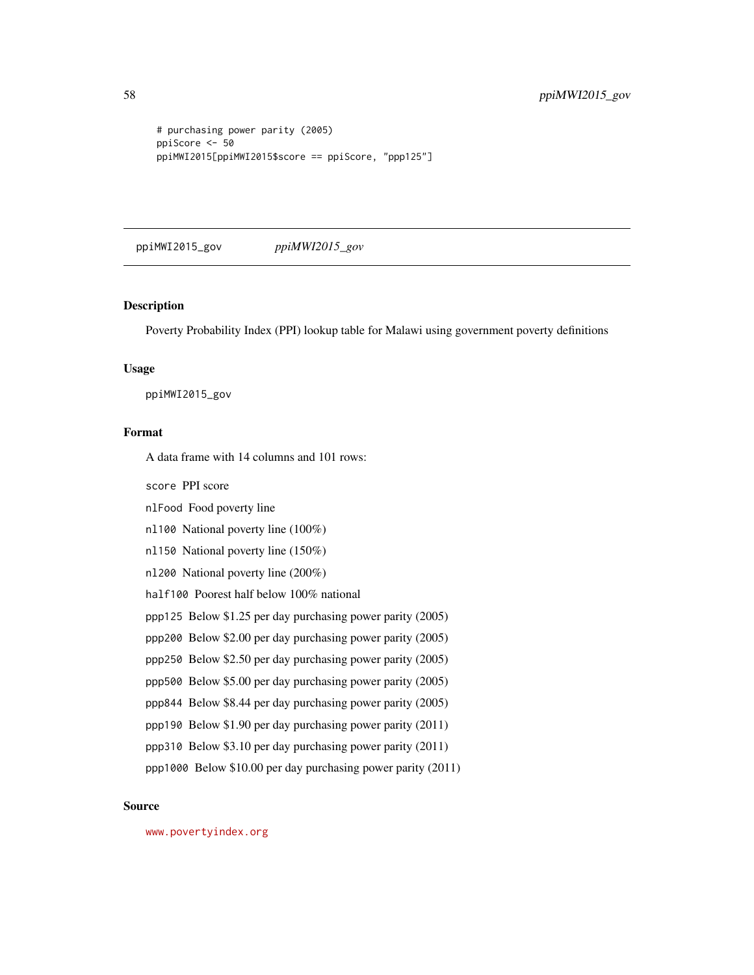```
# purchasing power parity (2005)
ppiScore <- 50
ppiMWI2015[ppiMWI2015$score == ppiScore, "ppp125"]
```
ppiMWI2015\_gov *ppiMWI2015\_gov*

## Description

Poverty Probability Index (PPI) lookup table for Malawi using government poverty definitions

#### Usage

ppiMWI2015\_gov

# Format

A data frame with 14 columns and 101 rows:

score PPI score

nlFood Food poverty line

nl100 National poverty line (100%)

nl150 National poverty line (150%)

nl200 National poverty line (200%)

half100 Poorest half below 100% national

ppp125 Below \$1.25 per day purchasing power parity (2005)

ppp200 Below \$2.00 per day purchasing power parity (2005)

ppp250 Below \$2.50 per day purchasing power parity (2005)

ppp500 Below \$5.00 per day purchasing power parity (2005)

ppp844 Below \$8.44 per day purchasing power parity (2005)

ppp190 Below \$1.90 per day purchasing power parity (2011)

ppp310 Below \$3.10 per day purchasing power parity (2011)

ppp1000 Below \$10.00 per day purchasing power parity (2011)

# Source

<www.povertyindex.org>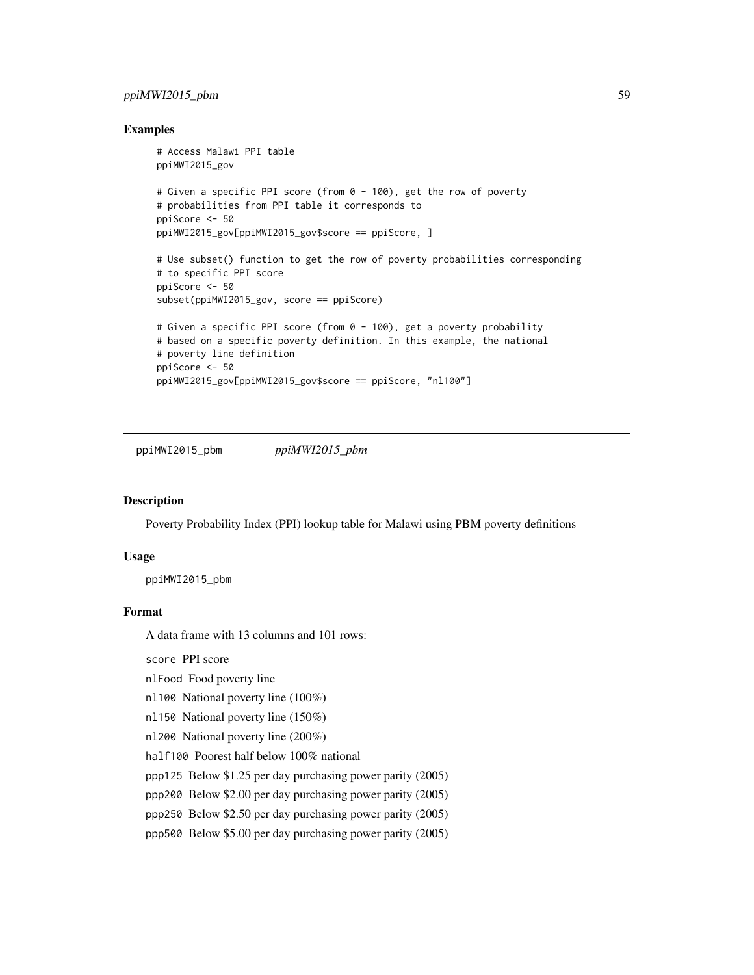# ppiMWI2015\_pbm 59

## Examples

```
# Access Malawi PPI table
ppiMWI2015_gov
# Given a specific PPI score (from 0 - 100), get the row of poverty
# probabilities from PPI table it corresponds to
ppiScore <- 50
ppiMWI2015_gov[ppiMWI2015_gov$score == ppiScore, ]
# Use subset() function to get the row of poverty probabilities corresponding
# to specific PPI score
ppiScore <- 50
subset(ppiMWI2015_gov, score == ppiScore)
# Given a specific PPI score (from 0 - 100), get a poverty probability
# based on a specific poverty definition. In this example, the national
# poverty line definition
ppiScore <- 50
ppiMWI2015_gov[ppiMWI2015_gov$score == ppiScore, "nl100"]
```
ppiMWI2015\_pbm *ppiMWI2015\_pbm*

# Description

Poverty Probability Index (PPI) lookup table for Malawi using PBM poverty definitions

# Usage

ppiMWI2015\_pbm

# Format

A data frame with 13 columns and 101 rows:

score PPI score

nlFood Food poverty line

nl100 National poverty line (100%)

nl150 National poverty line (150%)

nl200 National poverty line (200%)

half100 Poorest half below 100% national

ppp125 Below \$1.25 per day purchasing power parity (2005)

ppp200 Below \$2.00 per day purchasing power parity (2005)

ppp250 Below \$2.50 per day purchasing power parity (2005)

ppp500 Below \$5.00 per day purchasing power parity (2005)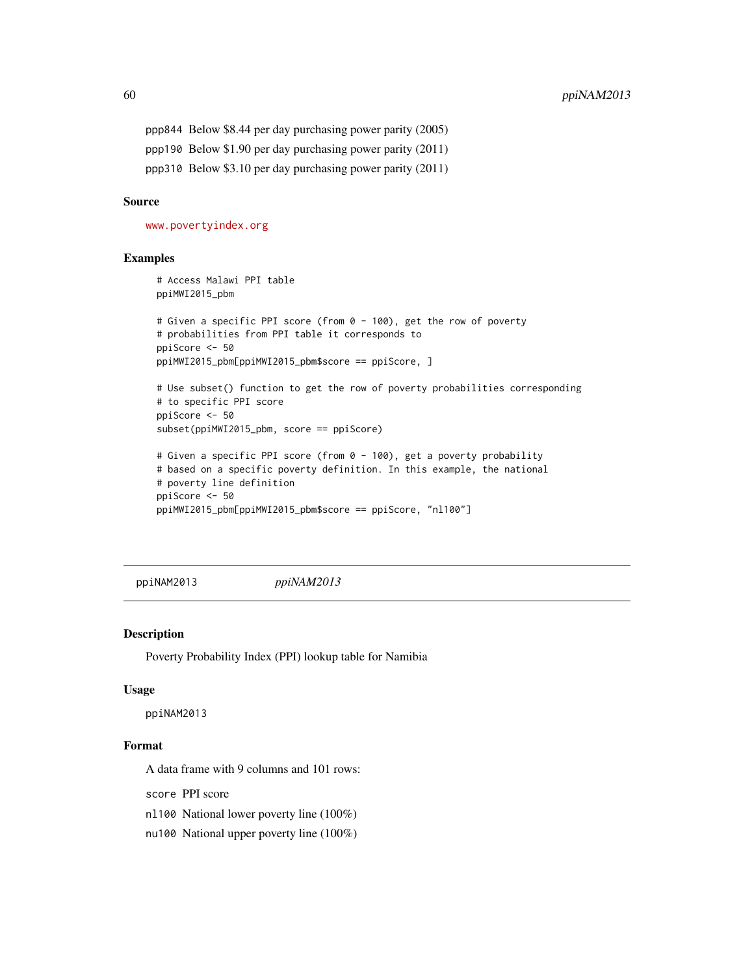ppp844 Below \$8.44 per day purchasing power parity (2005) ppp190 Below \$1.90 per day purchasing power parity (2011) ppp310 Below \$3.10 per day purchasing power parity (2011)

# Source

<www.povertyindex.org>

## Examples

```
# Access Malawi PPI table
ppiMWI2015_pbm
# Given a specific PPI score (from 0 - 100), get the row of poverty
# probabilities from PPI table it corresponds to
ppiScore <- 50
ppiMWI2015_pbm[ppiMWI2015_pbm$score == ppiScore, ]
# Use subset() function to get the row of poverty probabilities corresponding
# to specific PPI score
ppiScore <- 50
subset(ppiMWI2015_pbm, score == ppiScore)
# Given a specific PPI score (from 0 - 100), get a poverty probability
# based on a specific poverty definition. In this example, the national
# poverty line definition
ppiScore <- 50
ppiMWI2015_pbm[ppiMWI2015_pbm$score == ppiScore, "nl100"]
```
ppiNAM2013 *ppiNAM2013*

#### Description

Poverty Probability Index (PPI) lookup table for Namibia

#### Usage

ppiNAM2013

# Format

A data frame with 9 columns and 101 rows:

score PPI score

nl100 National lower poverty line (100%)

nu100 National upper poverty line (100%)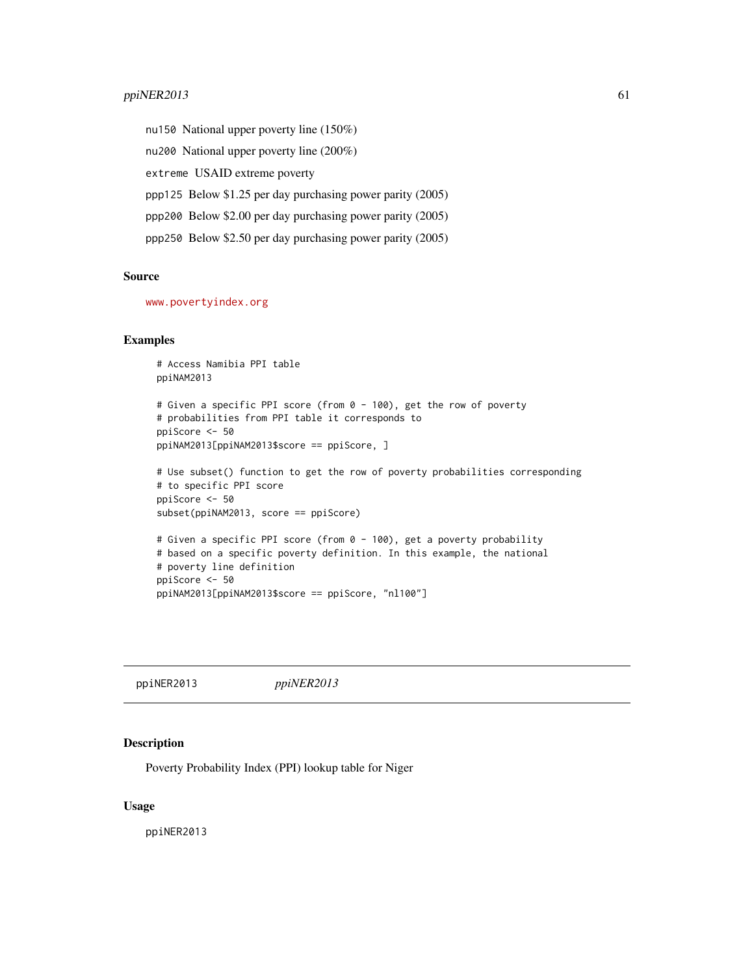# ppiNER2013 61

nu150 National upper poverty line (150%) nu200 National upper poverty line (200%) extreme USAID extreme poverty ppp125 Below \$1.25 per day purchasing power parity (2005) ppp200 Below \$2.00 per day purchasing power parity (2005) ppp250 Below \$2.50 per day purchasing power parity (2005)

## Source

<www.povertyindex.org>

#### Examples

```
# Access Namibia PPI table
ppiNAM2013
# Given a specific PPI score (from 0 - 100), get the row of poverty
# probabilities from PPI table it corresponds to
ppiScore <- 50
ppiNAM2013[ppiNAM2013$score == ppiScore, ]
# Use subset() function to get the row of poverty probabilities corresponding
# to specific PPI score
ppiScore <- 50
subset(ppiNAM2013, score == ppiScore)
# Given a specific PPI score (from 0 - 100), get a poverty probability
# based on a specific poverty definition. In this example, the national
# poverty line definition
ppiScore <- 50
ppiNAM2013[ppiNAM2013$score == ppiScore, "nl100"]
```
ppiNER2013 *ppiNER2013*

#### Description

Poverty Probability Index (PPI) lookup table for Niger

## Usage

ppiNER2013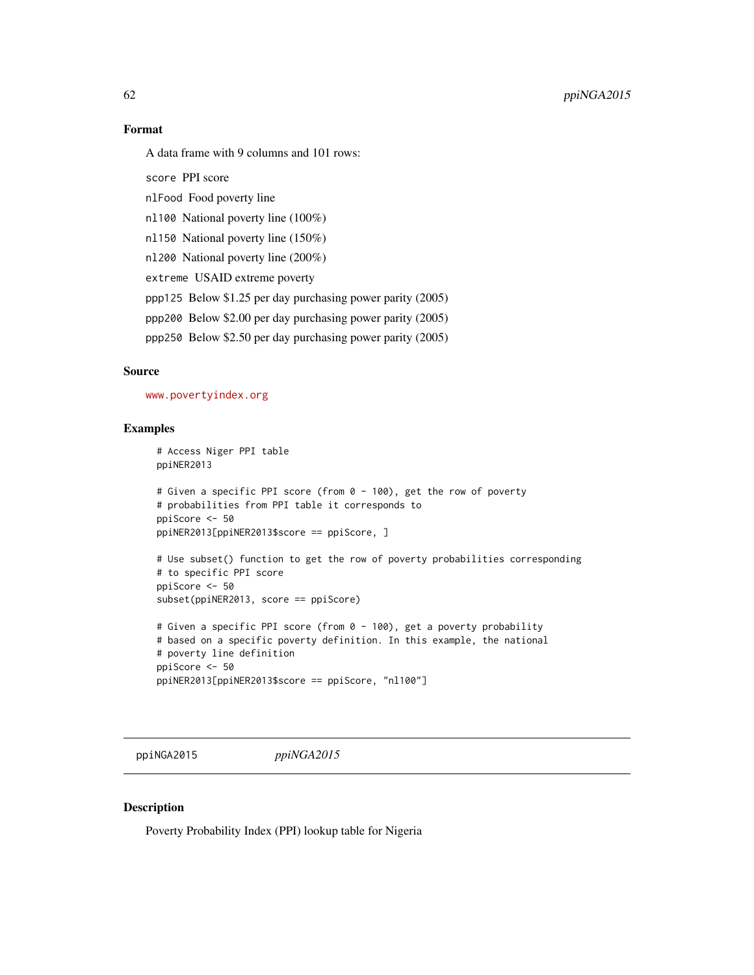# Format

A data frame with 9 columns and 101 rows:

score PPI score

nlFood Food poverty line

nl100 National poverty line (100%)

nl150 National poverty line (150%)

nl200 National poverty line (200%)

extreme USAID extreme poverty

ppp125 Below \$1.25 per day purchasing power parity (2005)

ppp200 Below \$2.00 per day purchasing power parity (2005)

ppp250 Below \$2.50 per day purchasing power parity (2005)

# Source

<www.povertyindex.org>

## Examples

```
# Access Niger PPI table
ppiNER2013
```

```
# Given a specific PPI score (from 0 - 100), get the row of poverty
# probabilities from PPI table it corresponds to
ppiScore <- 50
ppiNER2013[ppiNER2013$score == ppiScore, ]
```

```
# Use subset() function to get the row of poverty probabilities corresponding
# to specific PPI score
ppiScore <- 50
subset(ppiNER2013, score == ppiScore)
```

```
# Given a specific PPI score (from 0 - 100), get a poverty probability
# based on a specific poverty definition. In this example, the national
# poverty line definition
ppiScore <- 50
ppiNER2013[ppiNER2013$score == ppiScore, "nl100"]
```
ppiNGA2015 *ppiNGA2015*

## Description

Poverty Probability Index (PPI) lookup table for Nigeria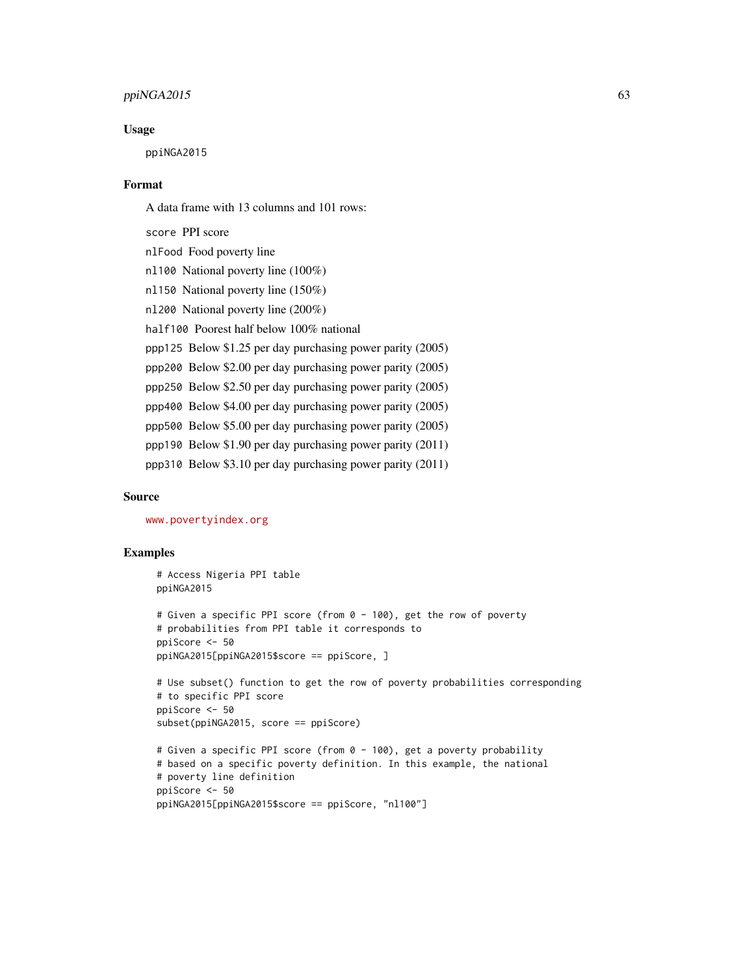# $ppi<sub>NGA2015</sub>$  63

#### Usage

ppiNGA2015

## Format

A data frame with 13 columns and 101 rows:

score PPI score nlFood Food poverty line nl100 National poverty line (100%) nl150 National poverty line (150%) nl200 National poverty line (200%) half100 Poorest half below 100% national ppp125 Below \$1.25 per day purchasing power parity (2005) ppp200 Below \$2.00 per day purchasing power parity (2005) ppp250 Below \$2.50 per day purchasing power parity (2005) ppp400 Below \$4.00 per day purchasing power parity (2005) ppp500 Below \$5.00 per day purchasing power parity (2005) ppp190 Below \$1.90 per day purchasing power parity (2011) ppp310 Below \$3.10 per day purchasing power parity (2011)

#### Source

<www.povertyindex.org>

```
# Access Nigeria PPI table
ppiNGA2015
# Given a specific PPI score (from 0 - 100), get the row of poverty
# probabilities from PPI table it corresponds to
ppiScore <- 50
ppiNGA2015[ppiNGA2015$score == ppiScore, ]
# Use subset() function to get the row of poverty probabilities corresponding
# to specific PPI score
ppiScore <- 50
subset(ppiNGA2015, score == ppiScore)
# Given a specific PPI score (from 0 - 100), get a poverty probability
# based on a specific poverty definition. In this example, the national
# poverty line definition
ppiScore <- 50
ppiNGA2015[ppiNGA2015$score == ppiScore, "nl100"]
```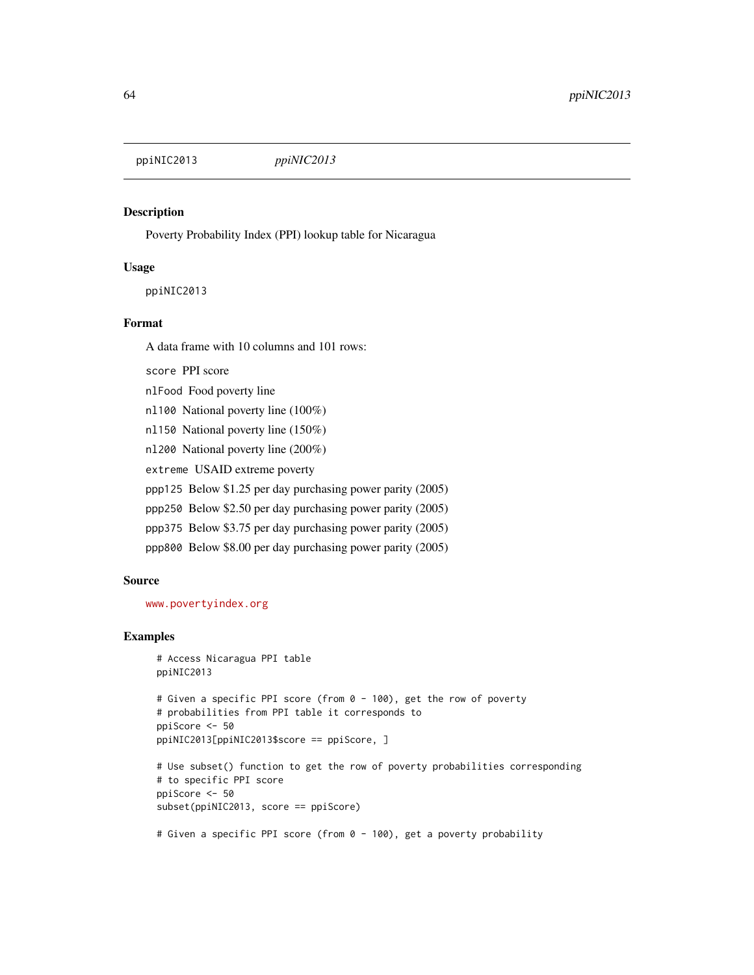ppiNIC2013 *ppiNIC2013*

# Description

Poverty Probability Index (PPI) lookup table for Nicaragua

## Usage

ppiNIC2013

## Format

A data frame with 10 columns and 101 rows:

score PPI score

nlFood Food poverty line

nl100 National poverty line (100%)

nl150 National poverty line (150%)

nl200 National poverty line (200%)

extreme USAID extreme poverty

ppp125 Below \$1.25 per day purchasing power parity (2005)

ppp250 Below \$2.50 per day purchasing power parity (2005)

ppp375 Below \$3.75 per day purchasing power parity (2005)

ppp800 Below \$8.00 per day purchasing power parity (2005)

#### Source

<www.povertyindex.org>

# Examples

```
# Access Nicaragua PPI table
ppiNIC2013
```

```
# Given a specific PPI score (from 0 - 100), get the row of poverty
# probabilities from PPI table it corresponds to
ppiScore <- 50
ppiNIC2013[ppiNIC2013$score == ppiScore, ]
```

```
# Use subset() function to get the row of poverty probabilities corresponding
# to specific PPI score
ppiScore <- 50
subset(ppiNIC2013, score == ppiScore)
```
# Given a specific PPI score (from 0 - 100), get a poverty probability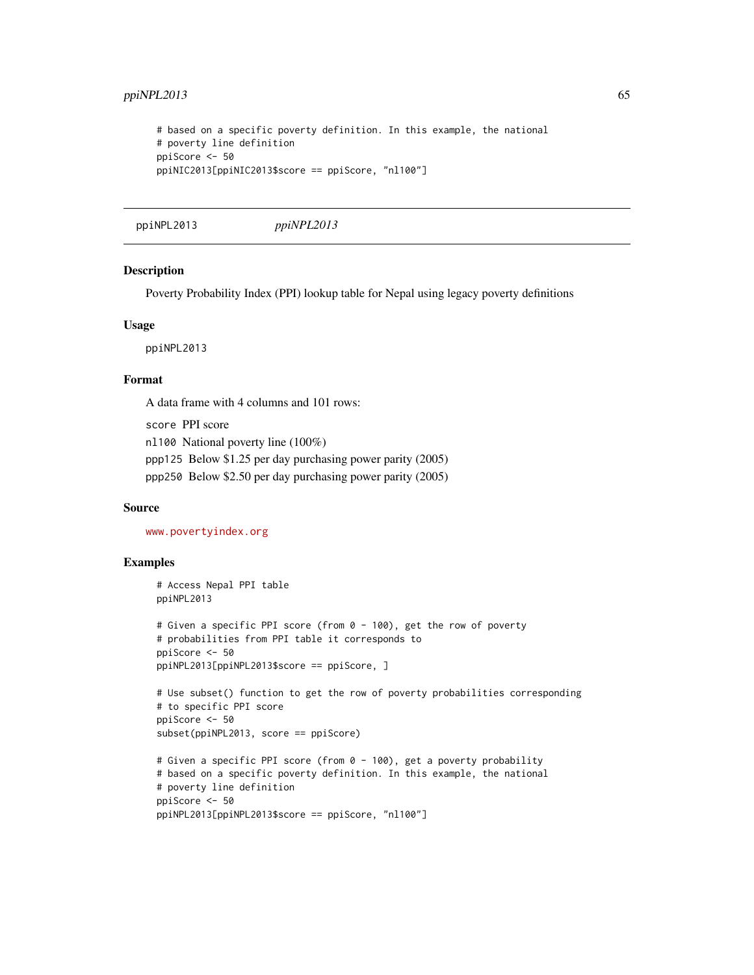```
# based on a specific poverty definition. In this example, the national
# poverty line definition
ppiScore <- 50
ppiNIC2013[ppiNIC2013$score == ppiScore, "nl100"]
```

```
ppiNPL2013 ppiNPL2013
```
## Description

Poverty Probability Index (PPI) lookup table for Nepal using legacy poverty definitions

#### Usage

ppiNPL2013

## Format

A data frame with 4 columns and 101 rows:

score PPI score nl100 National poverty line (100%) ppp125 Below \$1.25 per day purchasing power parity (2005) ppp250 Below \$2.50 per day purchasing power parity (2005)

# Source

<www.povertyindex.org>

```
# Access Nepal PPI table
ppiNPL2013
# Given a specific PPI score (from 0 - 100), get the row of poverty
# probabilities from PPI table it corresponds to
ppiScore <- 50
ppiNPL2013[ppiNPL2013$score == ppiScore, ]
# Use subset() function to get the row of poverty probabilities corresponding
# to specific PPI score
ppiScore <- 50
subset(ppiNPL2013, score == ppiScore)
# Given a specific PPI score (from 0 - 100), get a poverty probability
# based on a specific poverty definition. In this example, the national
# poverty line definition
ppiScore <- 50
ppiNPL2013[ppiNPL2013$score == ppiScore, "nl100"]
```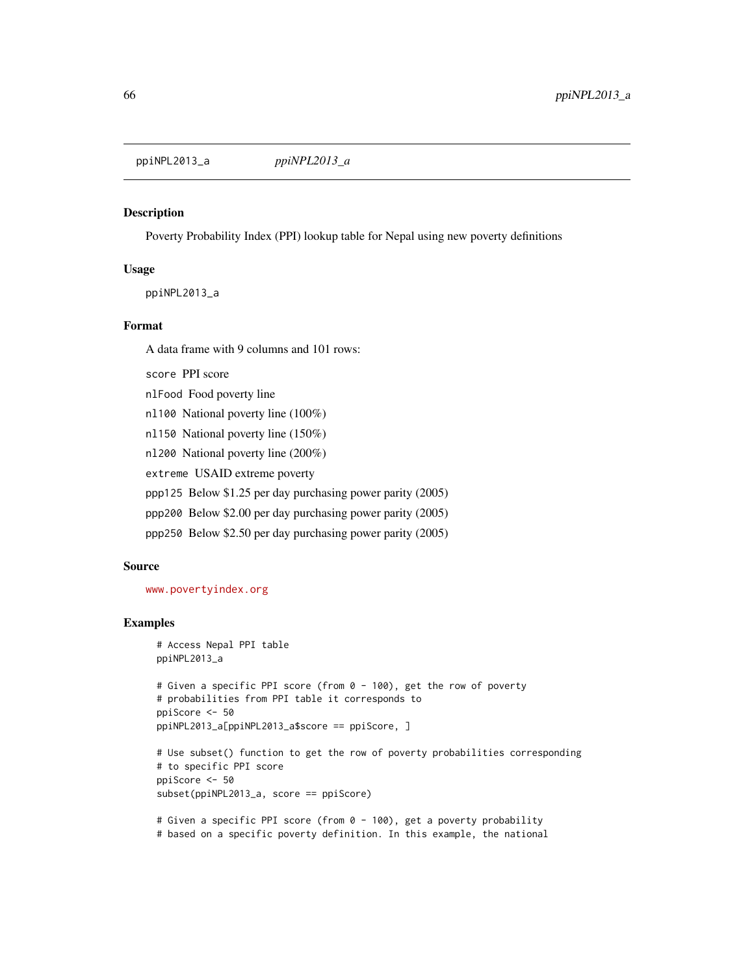ppiNPL2013\_a *ppiNPL2013\_a*

#### Description

Poverty Probability Index (PPI) lookup table for Nepal using new poverty definitions

#### Usage

ppiNPL2013\_a

## Format

A data frame with 9 columns and 101 rows:

score PPI score

nlFood Food poverty line

nl100 National poverty line (100%)

nl150 National poverty line (150%)

nl200 National poverty line (200%)

extreme USAID extreme poverty

ppp125 Below \$1.25 per day purchasing power parity (2005)

ppp200 Below \$2.00 per day purchasing power parity (2005)

ppp250 Below \$2.50 per day purchasing power parity (2005)

## Source

<www.povertyindex.org>

# Examples

```
# Access Nepal PPI table
ppiNPL2013_a
# Given a specific PPI score (from 0 - 100), get the row of poverty
# probabilities from PPI table it corresponds to
ppiScore <- 50
ppiNPL2013_a[ppiNPL2013_a$score == ppiScore, ]
# Use subset() function to get the row of poverty probabilities corresponding
# to specific PPI score
ppiScore <- 50
subset(ppiNPL2013_a, score == ppiScore)
```
# Given a specific PPI score (from 0 - 100), get a poverty probability # based on a specific poverty definition. In this example, the national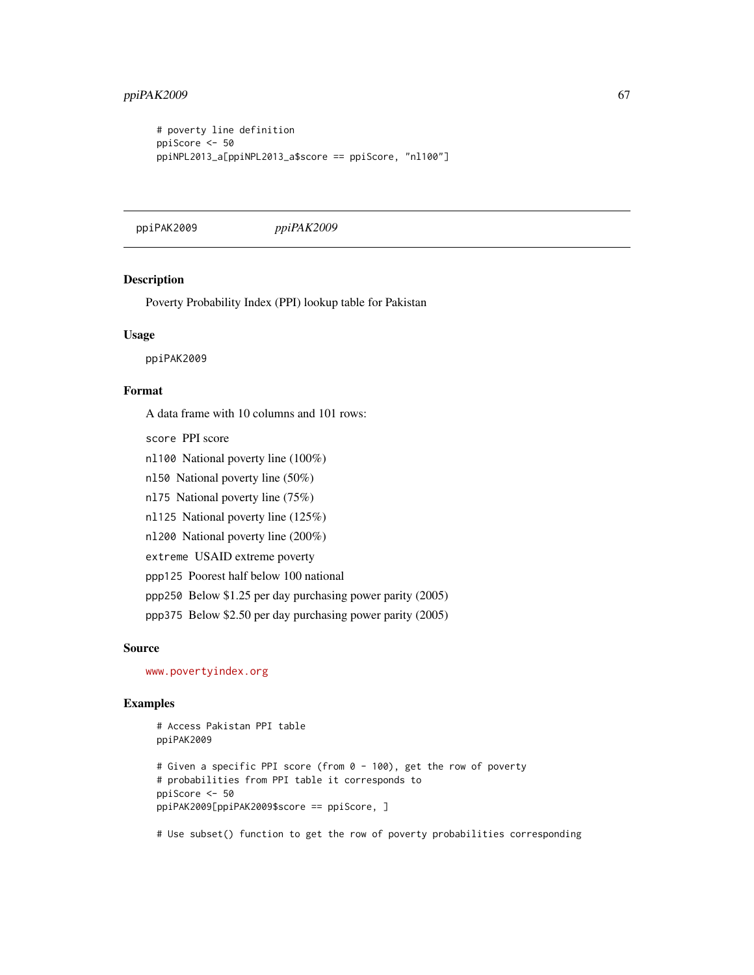```
# poverty line definition
ppiScore <- 50
ppiNPL2013_a[ppiNPL2013_a$score == ppiScore, "nl100"]
```
ppiPAK2009 *ppiPAK2009*

## Description

Poverty Probability Index (PPI) lookup table for Pakistan

#### Usage

ppiPAK2009

# Format

A data frame with 10 columns and 101 rows:

- score PPI score
- nl100 National poverty line (100%)
- nl50 National poverty line (50%)
- nl75 National poverty line (75%)
- nl125 National poverty line (125%)
- nl200 National poverty line (200%)
- extreme USAID extreme poverty
- ppp125 Poorest half below 100 national
- ppp250 Below \$1.25 per day purchasing power parity (2005)
- ppp375 Below \$2.50 per day purchasing power parity (2005)

## Source

<www.povertyindex.org>

# Examples

```
# Access Pakistan PPI table
ppiPAK2009
# Given a specific PPI score (from 0 - 100), get the row of poverty
# probabilities from PPI table it corresponds to
ppiScore <- 50
ppiPAK2009[ppiPAK2009$score == ppiScore, ]
```
# Use subset() function to get the row of poverty probabilities corresponding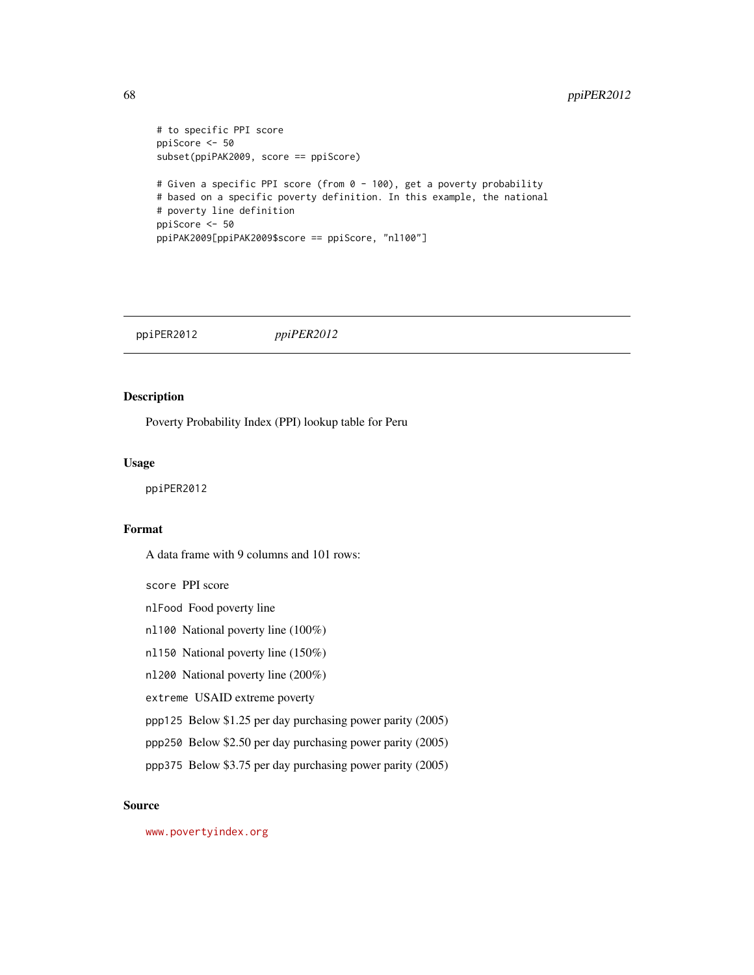# 68 ppiPER2012

```
# to specific PPI score
ppiScore <- 50
subset(ppiPAK2009, score == ppiScore)
# Given a specific PPI score (from 0 - 100), get a poverty probability
# based on a specific poverty definition. In this example, the national
# poverty line definition
ppiScore <- 50
ppiPAK2009[ppiPAK2009$score == ppiScore, "nl100"]
```
ppiPER2012 *ppiPER2012*

## Description

Poverty Probability Index (PPI) lookup table for Peru

#### Usage

ppiPER2012

# Format

A data frame with 9 columns and 101 rows:

score PPI score

nlFood Food poverty line

nl100 National poverty line (100%)

nl150 National poverty line (150%)

nl200 National poverty line (200%)

extreme USAID extreme poverty

ppp125 Below \$1.25 per day purchasing power parity (2005)

ppp250 Below \$2.50 per day purchasing power parity (2005)

ppp375 Below \$3.75 per day purchasing power parity (2005)

## Source

<www.povertyindex.org>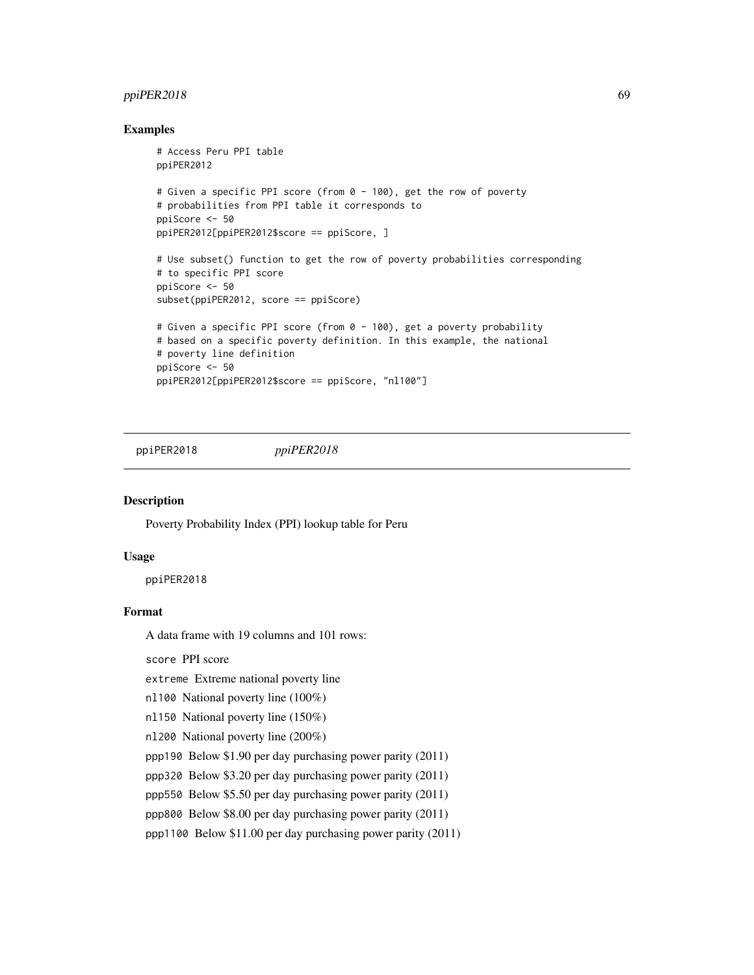# ppiPER2018 69

## Examples

```
# Access Peru PPI table
ppiPER2012
# Given a specific PPI score (from 0 - 100), get the row of poverty
# probabilities from PPI table it corresponds to
ppiScore <- 50
ppiPER2012[ppiPER2012$score == ppiScore, ]
# Use subset() function to get the row of poverty probabilities corresponding
# to specific PPI score
ppiScore <- 50
subset(ppiPER2012, score == ppiScore)
# Given a specific PPI score (from 0 - 100), get a poverty probability
# based on a specific poverty definition. In this example, the national
# poverty line definition
ppiScore <- 50
ppiPER2012[ppiPER2012$score == ppiScore, "nl100"]
```
ppiPER2018 *ppiPER2018*

## Description

Poverty Probability Index (PPI) lookup table for Peru

# Usage

ppiPER2018

## Format

A data frame with 19 columns and 101 rows:

score PPI score

extreme Extreme national poverty line

nl100 National poverty line (100%)

nl150 National poverty line (150%)

nl200 National poverty line (200%)

ppp190 Below \$1.90 per day purchasing power parity (2011)

ppp320 Below \$3.20 per day purchasing power parity (2011)

ppp550 Below \$5.50 per day purchasing power parity (2011)

ppp800 Below \$8.00 per day purchasing power parity (2011)

ppp1100 Below \$11.00 per day purchasing power parity (2011)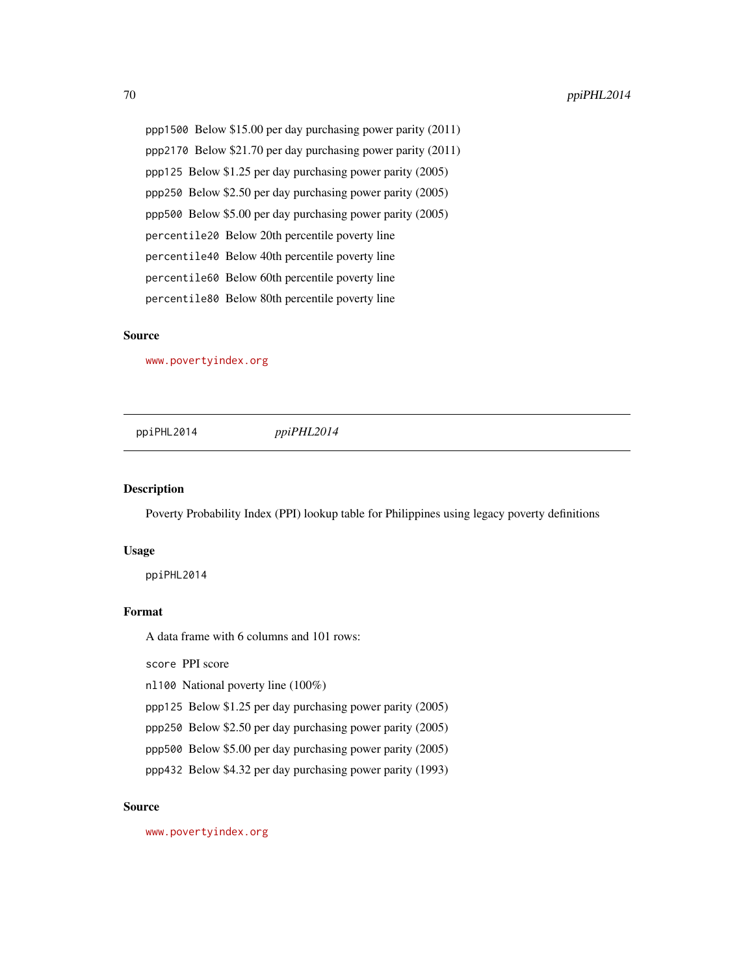ppp1500 Below \$15.00 per day purchasing power parity (2011) ppp2170 Below \$21.70 per day purchasing power parity (2011) ppp125 Below \$1.25 per day purchasing power parity (2005) ppp250 Below \$2.50 per day purchasing power parity (2005) ppp500 Below \$5.00 per day purchasing power parity (2005) percentile20 Below 20th percentile poverty line percentile40 Below 40th percentile poverty line percentile60 Below 60th percentile poverty line percentile80 Below 80th percentile poverty line

## Source

<www.povertyindex.org>

ppiPHL2014 *ppiPHL2014*

## Description

Poverty Probability Index (PPI) lookup table for Philippines using legacy poverty definitions

#### Usage

ppiPHL2014

## Format

A data frame with 6 columns and 101 rows:

score PPI score

nl100 National poverty line (100%)

ppp125 Below \$1.25 per day purchasing power parity (2005)

- ppp250 Below \$2.50 per day purchasing power parity (2005)
- ppp500 Below \$5.00 per day purchasing power parity (2005)
- ppp432 Below \$4.32 per day purchasing power parity (1993)

# Source

<www.povertyindex.org>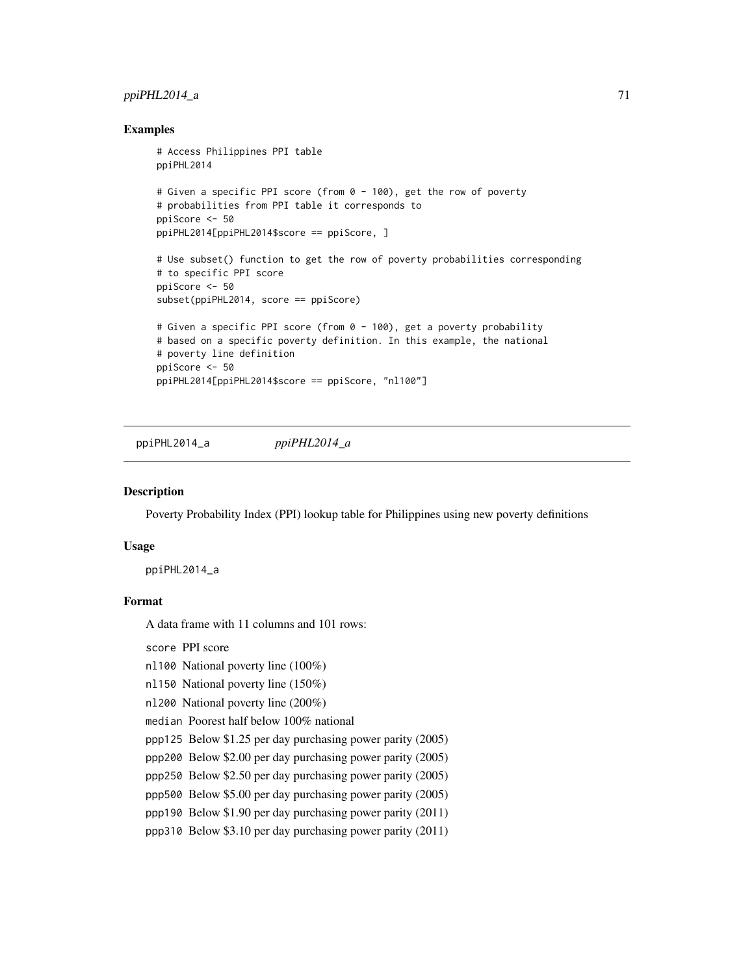# $ppiPHL2014_a$   $\qquad \qquad$  71

## Examples

```
# Access Philippines PPI table
ppiPHL2014
# Given a specific PPI score (from 0 - 100), get the row of poverty
# probabilities from PPI table it corresponds to
ppiScore <- 50
ppiPHL2014[ppiPHL2014$score == ppiScore, ]
# Use subset() function to get the row of poverty probabilities corresponding
# to specific PPI score
ppiScore <- 50
subset(ppiPHL2014, score == ppiScore)
# Given a specific PPI score (from 0 - 100), get a poverty probability
# based on a specific poverty definition. In this example, the national
# poverty line definition
ppiScore <- 50
ppiPHL2014[ppiPHL2014$score == ppiScore, "nl100"]
```
ppiPHL2014\_a *ppiPHL2014\_a*

#### Description

Poverty Probability Index (PPI) lookup table for Philippines using new poverty definitions

#### Usage

ppiPHL2014\_a

# Format

A data frame with 11 columns and 101 rows:

score PPI score

nl100 National poverty line (100%)

nl150 National poverty line (150%)

nl200 National poverty line (200%)

median Poorest half below 100% national

ppp125 Below \$1.25 per day purchasing power parity (2005)

ppp200 Below \$2.00 per day purchasing power parity (2005)

ppp250 Below \$2.50 per day purchasing power parity (2005)

ppp500 Below \$5.00 per day purchasing power parity (2005)

ppp190 Below \$1.90 per day purchasing power parity (2011)

ppp310 Below \$3.10 per day purchasing power parity (2011)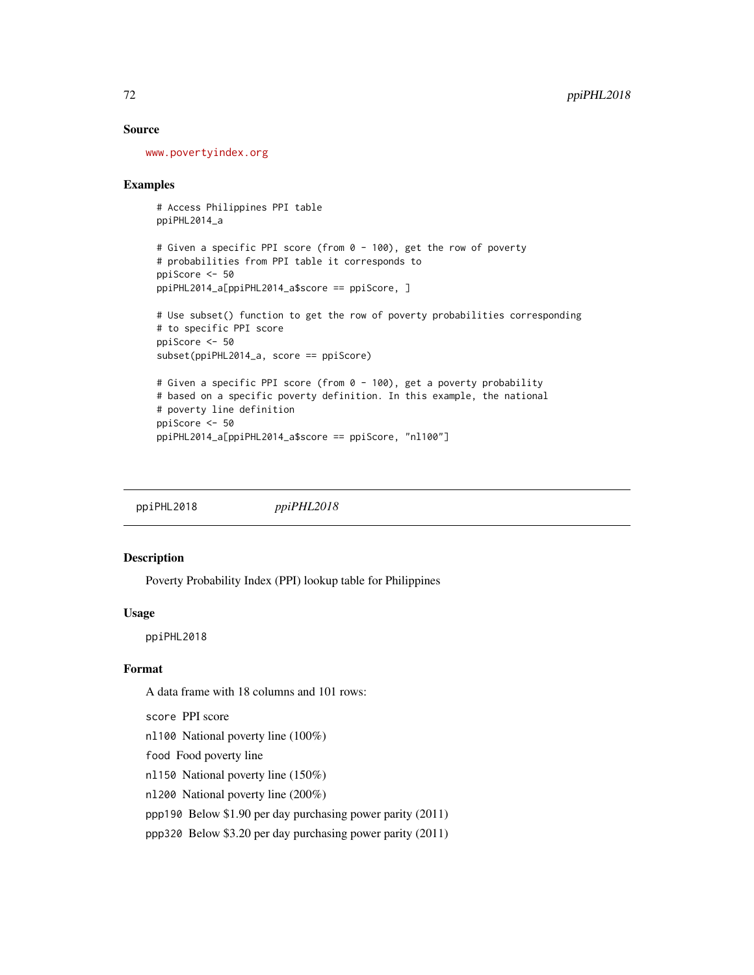## Source

<www.povertyindex.org>

## Examples

# Access Philippines PPI table ppiPHL2014\_a

```
# Given a specific PPI score (from 0 - 100), get the row of poverty
# probabilities from PPI table it corresponds to
ppiScore <- 50
ppiPHL2014_a[ppiPHL2014_a$score == ppiScore, ]
```

```
# Use subset() function to get the row of poverty probabilities corresponding
# to specific PPI score
ppiScore <- 50
subset(ppiPHL2014_a, score == ppiScore)
# Given a specific PPI score (from 0 - 100), get a poverty probability
```

```
# based on a specific poverty definition. In this example, the national
# poverty line definition
ppiScore <- 50
ppiPHL2014_a[ppiPHL2014_a$score == ppiScore, "nl100"]
```
ppiPHL2018 *ppiPHL2018*

# Description

Poverty Probability Index (PPI) lookup table for Philippines

## Usage

ppiPHL2018

# Format

A data frame with 18 columns and 101 rows:

score PPI score

nl100 National poverty line (100%)

food Food poverty line

nl150 National poverty line (150%)

nl200 National poverty line (200%)

ppp190 Below \$1.90 per day purchasing power parity (2011)

ppp320 Below \$3.20 per day purchasing power parity (2011)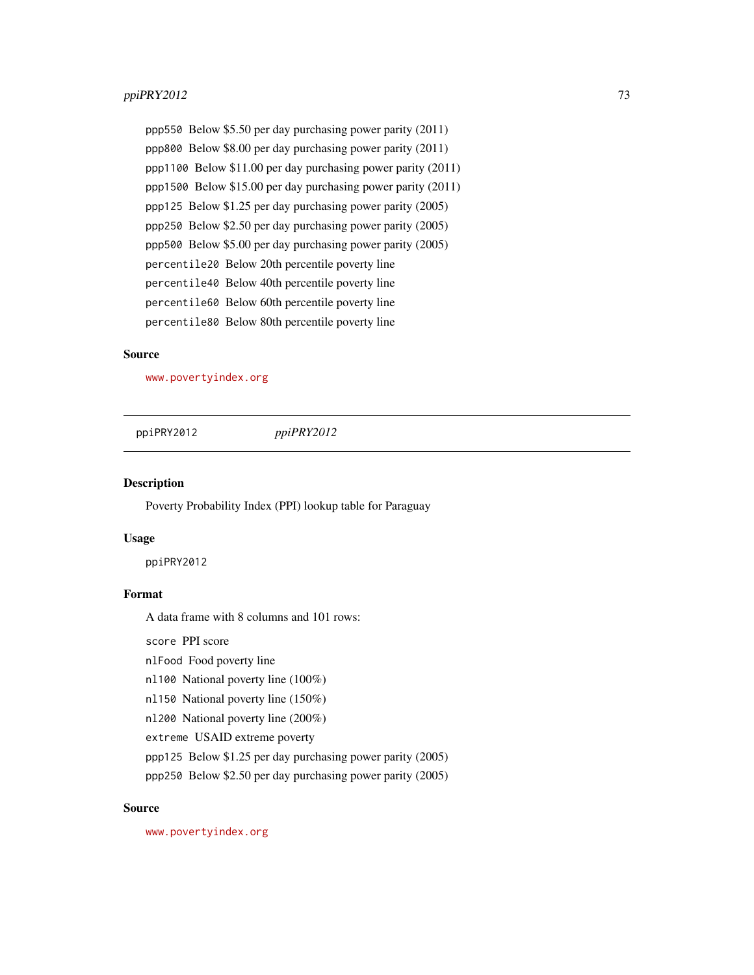#### <span id="page-72-0"></span> $ppi$ PRY2012 73

ppp550 Below \$5.50 per day purchasing power parity (2011) ppp800 Below \$8.00 per day purchasing power parity (2011) ppp1100 Below \$11.00 per day purchasing power parity (2011) ppp1500 Below \$15.00 per day purchasing power parity (2011) ppp125 Below \$1.25 per day purchasing power parity (2005) ppp250 Below \$2.50 per day purchasing power parity (2005) ppp500 Below \$5.00 per day purchasing power parity (2005) percentile20 Below 20th percentile poverty line percentile40 Below 40th percentile poverty line percentile60 Below 60th percentile poverty line percentile80 Below 80th percentile poverty line

#### Source

<www.povertyindex.org>

ppiPRY2012 *ppiPRY2012*

Description

Poverty Probability Index (PPI) lookup table for Paraguay

#### Usage

ppiPRY2012

#### Format

A data frame with 8 columns and 101 rows:

score PPI score

nlFood Food poverty line

nl100 National poverty line (100%)

nl150 National poverty line (150%)

nl200 National poverty line (200%)

extreme USAID extreme poverty

ppp125 Below \$1.25 per day purchasing power parity (2005)

ppp250 Below \$2.50 per day purchasing power parity (2005)

#### Source

<www.povertyindex.org>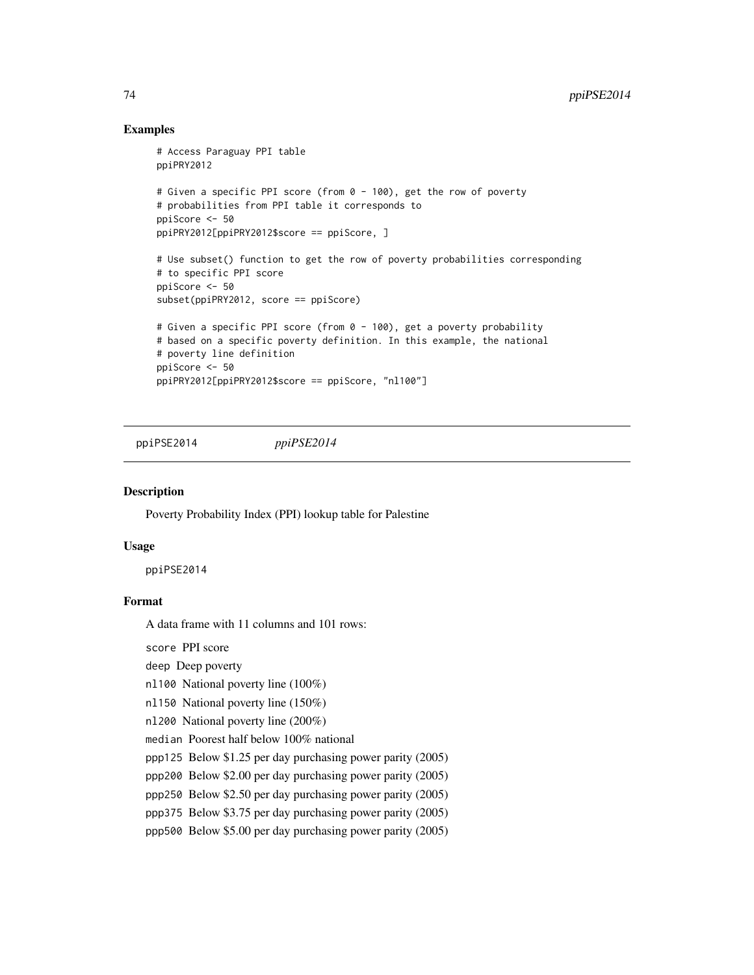#### Examples

```
# Access Paraguay PPI table
ppiPRY2012
# Given a specific PPI score (from 0 - 100), get the row of poverty
# probabilities from PPI table it corresponds to
ppiScore <- 50
ppiPRY2012[ppiPRY2012$score == ppiScore, ]
# Use subset() function to get the row of poverty probabilities corresponding
# to specific PPI score
ppiScore <- 50
subset(ppiPRY2012, score == ppiScore)
# Given a specific PPI score (from 0 - 100), get a poverty probability
# based on a specific poverty definition. In this example, the national
# poverty line definition
ppiScore <- 50
ppiPRY2012[ppiPRY2012$score == ppiScore, "nl100"]
```
ppiPSE2014 *ppiPSE2014*

#### Description

Poverty Probability Index (PPI) lookup table for Palestine

#### Usage

ppiPSE2014

#### Format

A data frame with 11 columns and 101 rows:

score PPI score

deep Deep poverty

nl100 National poverty line (100%)

nl150 National poverty line (150%)

nl200 National poverty line (200%)

median Poorest half below 100% national

ppp125 Below \$1.25 per day purchasing power parity (2005)

ppp200 Below \$2.00 per day purchasing power parity (2005)

ppp250 Below \$2.50 per day purchasing power parity (2005)

ppp375 Below \$3.75 per day purchasing power parity (2005)

ppp500 Below \$5.00 per day purchasing power parity (2005)

<span id="page-73-0"></span>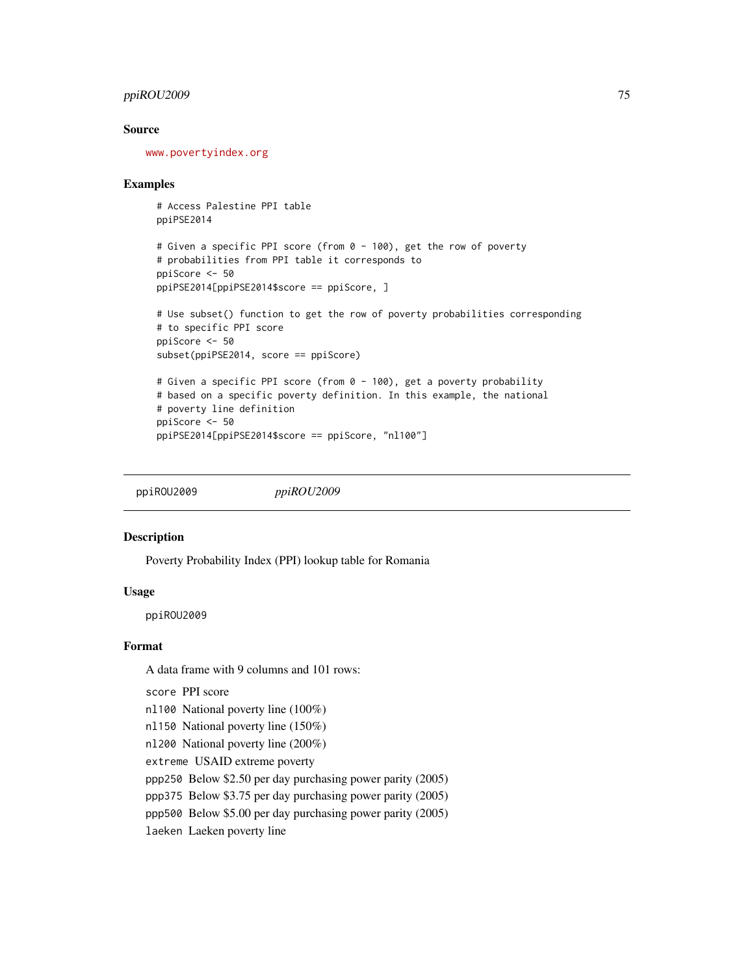#### <span id="page-74-0"></span>ppiROU2009 75

#### Source

<www.povertyindex.org>

#### Examples

```
# Access Palestine PPI table
ppiPSE2014
# Given a specific PPI score (from 0 - 100), get the row of poverty
# probabilities from PPI table it corresponds to
ppiScore <- 50
ppiPSE2014[ppiPSE2014$score == ppiScore, ]
# Use subset() function to get the row of poverty probabilities corresponding
# to specific PPI score
```

```
ppiScore <- 50
subset(ppiPSE2014, score == ppiScore)
# Given a specific PPI score (from 0 - 100), get a poverty probability
# based on a specific poverty definition. In this example, the national
# poverty line definition
ppiScore <- 50
```

```
ppiPSE2014[ppiPSE2014$score == ppiScore, "nl100"]
```
ppiROU2009 *ppiROU2009*

#### Description

Poverty Probability Index (PPI) lookup table for Romania

#### Usage

ppiROU2009

#### Format

A data frame with 9 columns and 101 rows:

score PPI score

- nl100 National poverty line (100%)
- nl150 National poverty line (150%)
- nl200 National poverty line (200%)

extreme USAID extreme poverty

ppp250 Below \$2.50 per day purchasing power parity (2005)

ppp375 Below \$3.75 per day purchasing power parity (2005)

ppp500 Below \$5.00 per day purchasing power parity (2005)

laeken Laeken poverty line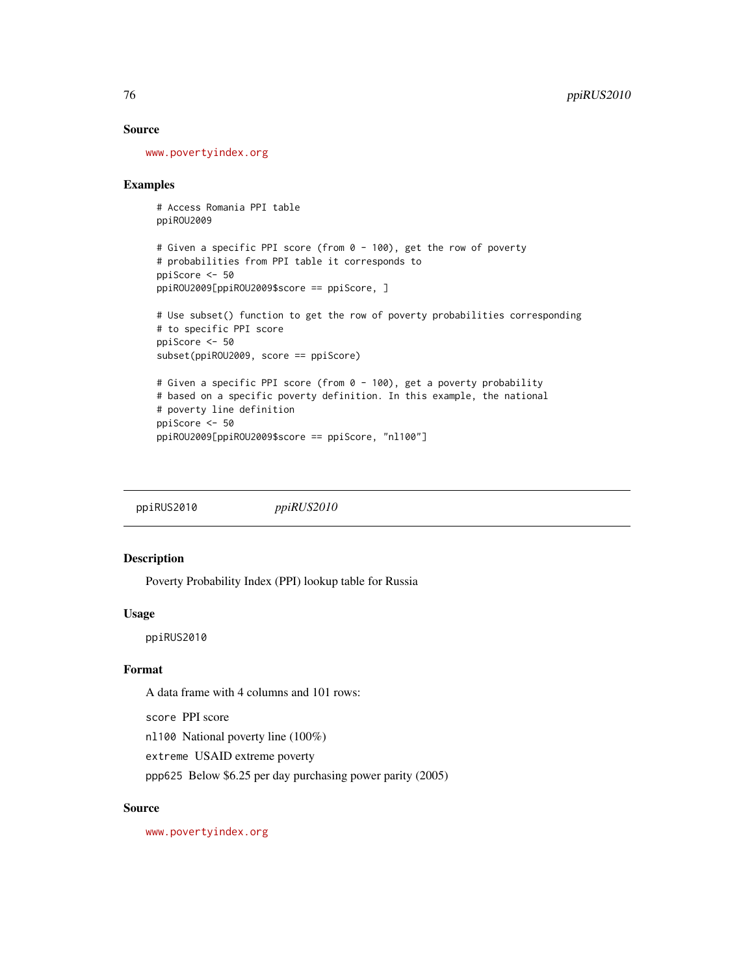#### Source

<www.povertyindex.org>

#### Examples

```
# Access Romania PPI table
ppiROU2009
```

```
# Given a specific PPI score (from 0 - 100), get the row of poverty
# probabilities from PPI table it corresponds to
ppiScore <- 50
ppiROU2009[ppiROU2009$score == ppiScore, ]
```

```
# Use subset() function to get the row of poverty probabilities corresponding
# to specific PPI score
ppiScore <- 50
subset(ppiROU2009, score == ppiScore)
# Given a specific PPI score (from 0 - 100), get a poverty probability
# based on a specific poverty definition. In this example, the national
```

```
# poverty line definition
ppiScore <- 50
ppiROU2009[ppiROU2009$score == ppiScore, "nl100"]
```
ppiRUS2010 *ppiRUS2010*

#### Description

Poverty Probability Index (PPI) lookup table for Russia

#### Usage

ppiRUS2010

#### Format

A data frame with 4 columns and 101 rows:

score PPI score

nl100 National poverty line (100%)

extreme USAID extreme poverty

ppp625 Below \$6.25 per day purchasing power parity (2005)

#### Source

<www.povertyindex.org>

<span id="page-75-0"></span>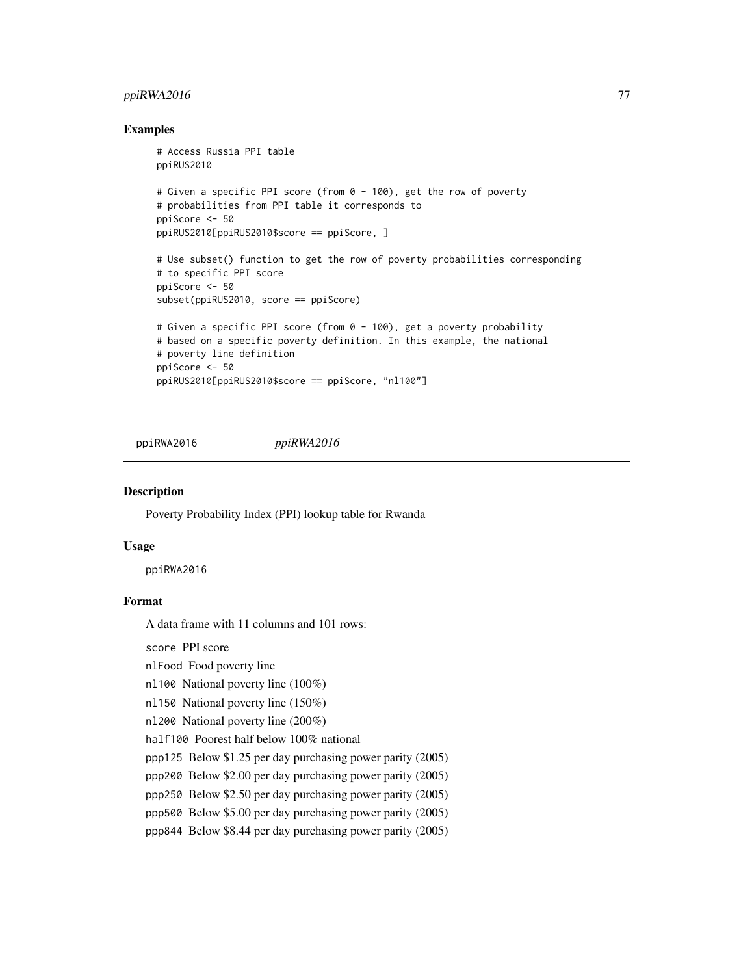#### <span id="page-76-0"></span> $ppiRWA2016$   $77$

#### Examples

```
# Access Russia PPI table
ppiRUS2010
# Given a specific PPI score (from 0 - 100), get the row of poverty
# probabilities from PPI table it corresponds to
ppiScore <- 50
ppiRUS2010[ppiRUS2010$score == ppiScore, ]
# Use subset() function to get the row of poverty probabilities corresponding
# to specific PPI score
ppiScore <- 50
subset(ppiRUS2010, score == ppiScore)
# Given a specific PPI score (from 0 - 100), get a poverty probability
# based on a specific poverty definition. In this example, the national
# poverty line definition
ppiScore <- 50
ppiRUS2010[ppiRUS2010$score == ppiScore, "nl100"]
```
ppiRWA2016 *ppiRWA2016*

#### Description

Poverty Probability Index (PPI) lookup table for Rwanda

#### Usage

ppiRWA2016

#### Format

A data frame with 11 columns and 101 rows:

score PPI score

nlFood Food poverty line

nl100 National poverty line (100%)

nl150 National poverty line (150%)

nl200 National poverty line (200%)

half100 Poorest half below 100% national

ppp125 Below \$1.25 per day purchasing power parity (2005)

ppp200 Below \$2.00 per day purchasing power parity (2005)

ppp250 Below \$2.50 per day purchasing power parity (2005)

ppp500 Below \$5.00 per day purchasing power parity (2005)

ppp844 Below \$8.44 per day purchasing power parity (2005)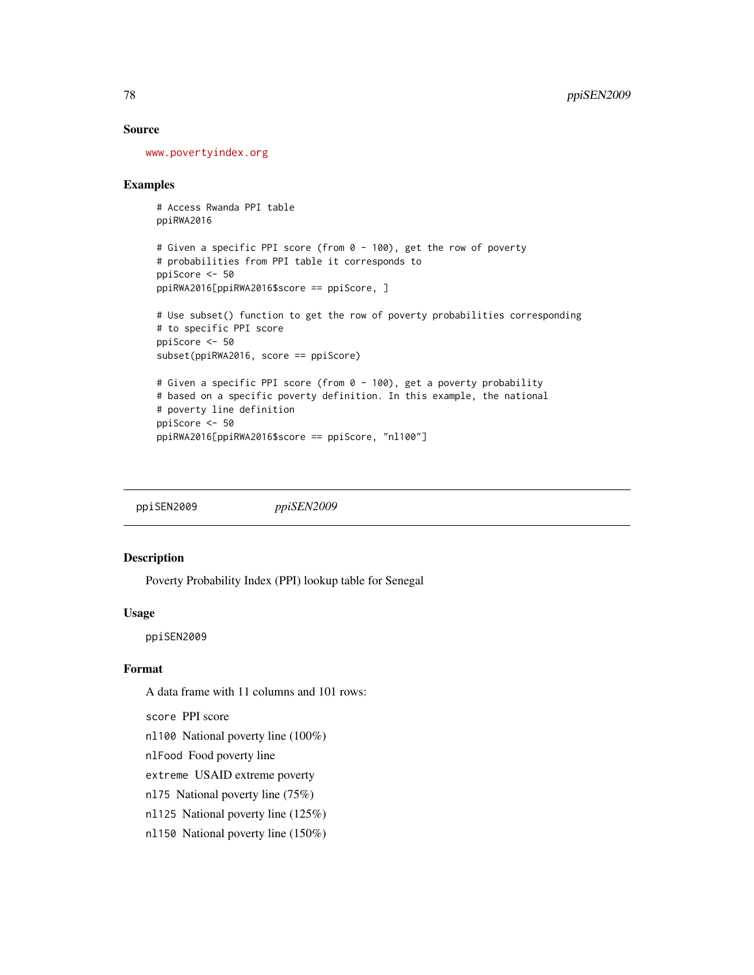#### Source

<www.povertyindex.org>

#### Examples

```
# Access Rwanda PPI table
ppiRWA2016
```

```
# Given a specific PPI score (from 0 - 100), get the row of poverty
# probabilities from PPI table it corresponds to
ppiScore <- 50
ppiRWA2016[ppiRWA2016$score == ppiScore, ]
```

```
# Use subset() function to get the row of poverty probabilities corresponding
# to specific PPI score
ppiScore <- 50
subset(ppiRWA2016, score == ppiScore)
# Given a specific PPI score (from 0 - 100), get a poverty probability
```

```
# based on a specific poverty definition. In this example, the national
# poverty line definition
ppiScore <- 50
ppiRWA2016[ppiRWA2016$score == ppiScore, "nl100"]
```
ppiSEN2009 *ppiSEN2009*

#### Description

Poverty Probability Index (PPI) lookup table for Senegal

#### Usage

ppiSEN2009

#### Format

A data frame with 11 columns and 101 rows:

score PPI score

nl100 National poverty line (100%)

nlFood Food poverty line

extreme USAID extreme poverty

- nl75 National poverty line (75%)
- nl125 National poverty line (125%)

nl150 National poverty line (150%)

<span id="page-77-0"></span>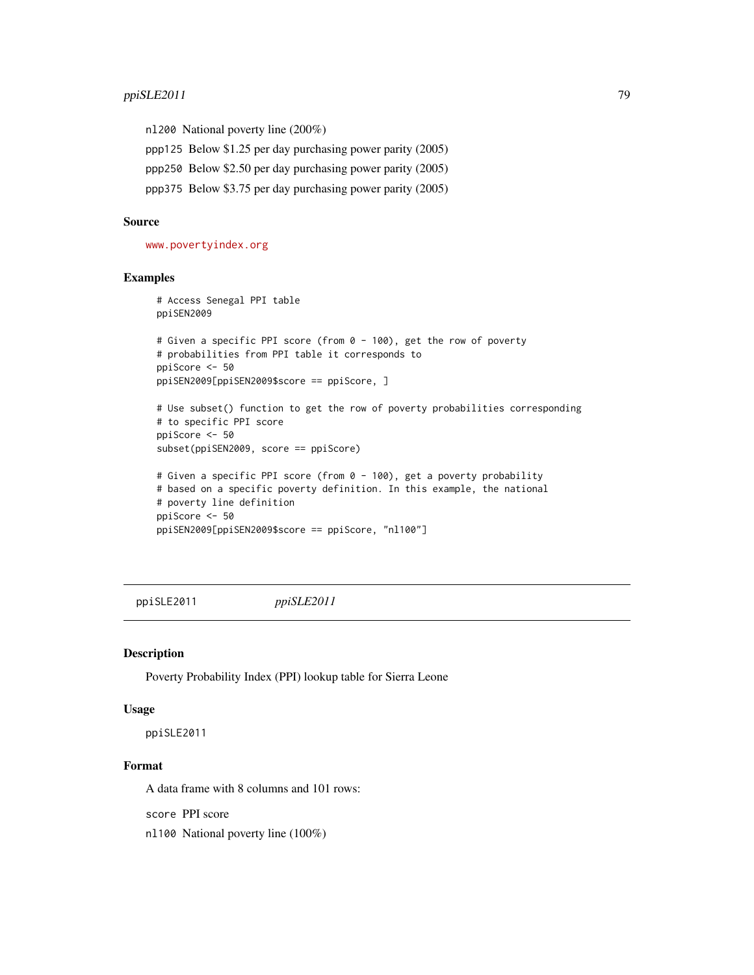<span id="page-78-0"></span>nl200 National poverty line (200%)

ppp125 Below \$1.25 per day purchasing power parity (2005)

ppp250 Below \$2.50 per day purchasing power parity (2005)

ppp375 Below \$3.75 per day purchasing power parity (2005)

#### Source

<www.povertyindex.org>

#### Examples

```
# Access Senegal PPI table
ppiSEN2009
# Given a specific PPI score (from 0 - 100), get the row of poverty
# probabilities from PPI table it corresponds to
ppiScore <- 50
ppiSEN2009[ppiSEN2009$score == ppiScore, ]
# Use subset() function to get the row of poverty probabilities corresponding
# to specific PPI score
ppiScore <- 50
subset(ppiSEN2009, score == ppiScore)
# Given a specific PPI score (from 0 - 100), get a poverty probability
# based on a specific poverty definition. In this example, the national
# poverty line definition
ppiScore <- 50
ppiSEN2009[ppiSEN2009$score == ppiScore, "nl100"]
```
ppiSLE2011 *ppiSLE2011*

#### Description

Poverty Probability Index (PPI) lookup table for Sierra Leone

#### Usage

ppiSLE2011

#### Format

A data frame with 8 columns and 101 rows:

score PPI score

nl100 National poverty line (100%)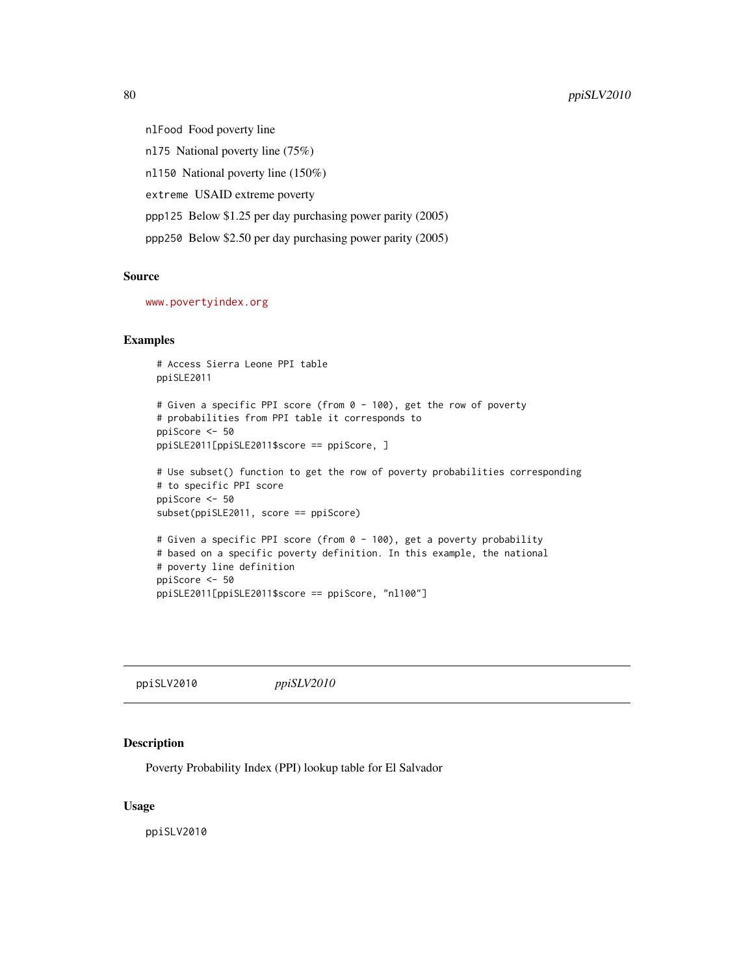nlFood Food poverty line nl75 National poverty line (75%) nl150 National poverty line (150%) extreme USAID extreme poverty ppp125 Below \$1.25 per day purchasing power parity (2005) ppp250 Below \$2.50 per day purchasing power parity (2005)

#### Source

<www.povertyindex.org>

#### Examples

```
# Access Sierra Leone PPI table
ppiSLE2011
# Given a specific PPI score (from 0 - 100), get the row of poverty
# probabilities from PPI table it corresponds to
ppiScore <- 50
ppiSLE2011[ppiSLE2011$score == ppiScore, ]
# Use subset() function to get the row of poverty probabilities corresponding
# to specific PPI score
ppiScore <- 50
subset(ppiSLE2011, score == ppiScore)
# Given a specific PPI score (from 0 - 100), get a poverty probability
# based on a specific poverty definition. In this example, the national
# poverty line definition
ppiScore <- 50
ppiSLE2011[ppiSLE2011$score == ppiScore, "nl100"]
```
ppiSLV2010 *ppiSLV2010*

#### Description

Poverty Probability Index (PPI) lookup table for El Salvador

#### Usage

ppiSLV2010

<span id="page-79-0"></span>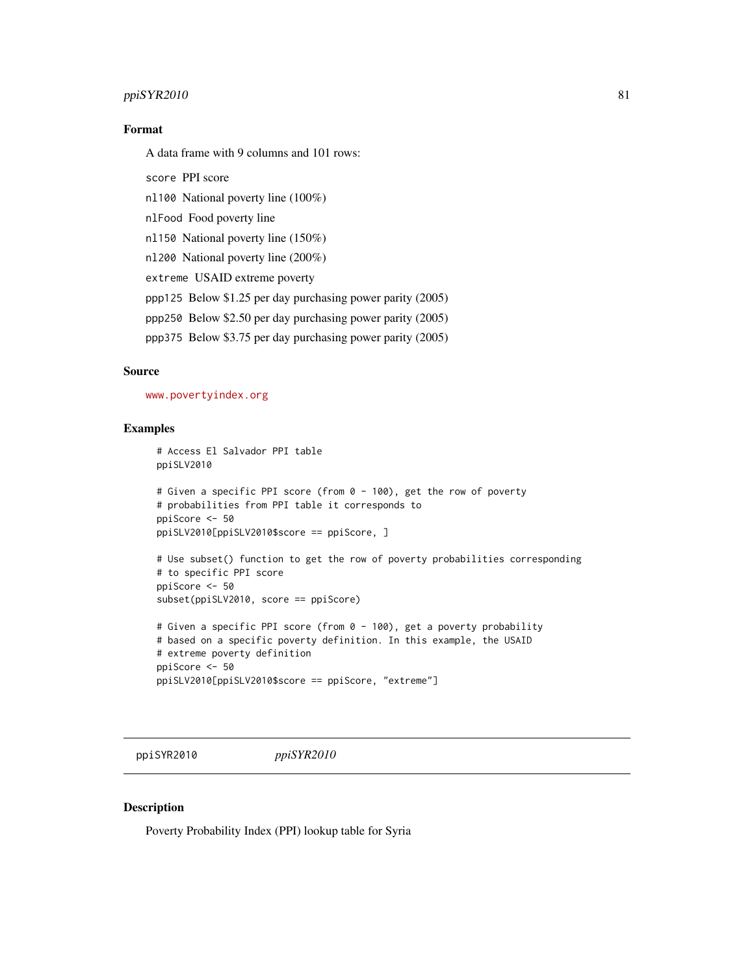#### <span id="page-80-0"></span>ppiSYR2010 81

#### Format

A data frame with 9 columns and 101 rows:

score PPI score

nl100 National poverty line (100%)

nlFood Food poverty line

nl150 National poverty line (150%)

nl200 National poverty line (200%)

extreme USAID extreme poverty

ppp125 Below \$1.25 per day purchasing power parity (2005)

ppp250 Below \$2.50 per day purchasing power parity (2005)

ppp375 Below \$3.75 per day purchasing power parity (2005)

#### Source

<www.povertyindex.org>

#### Examples

```
# Access El Salvador PPI table
ppiSLV2010
# Given a specific PPI score (from 0 - 100), get the row of poverty
# probabilities from PPI table it corresponds to
ppiScore <- 50
ppiSLV2010[ppiSLV2010$score == ppiScore, ]
# Use subset() function to get the row of poverty probabilities corresponding
```

```
# to specific PPI score
ppiScore <- 50
subset(ppiSLV2010, score == ppiScore)
```

```
# Given a specific PPI score (from 0 - 100), get a poverty probability
# based on a specific poverty definition. In this example, the USAID
# extreme poverty definition
ppiScore <- 50
ppiSLV2010[ppiSLV2010$score == ppiScore, "extreme"]
```
ppiSYR2010 *ppiSYR2010*

## Description

Poverty Probability Index (PPI) lookup table for Syria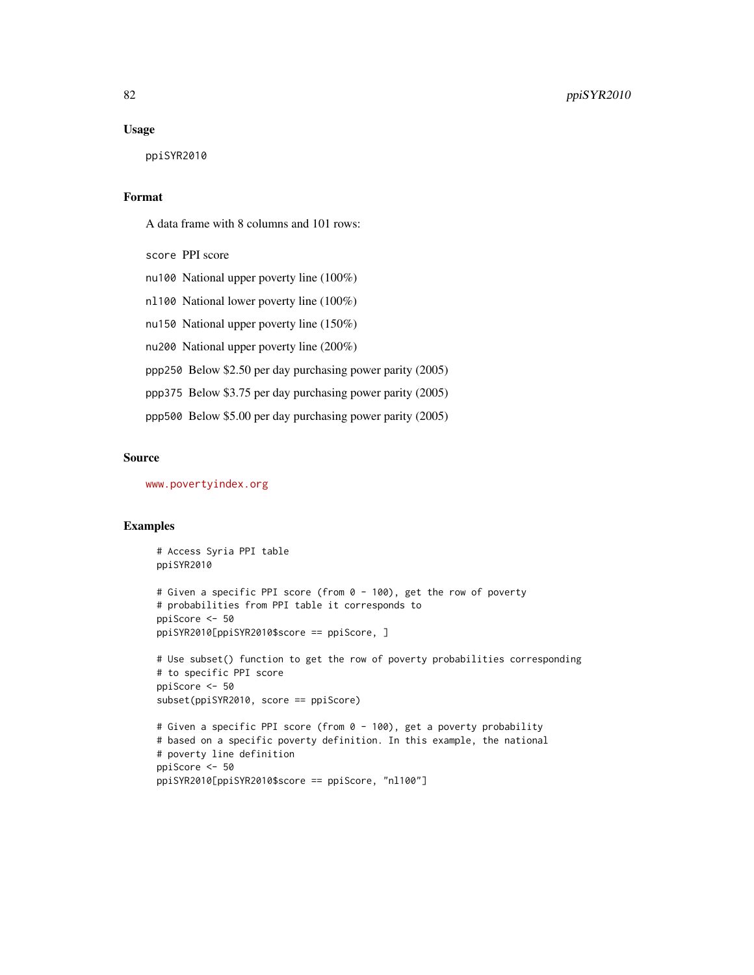#### Usage

ppiSYR2010

#### Format

A data frame with 8 columns and 101 rows:

score PPI score nu100 National upper poverty line (100%) nl100 National lower poverty line (100%) nu150 National upper poverty line (150%) nu200 National upper poverty line (200%) ppp250 Below \$2.50 per day purchasing power parity (2005) ppp375 Below \$3.75 per day purchasing power parity (2005) ppp500 Below \$5.00 per day purchasing power parity (2005)

#### Source

<www.povertyindex.org>

#### Examples

```
# Access Syria PPI table
ppiSYR2010
# Given a specific PPI score (from 0 - 100), get the row of poverty
# probabilities from PPI table it corresponds to
ppiScore <- 50
ppiSYR2010[ppiSYR2010$score == ppiScore, ]
# Use subset() function to get the row of poverty probabilities corresponding
# to specific PPI score
ppiScore <- 50
subset(ppiSYR2010, score == ppiScore)
# Given a specific PPI score (from 0 - 100), get a poverty probability
# based on a specific poverty definition. In this example, the national
# poverty line definition
ppiScore <- 50
```

```
ppiSYR2010[ppiSYR2010$score == ppiScore, "nl100"]
```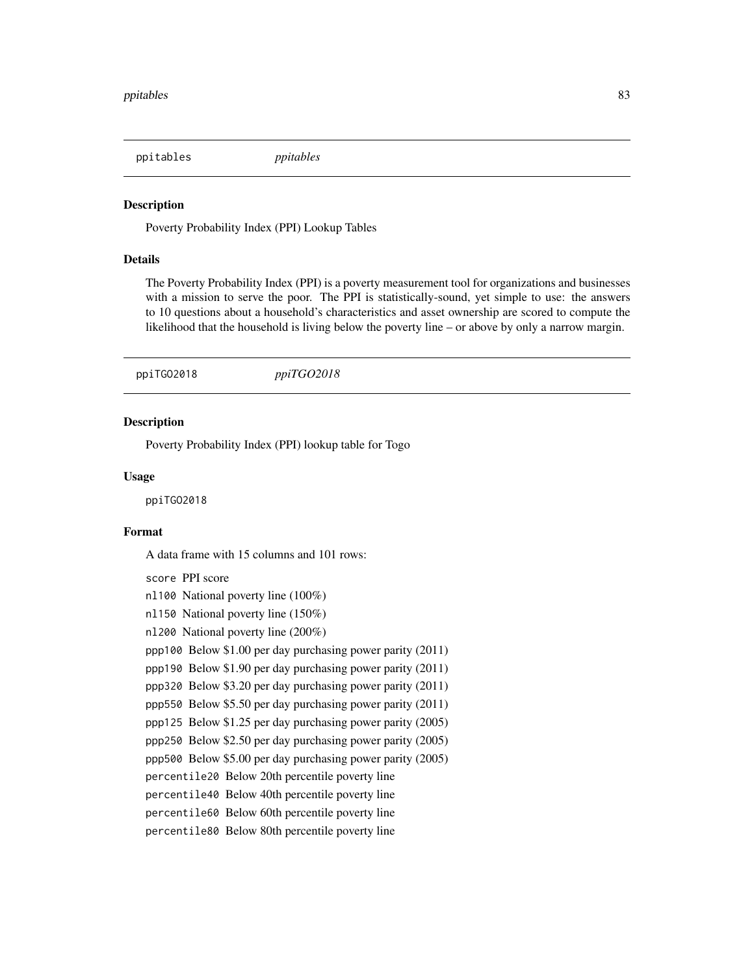<span id="page-82-0"></span>ppitables *ppitables*

#### **Description**

Poverty Probability Index (PPI) Lookup Tables

#### Details

The Poverty Probability Index (PPI) is a poverty measurement tool for organizations and businesses with a mission to serve the poor. The PPI is statistically-sound, yet simple to use: the answers to 10 questions about a household's characteristics and asset ownership are scored to compute the likelihood that the household is living below the poverty line – or above by only a narrow margin.

ppiTGO2018 *ppiTGO2018*

#### Description

Poverty Probability Index (PPI) lookup table for Togo

#### Usage

ppiTGO2018

#### Format

A data frame with 15 columns and 101 rows:

score PPI score nl100 National poverty line (100%) nl150 National poverty line (150%) nl200 National poverty line (200%) ppp100 Below \$1.00 per day purchasing power parity (2011) ppp190 Below \$1.90 per day purchasing power parity (2011) ppp320 Below \$3.20 per day purchasing power parity (2011) ppp550 Below \$5.50 per day purchasing power parity (2011) ppp125 Below \$1.25 per day purchasing power parity (2005) ppp250 Below \$2.50 per day purchasing power parity (2005) ppp500 Below \$5.00 per day purchasing power parity (2005) percentile20 Below 20th percentile poverty line percentile40 Below 40th percentile poverty line percentile60 Below 60th percentile poverty line percentile80 Below 80th percentile poverty line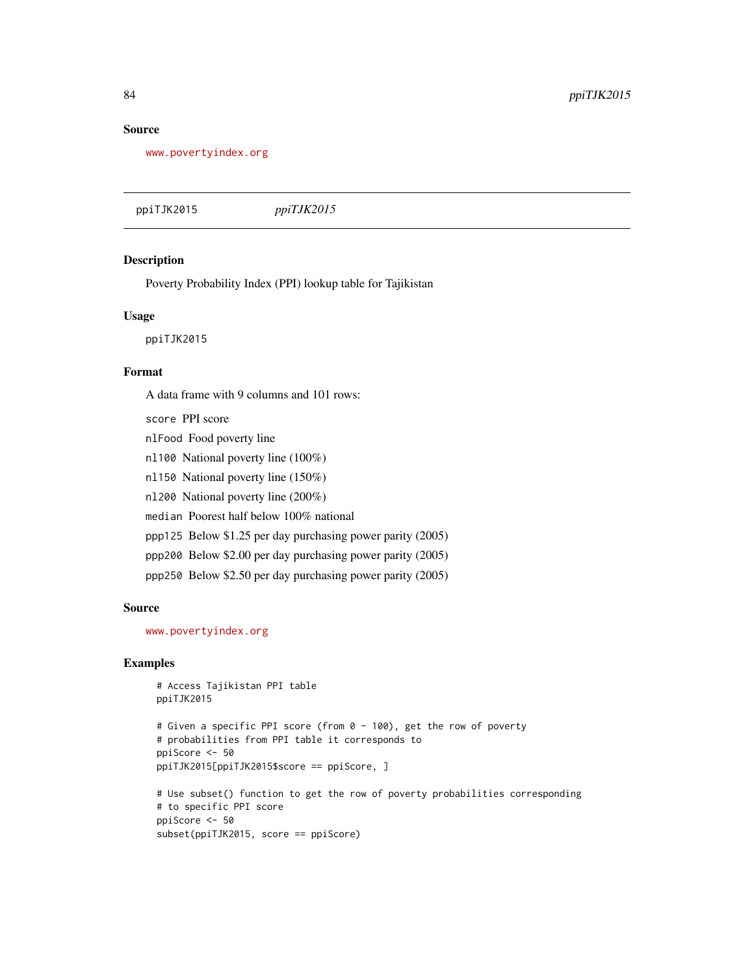#### <span id="page-83-0"></span>Source

<www.povertyindex.org>

ppiTJK2015 *ppiTJK2015*

#### Description

Poverty Probability Index (PPI) lookup table for Tajikistan

#### Usage

ppiTJK2015

#### Format

A data frame with 9 columns and 101 rows:

- score PPI score
- nlFood Food poverty line
- nl100 National poverty line (100%)
- nl150 National poverty line (150%)
- nl200 National poverty line (200%)
- median Poorest half below 100% national
- ppp125 Below \$1.25 per day purchasing power parity (2005)
- ppp200 Below \$2.00 per day purchasing power parity (2005)
- ppp250 Below \$2.50 per day purchasing power parity (2005)

#### Source

<www.povertyindex.org>

#### Examples

```
# Access Tajikistan PPI table
ppiTJK2015
# Given a specific PPI score (from 0 - 100), get the row of poverty
# probabilities from PPI table it corresponds to
ppiScore <- 50
ppiTJK2015[ppiTJK2015$score == ppiScore, ]
# Use subset() function to get the row of poverty probabilities corresponding
# to specific PPI score
ppiScore <- 50
subset(ppiTJK2015, score == ppiScore)
```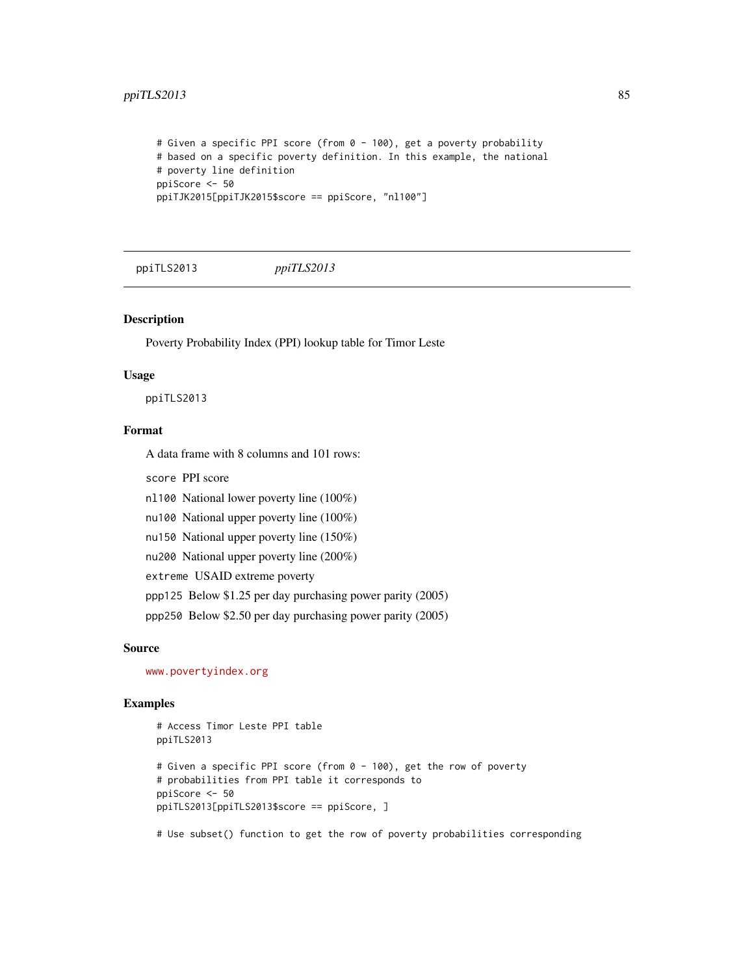#### <span id="page-84-0"></span>ppiTLS2013 85

```
# Given a specific PPI score (from 0 - 100), get a poverty probability
# based on a specific poverty definition. In this example, the national
# poverty line definition
ppiScore <- 50
ppiTJK2015[ppiTJK2015$score == ppiScore, "nl100"]
```
ppiTLS2013 *ppiTLS2013*

#### Description

Poverty Probability Index (PPI) lookup table for Timor Leste

#### Usage

ppiTLS2013

#### Format

A data frame with 8 columns and 101 rows:

score PPI score

nl100 National lower poverty line (100%)

nu100 National upper poverty line (100%)

nu150 National upper poverty line (150%)

nu200 National upper poverty line (200%)

extreme USAID extreme poverty

ppp125 Below \$1.25 per day purchasing power parity (2005)

ppp250 Below \$2.50 per day purchasing power parity (2005)

#### Source

<www.povertyindex.org>

#### Examples

```
# Access Timor Leste PPI table
ppiTLS2013
# Given a specific PPI score (from 0 - 100), get the row of poverty
# probabilities from PPI table it corresponds to
ppiScore <- 50
ppiTLS2013[ppiTLS2013$score == ppiScore, ]
```
# Use subset() function to get the row of poverty probabilities corresponding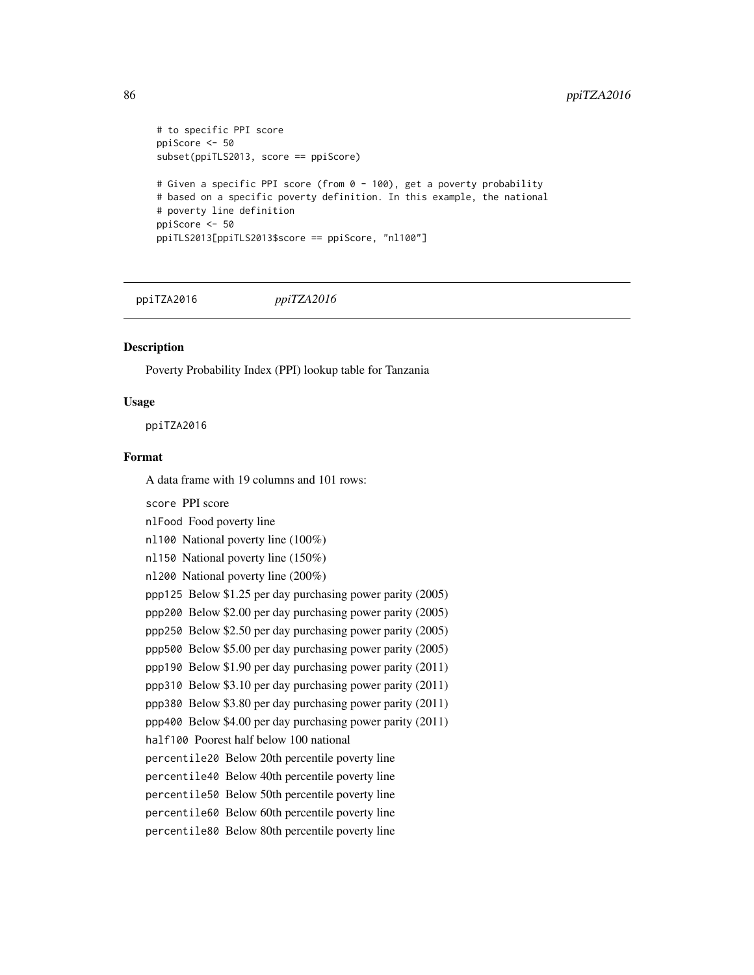```
# to specific PPI score
ppiScore <- 50
subset(ppiTLS2013, score == ppiScore)
# Given a specific PPI score (from 0 - 100), get a poverty probability
# based on a specific poverty definition. In this example, the national
# poverty line definition
ppiScore <- 50
ppiTLS2013[ppiTLS2013$score == ppiScore, "nl100"]
```
ppiTZA2016 *ppiTZA2016*

#### **Description**

Poverty Probability Index (PPI) lookup table for Tanzania

#### Usage

ppiTZA2016

#### Format

A data frame with 19 columns and 101 rows:

score PPI score nlFood Food poverty line nl100 National poverty line (100%) nl150 National poverty line (150%) nl200 National poverty line (200%) ppp125 Below \$1.25 per day purchasing power parity (2005) ppp200 Below \$2.00 per day purchasing power parity (2005) ppp250 Below \$2.50 per day purchasing power parity (2005) ppp500 Below \$5.00 per day purchasing power parity (2005) ppp190 Below \$1.90 per day purchasing power parity (2011) ppp310 Below \$3.10 per day purchasing power parity (2011) ppp380 Below \$3.80 per day purchasing power parity (2011) ppp400 Below \$4.00 per day purchasing power parity (2011) half100 Poorest half below 100 national percentile20 Below 20th percentile poverty line percentile40 Below 40th percentile poverty line percentile50 Below 50th percentile poverty line percentile60 Below 60th percentile poverty line percentile80 Below 80th percentile poverty line

<span id="page-85-0"></span>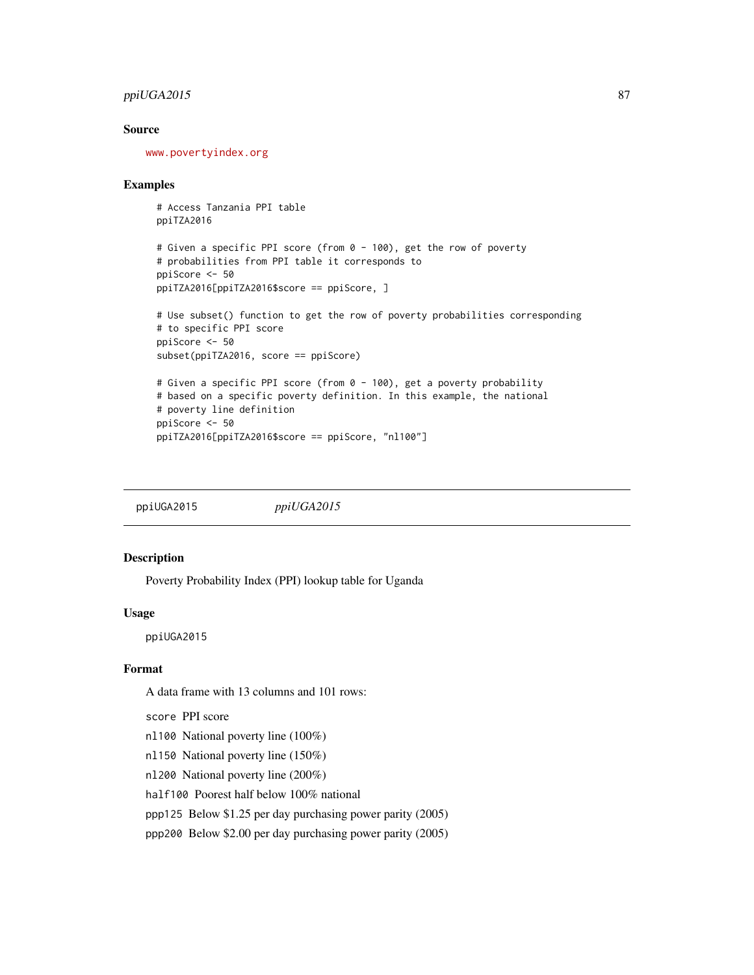#### <span id="page-86-0"></span>ppiUGA2015 87

#### Source

<www.povertyindex.org>

#### Examples

# Access Tanzania PPI table ppiTZA2016

```
# Given a specific PPI score (from 0 - 100), get the row of poverty
# probabilities from PPI table it corresponds to
ppiScore <- 50
ppiTZA2016[ppiTZA2016$score == ppiScore, ]
```

```
# Use subset() function to get the row of poverty probabilities corresponding
# to specific PPI score
ppiScore <- 50
subset(ppiTZA2016, score == ppiScore)
# Given a specific PPI score (from 0 - 100), get a poverty probability
```

```
# based on a specific poverty definition. In this example, the national
# poverty line definition
ppiScore <- 50
ppiTZA2016[ppiTZA2016$score == ppiScore, "nl100"]
```
ppiUGA2015 *ppiUGA2015*

#### Description

Poverty Probability Index (PPI) lookup table for Uganda

#### Usage

ppiUGA2015

#### Format

A data frame with 13 columns and 101 rows:

score PPI score

- nl100 National poverty line (100%)
- nl150 National poverty line (150%)
- nl200 National poverty line (200%)

half100 Poorest half below 100% national

ppp125 Below \$1.25 per day purchasing power parity (2005)

ppp200 Below \$2.00 per day purchasing power parity (2005)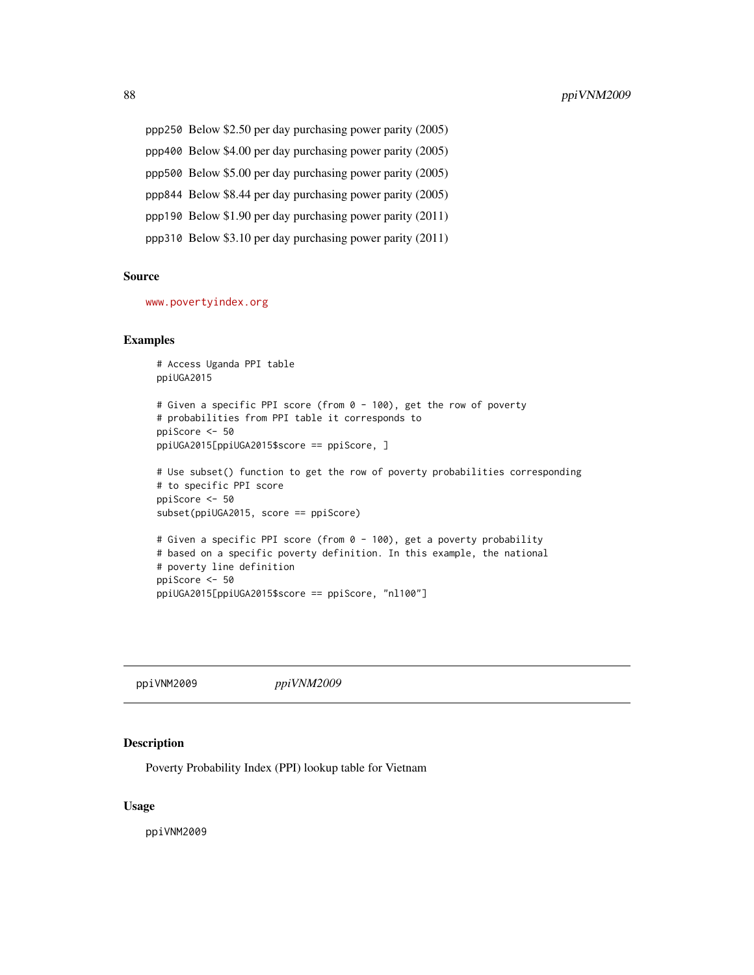<span id="page-87-0"></span>ppp250 Below \$2.50 per day purchasing power parity (2005) ppp400 Below \$4.00 per day purchasing power parity (2005) ppp500 Below \$5.00 per day purchasing power parity (2005) ppp844 Below \$8.44 per day purchasing power parity (2005) ppp190 Below \$1.90 per day purchasing power parity (2011) ppp310 Below \$3.10 per day purchasing power parity (2011)

#### Source

<www.povertyindex.org>

#### Examples

```
# Access Uganda PPI table
ppiUGA2015
# Given a specific PPI score (from 0 - 100), get the row of poverty
# probabilities from PPI table it corresponds to
ppiScore <- 50
ppiUGA2015[ppiUGA2015$score == ppiScore, ]
# Use subset() function to get the row of poverty probabilities corresponding
# to specific PPI score
ppiScore <- 50
subset(ppiUGA2015, score == ppiScore)
# Given a specific PPI score (from 0 - 100), get a poverty probability
# based on a specific poverty definition. In this example, the national
# poverty line definition
ppiScore <- 50
ppiUGA2015[ppiUGA2015$score == ppiScore, "nl100"]
```
ppiVNM2009 *ppiVNM2009*

#### Description

Poverty Probability Index (PPI) lookup table for Vietnam

#### Usage

ppiVNM2009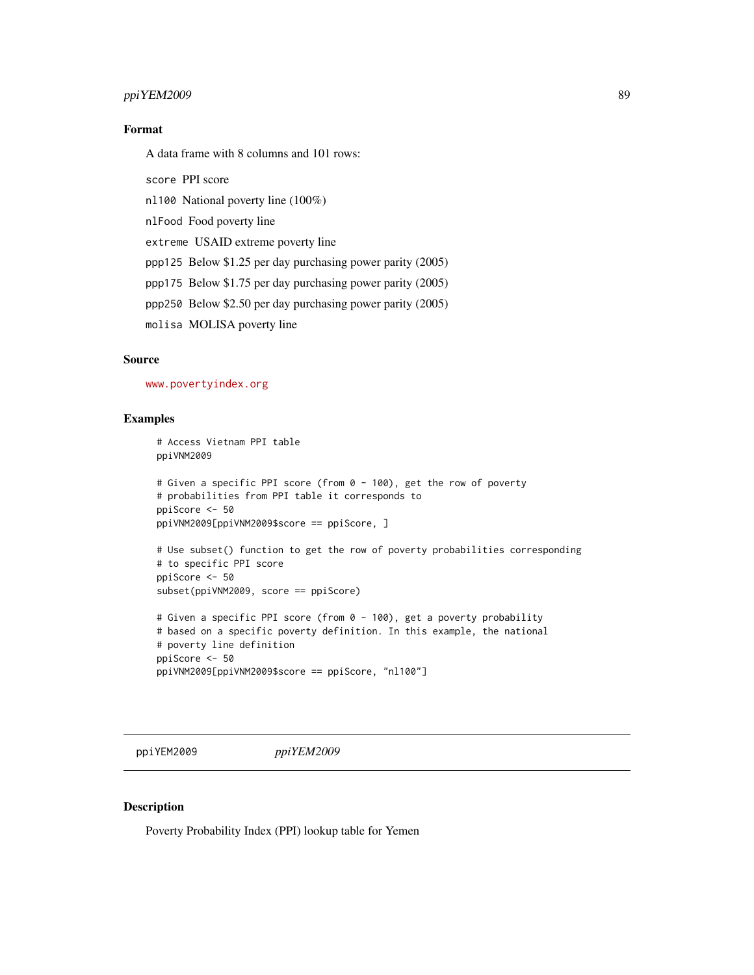#### <span id="page-88-0"></span>ppiYEM2009 89

#### Format

A data frame with 8 columns and 101 rows:

score PPI score

nl100 National poverty line (100%)

nlFood Food poverty line

extreme USAID extreme poverty line

ppp125 Below \$1.25 per day purchasing power parity (2005)

ppp175 Below \$1.75 per day purchasing power parity (2005)

ppp250 Below \$2.50 per day purchasing power parity (2005)

molisa MOLISA poverty line

#### Source

<www.povertyindex.org>

#### Examples

```
# Access Vietnam PPI table
ppiVNM2009
# Given a specific PPI score (from 0 - 100), get the row of poverty
# probabilities from PPI table it corresponds to
ppiScore <- 50
ppiVNM2009[ppiVNM2009$score == ppiScore, ]
# Use subset() function to get the row of poverty probabilities corresponding
# to specific PPI score
ppiScore <- 50
subset(ppiVNM2009, score == ppiScore)
```

```
# Given a specific PPI score (from 0 - 100), get a poverty probability
# based on a specific poverty definition. In this example, the national
# poverty line definition
ppiScore <- 50
ppiVNM2009[ppiVNM2009$score == ppiScore, "nl100"]
```
ppiYEM2009 *ppiYEM2009*

#### Description

Poverty Probability Index (PPI) lookup table for Yemen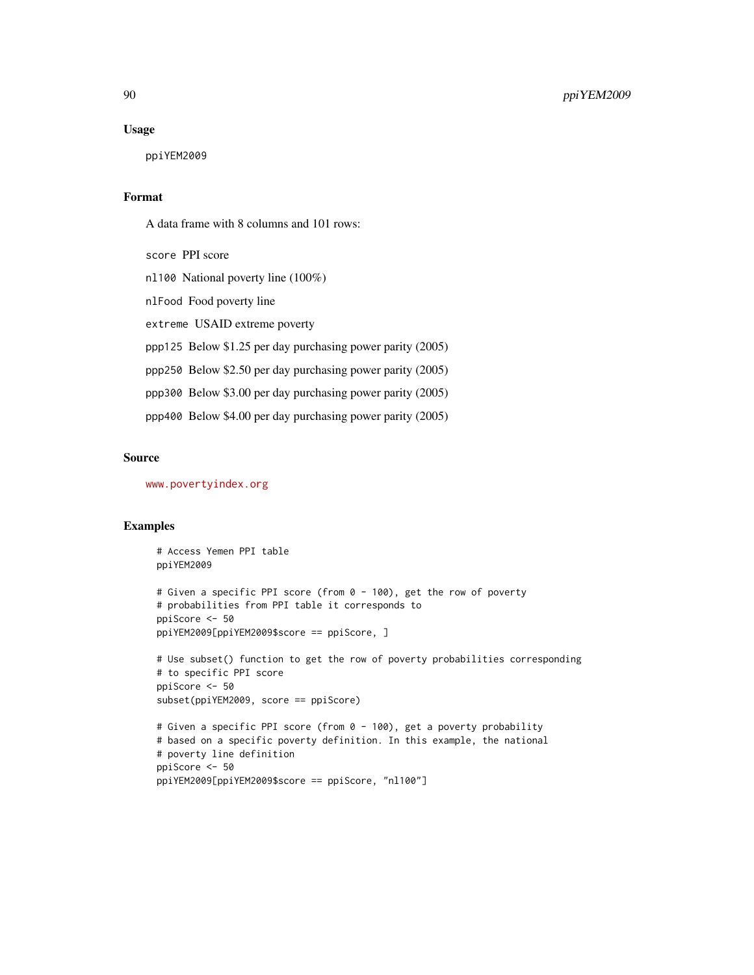#### Usage

ppiYEM2009

#### Format

A data frame with 8 columns and 101 rows:

score PPI score nl100 National poverty line (100%) nlFood Food poverty line extreme USAID extreme poverty ppp125 Below \$1.25 per day purchasing power parity (2005) ppp250 Below \$2.50 per day purchasing power parity (2005) ppp300 Below \$3.00 per day purchasing power parity (2005) ppp400 Below \$4.00 per day purchasing power parity (2005)

#### Source

<www.povertyindex.org>

#### Examples

```
# Access Yemen PPI table
ppiYEM2009
# Given a specific PPI score (from 0 - 100), get the row of poverty
# probabilities from PPI table it corresponds to
ppiScore <- 50
ppiYEM2009[ppiYEM2009$score == ppiScore, ]
# Use subset() function to get the row of poverty probabilities corresponding
# to specific PPI score
ppiScore <- 50
subset(ppiYEM2009, score == ppiScore)
# Given a specific PPI score (from 0 - 100), get a poverty probability
# based on a specific poverty definition. In this example, the national
# poverty line definition
ppiScore <- 50
```

```
ppiYEM2009[ppiYEM2009$score == ppiScore, "nl100"]
```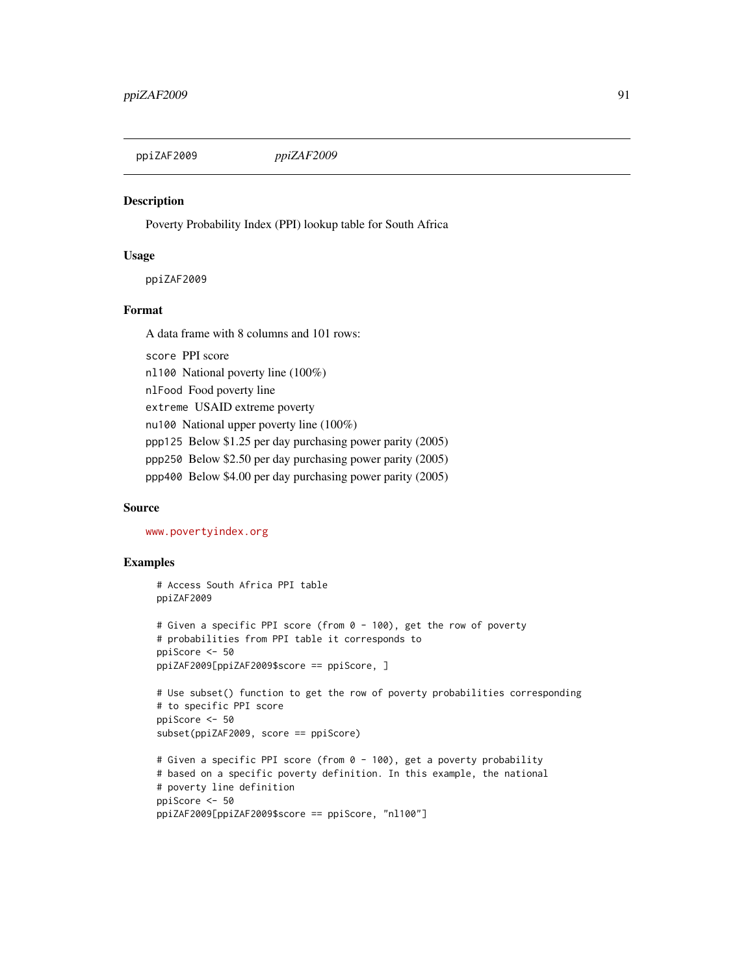<span id="page-90-0"></span>

#### **Description**

Poverty Probability Index (PPI) lookup table for South Africa

#### Usage

ppiZAF2009

#### Format

A data frame with 8 columns and 101 rows:

score PPI score nl100 National poverty line (100%) nlFood Food poverty line extreme USAID extreme poverty nu100 National upper poverty line (100%) ppp125 Below \$1.25 per day purchasing power parity (2005) ppp250 Below \$2.50 per day purchasing power parity (2005) ppp400 Below \$4.00 per day purchasing power parity (2005)

#### Source

<www.povertyindex.org>

#### Examples

```
# Access South Africa PPI table
ppiZAF2009
# Given a specific PPI score (from 0 - 100), get the row of poverty
# probabilities from PPI table it corresponds to
ppiScore <- 50
ppiZAF2009[ppiZAF2009$score == ppiScore, ]
# Use subset() function to get the row of poverty probabilities corresponding
# to specific PPI score
ppiScore <- 50
subset(ppiZAF2009, score == ppiScore)
# Given a specific PPI score (from 0 - 100), get a poverty probability
# based on a specific poverty definition. In this example, the national
# poverty line definition
ppiScore <- 50
ppiZAF2009[ppiZAF2009$score == ppiScore, "nl100"]
```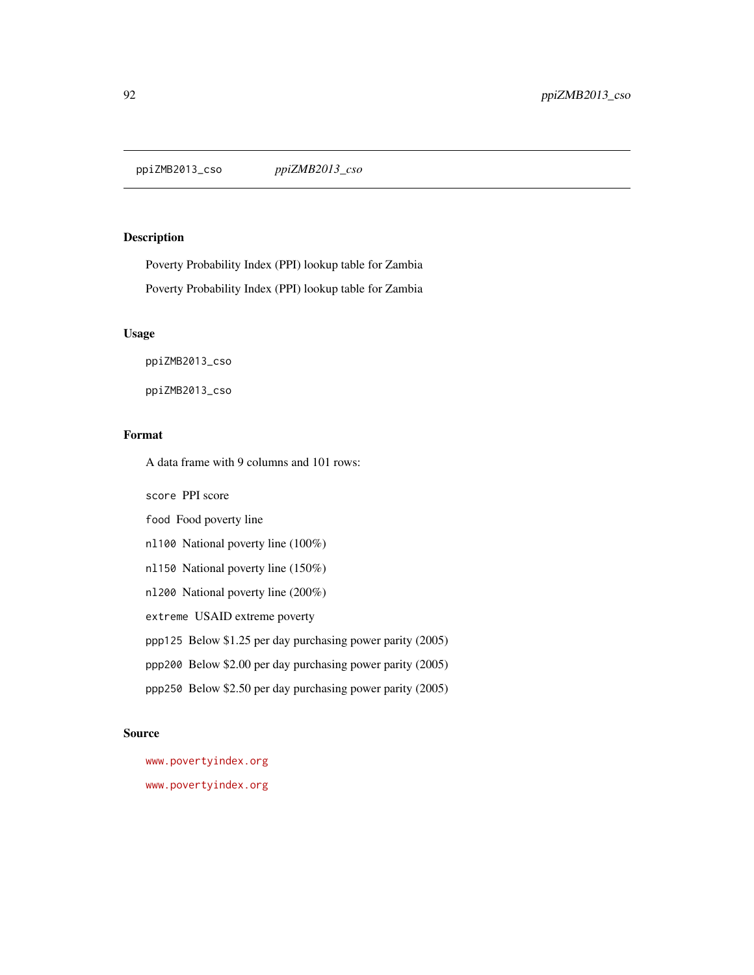<span id="page-91-0"></span>ppiZMB2013\_cso *ppiZMB2013\_cso*

#### Description

Poverty Probability Index (PPI) lookup table for Zambia Poverty Probability Index (PPI) lookup table for Zambia

#### Usage

ppiZMB2013\_cso

ppiZMB2013\_cso

#### Format

A data frame with 9 columns and 101 rows:

score PPI score

food Food poverty line

nl100 National poverty line (100%)

nl150 National poverty line (150%)

nl200 National poverty line (200%)

extreme USAID extreme poverty

ppp125 Below \$1.25 per day purchasing power parity (2005)

ppp200 Below \$2.00 per day purchasing power parity (2005)

ppp250 Below \$2.50 per day purchasing power parity (2005)

#### Source

<www.povertyindex.org>

<www.povertyindex.org>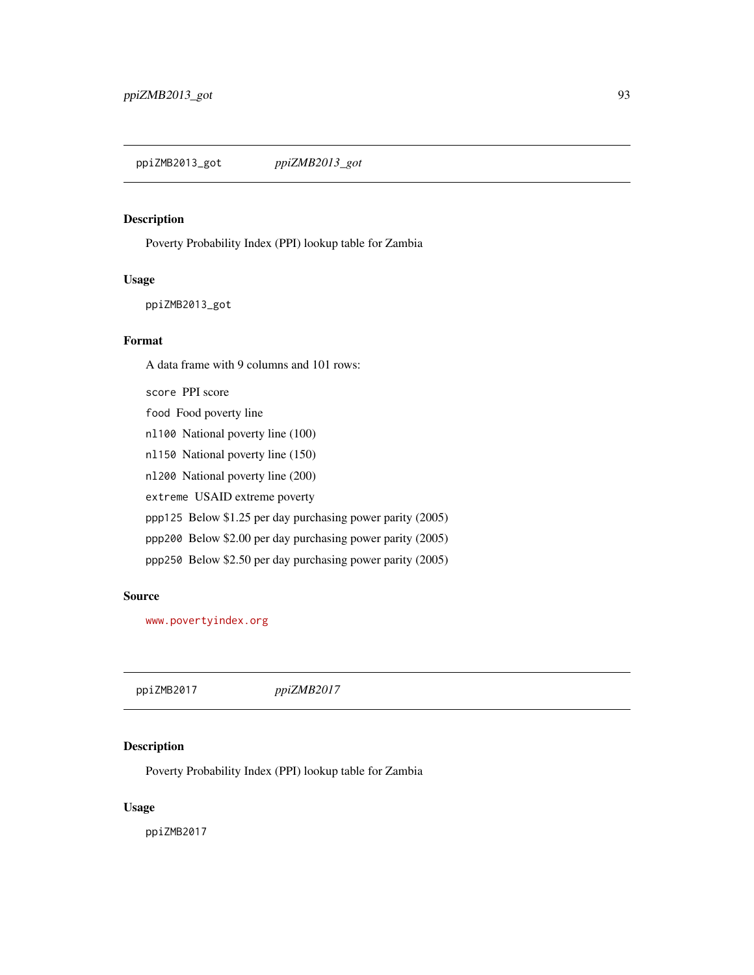<span id="page-92-0"></span>ppiZMB2013\_got *ppiZMB2013\_got*

#### Description

Poverty Probability Index (PPI) lookup table for Zambia

#### Usage

ppiZMB2013\_got

#### Format

A data frame with 9 columns and 101 rows:

score PPI score food Food poverty line nl100 National poverty line (100) nl150 National poverty line (150) nl200 National poverty line (200) extreme USAID extreme poverty ppp125 Below \$1.25 per day purchasing power parity (2005) ppp200 Below \$2.00 per day purchasing power parity (2005) ppp250 Below \$2.50 per day purchasing power parity (2005)

#### Source

<www.povertyindex.org>

ppiZMB2017 *ppiZMB2017*

#### Description

Poverty Probability Index (PPI) lookup table for Zambia

#### Usage

ppiZMB2017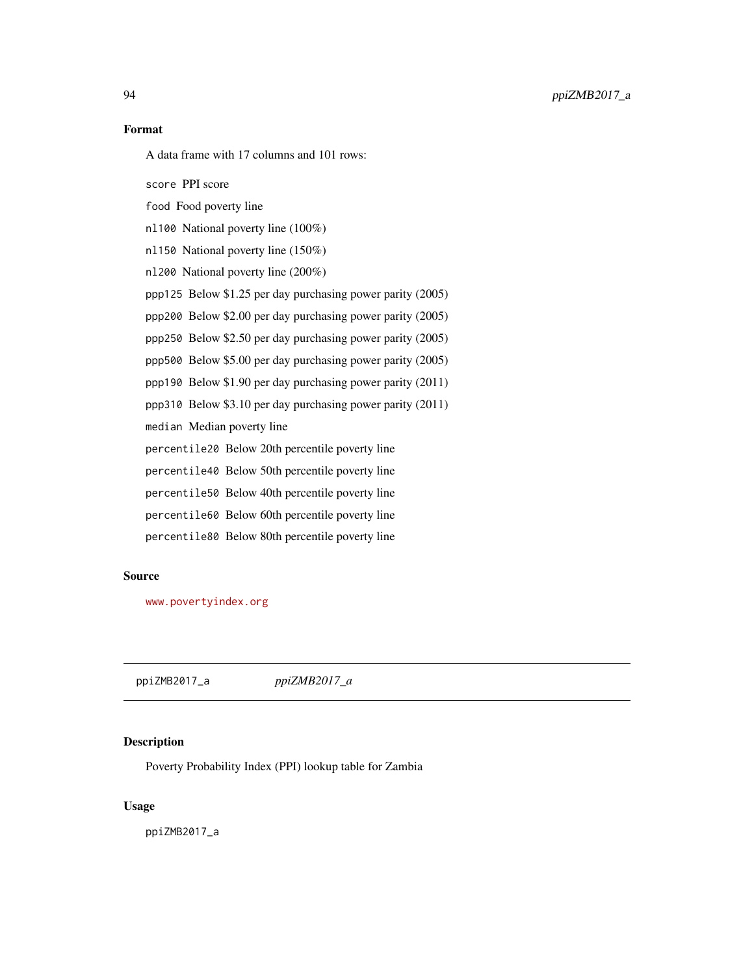<span id="page-93-0"></span>94 ppiZMB2017\_a

#### Format

A data frame with 17 columns and 101 rows:

score PPI score

food Food poverty line

nl100 National poverty line (100%)

nl150 National poverty line (150%)

nl200 National poverty line (200%)

ppp125 Below \$1.25 per day purchasing power parity (2005)

ppp200 Below \$2.00 per day purchasing power parity (2005)

ppp250 Below \$2.50 per day purchasing power parity (2005)

ppp500 Below \$5.00 per day purchasing power parity (2005)

ppp190 Below \$1.90 per day purchasing power parity (2011)

ppp310 Below \$3.10 per day purchasing power parity (2011)

median Median poverty line

percentile20 Below 20th percentile poverty line

percentile40 Below 50th percentile poverty line

percentile50 Below 40th percentile poverty line

percentile60 Below 60th percentile poverty line

percentile80 Below 80th percentile poverty line

#### Source

<www.povertyindex.org>

ppiZMB2017\_a *ppiZMB2017\_a*

#### Description

Poverty Probability Index (PPI) lookup table for Zambia

#### Usage

ppiZMB2017\_a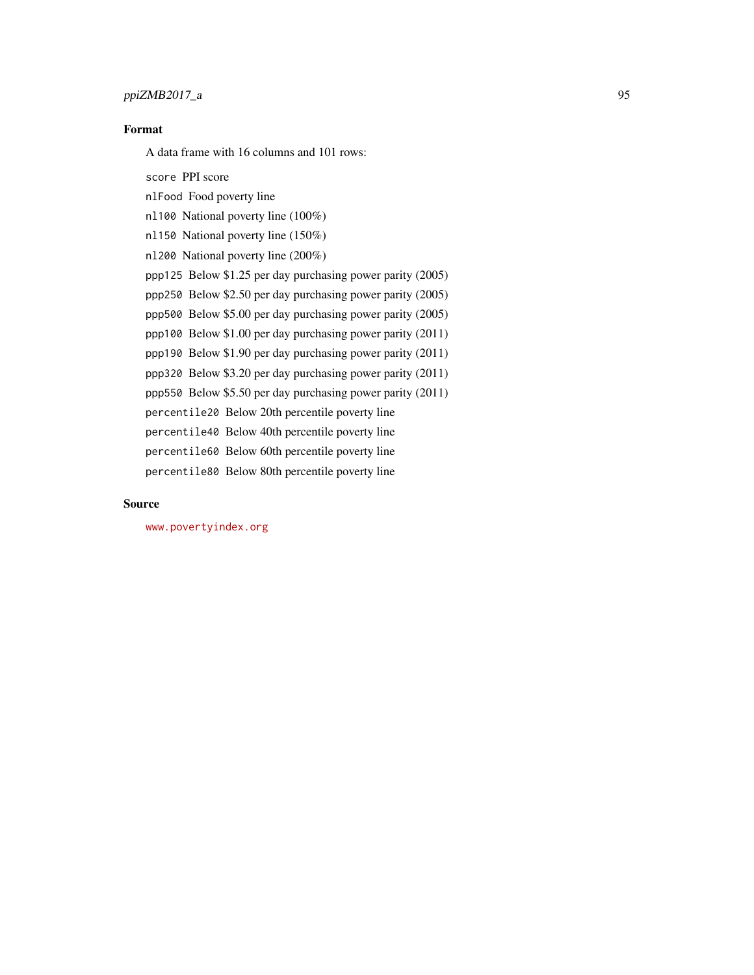#### ppiZMB2017\_a 95

### Format

A data frame with 16 columns and 101 rows:

score PPI score nlFood Food poverty line nl100 National poverty line (100%) nl150 National poverty line (150%) nl200 National poverty line (200%) ppp125 Below \$1.25 per day purchasing power parity (2005) ppp250 Below \$2.50 per day purchasing power parity (2005) ppp500 Below \$5.00 per day purchasing power parity (2005) ppp100 Below \$1.00 per day purchasing power parity (2011) ppp190 Below \$1.90 per day purchasing power parity (2011) ppp320 Below \$3.20 per day purchasing power parity (2011) ppp550 Below \$5.50 per day purchasing power parity (2011) percentile20 Below 20th percentile poverty line percentile40 Below 40th percentile poverty line percentile60 Below 60th percentile poverty line percentile80 Below 80th percentile poverty line

#### Source

<www.povertyindex.org>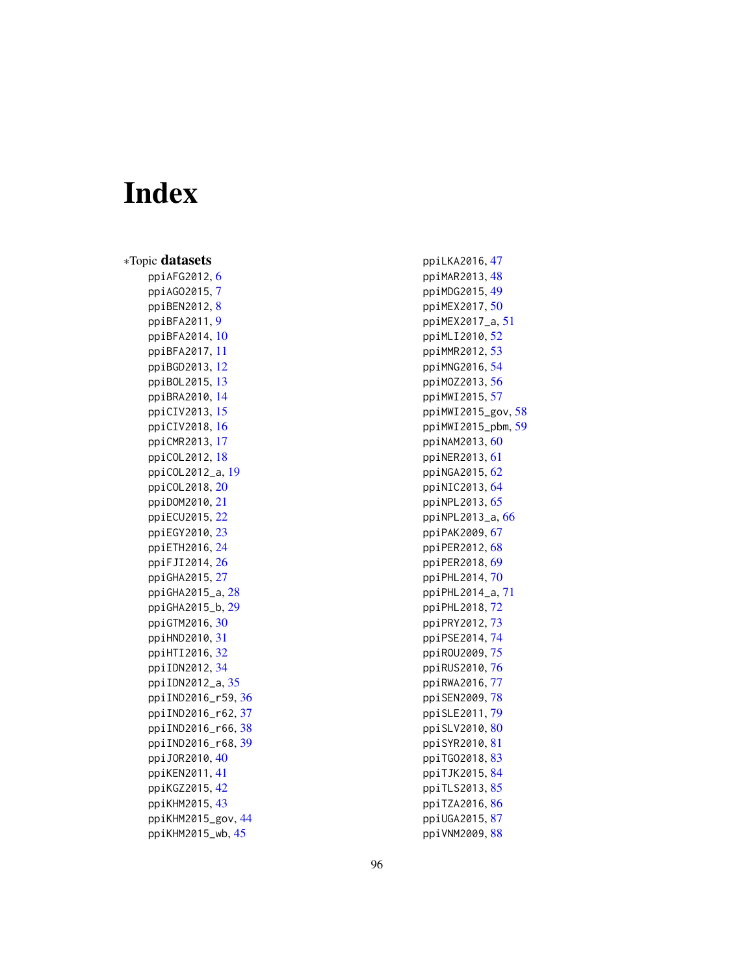# Index

∗Topic datasets ppiAFG2012 , [6](#page-5-0) ppiAGO2015 , [7](#page-6-0) ppiBEN2012, [8](#page-7-0) ppiBFA2011 , [9](#page-8-0) ppiBFA2014 , [10](#page-9-0) ppiBFA2017 , [11](#page-10-0) ppiBGD2013 , [12](#page-11-0) ppiBOL2015 , [13](#page-12-0) ppiBRA2010 , [14](#page-13-0) ppiCIV2013 , [15](#page-14-0) ppiCIV2018 , [16](#page-15-0) ppiCMR2013 , [17](#page-16-0) ppiCOL2012 , [18](#page-17-0) ppiCOL2012\_a , [19](#page-18-0) ppiCOL2018 , [20](#page-19-0) ppiDOM2010 , [21](#page-20-0) ppiECU2015 , [22](#page-21-0) ppiEGY2010 , [23](#page-22-0) ppiETH2016 , [24](#page-23-0) ppiFJI2014 , [26](#page-25-0) ppiGHA2015 , [27](#page-26-0) ppiGHA2015\_a , [28](#page-27-0) ppiGHA2015\_b , [29](#page-28-0) ppiGTM2016 , [30](#page-29-0) ppiHND2010 , [31](#page-30-0) ppiHTI2016 , [32](#page-31-0) ppiIDN2012 , [34](#page-33-0) ppiIDN2012\_a , [35](#page-34-0) ppiIND2016\_r59 , [36](#page-35-0) ppiIND2016\_r62 , [37](#page-36-0) ppiIND2016\_r66 , [38](#page-37-0) ppiIND2016\_r68 , [39](#page-38-0) ppiJOR2010 , [40](#page-39-0) ppiKEN2011 , [41](#page-40-0) ppiKGZ2015 , [42](#page-41-0) ppiKHM2015 , [43](#page-42-0) ppiKHM2015\_gov , [44](#page-43-0) ppiKHM2015\_wb , [45](#page-44-0)

ppiLKA2016 , [47](#page-46-0) ppiMAR2013 , [48](#page-47-0) ppiMDG2015 , [49](#page-48-0) ppiMEX2017 , [50](#page-49-0) ppiMEX2017\_a , [51](#page-50-0) ppiMLI2010 , [52](#page-51-0) ppiMMR2012 , [53](#page-52-0) ppiMNG2016 , [54](#page-53-0) ppiMOZ2013 , [56](#page-55-0) ppiMWI2015 , [57](#page-56-0) ppiMWI2015\_gov , [58](#page-57-0) ppiMWI2015\_pbm , [59](#page-58-0) ppiNAM2013,[60](#page-59-0) ppiNER2013 , [61](#page-60-0) ppiNGA2015 , [62](#page-61-0) ppiNIC2013 , [64](#page-63-0) ppiNPL2013 , [65](#page-64-0) ppiNPL2013\_a , [66](#page-65-0) ppiPAK2009 , [67](#page-66-0) ppiPER2012 , [68](#page-67-0) ppiPER2018 , [69](#page-68-0) ppiPHL2014 , [70](#page-69-0) ppiPHL2014\_a , [71](#page-70-0) ppiPHL2018 , [72](#page-71-0) ppiPRY2012 , [73](#page-72-0) ppiPSE2014 , [74](#page-73-0) ppiROU2009 , [75](#page-74-0) ppiRUS2010 , [76](#page-75-0) ppiRWA2016 , [77](#page-76-0) ppiSEN2009,[78](#page-77-0) ppiSLE2011 , [79](#page-78-0) ppiSLV2010 , [80](#page-79-0) ppiSYR2010 , [81](#page-80-0) ppiTG02018, [83](#page-82-0) ppiTJK2015 , [84](#page-83-0) ppiTLS2013 , [85](#page-84-0) ppiTZA2016 , [86](#page-85-0) ppiUGA2015 , [87](#page-86-0)

ppiVNM2009 , [88](#page-87-0)